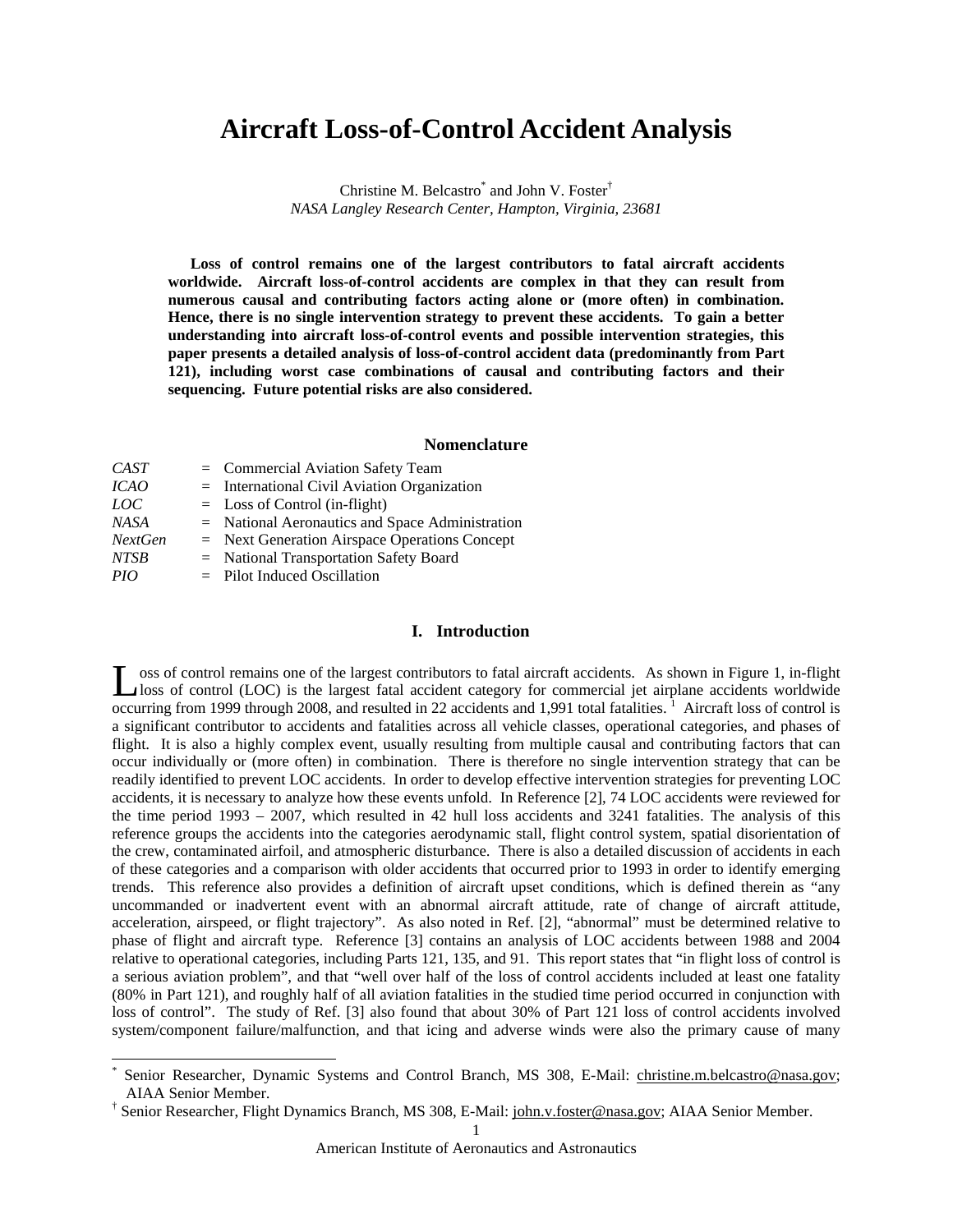# **Aircraft Loss-of-Control Accident Analysis**

Christine M. Belcastro<sup>\*</sup> and John V. Foster<sup>†</sup> *NASA Langley Research Center, Hampton, Virginia, 23681* 

**Loss of control remains one of the largest contributors to fatal aircraft accidents worldwide. Aircraft loss-of-control accidents are complex in that they can result from numerous causal and contributing factors acting alone or (more often) in combination. Hence, there is no single intervention strategy to prevent these accidents. To gain a better understanding into aircraft loss-of-control events and possible intervention strategies, this paper presents a detailed analysis of loss-of-control accident data (predominantly from Part 121), including worst case combinations of causal and contributing factors and their sequencing. Future potential risks are also considered.** 

#### **Nomenclature**

| $=$ Commercial Aviation Safety Team               |
|---------------------------------------------------|
| $=$ International Civil Aviation Organization     |
| $=$ Loss of Control (in-flight)                   |
| $=$ National Aeronautics and Space Administration |
| $=$ Next Generation Airspace Operations Concept   |
| = National Transportation Safety Board            |
| $=$ Pilot Induced Oscillation                     |
|                                                   |

 $\overline{a}$ 

#### **I. Introduction**

oss of control remains one of the largest contributors to fatal aircraft accidents. As shown in Figure 1, in-flight Loss of control remains one of the largest contributors to fatal aircraft accidents. As shown in Figure 1, in-flight loss of control (LOC) is the largest fatal accident category for commercial jet airplane accidents worldw occurring from 1999 through 2008, and resulted in 22 accidents and 1,991 total fatalities.<sup>1</sup> Aircraft loss of control is a significant contributor to accidents and fatalities across all vehicle classes, operational categories, and phases of flight. It is also a highly complex event, usually resulting from multiple causal and contributing factors that can occur individually or (more often) in combination. There is therefore no single intervention strategy that can be readily identified to prevent LOC accidents. In order to develop effective intervention strategies for preventing LOC accidents, it is necessary to analyze how these events unfold. In Reference [2], 74 LOC accidents were reviewed for the time period 1993 – 2007, which resulted in 42 hull loss accidents and 3241 fatalities. The analysis of this reference groups the accidents into the categories aerodynamic stall, flight control system, spatial disorientation of the crew, contaminated airfoil, and atmospheric disturbance. There is also a detailed discussion of accidents in each of these categories and a comparison with older accidents that occurred prior to 1993 in order to identify emerging trends. This reference also provides a definition of aircraft upset conditions, which is defined therein as "any uncommanded or inadvertent event with an abnormal aircraft attitude, rate of change of aircraft attitude, acceleration, airspeed, or flight trajectory". As also noted in Ref. [2], "abnormal" must be determined relative to phase of flight and aircraft type. Reference [3] contains an analysis of LOC accidents between 1988 and 2004 relative to operational categories, including Parts 121, 135, and 91. This report states that "in flight loss of control is a serious aviation problem", and that "well over half of the loss of control accidents included at least one fatality (80% in Part 121), and roughly half of all aviation fatalities in the studied time period occurred in conjunction with loss of control". The study of Ref. [3] also found that about 30% of Part 121 loss of control accidents involved system/component failure/malfunction, and that icing and adverse winds were also the primary cause of many

<sup>\*</sup> Senior Researcher, Dynamic Systems and Control Branch, MS 308, E-Mail: christine.m.belcastro@nasa.gov; AIAA Senior Member.

<sup>&</sup>lt;sup>†</sup> Senior Researcher, Flight Dynamics Branch, MS 308, E-Mail: john.v.foster@nasa.gov; AIAA Senior Member.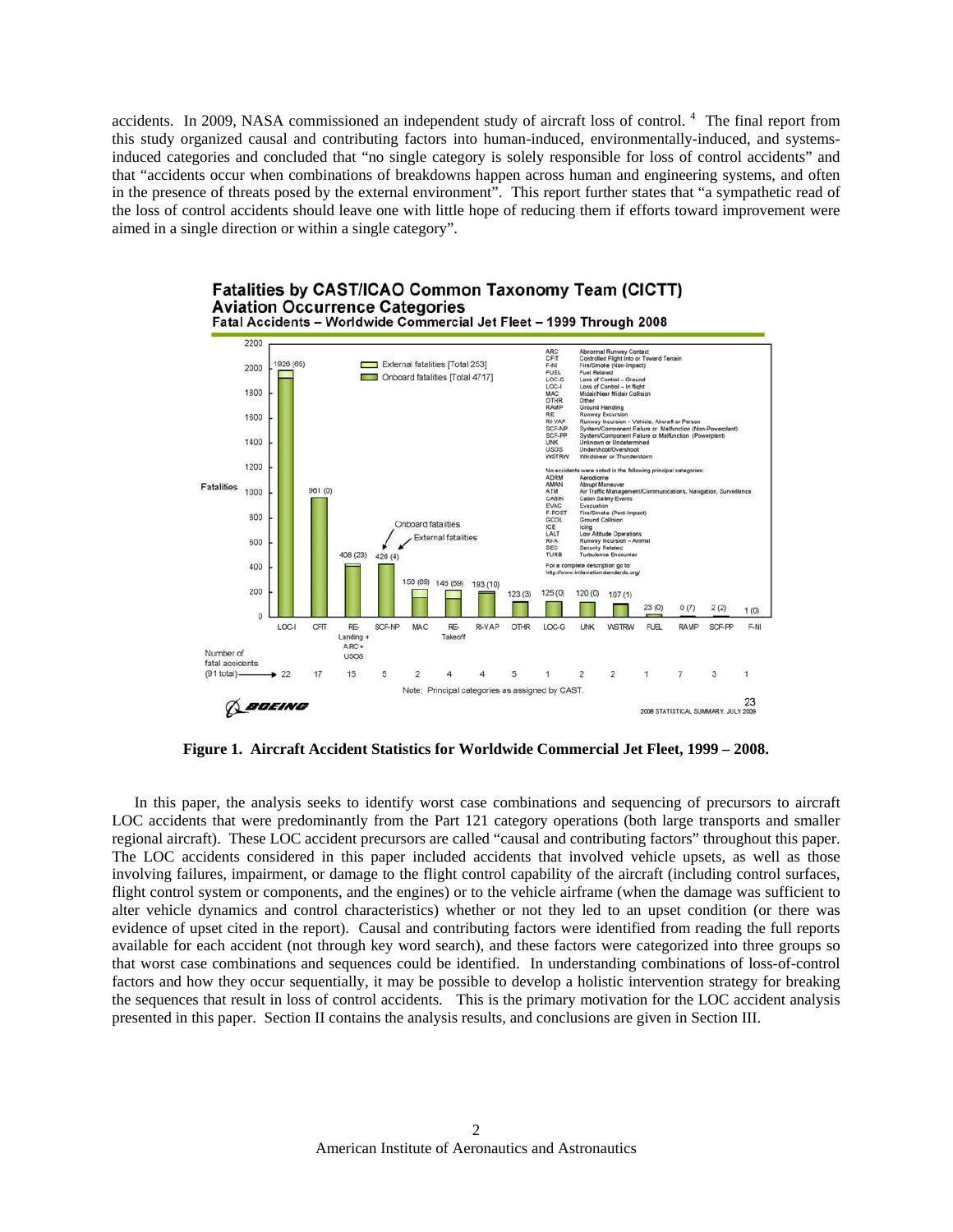accidents. In 2009, NASA commissioned an independent study of aircraft loss of control.<sup>4</sup> The final report from this study organized causal and contributing factors into human-induced, environmentally-induced, and systemsinduced categories and concluded that "no single category is solely responsible for loss of control accidents" and that "accidents occur when combinations of breakdowns happen across human and engineering systems, and often in the presence of threats posed by the external environment". This report further states that "a sympathetic read of the loss of control accidents should leave one with little hope of reducing them if efforts toward improvement were aimed in a single direction or within a single category".



**Figure 1. Aircraft Accident Statistics for Worldwide Commercial Jet Fleet, 1999 – 2008.**

In this paper, the analysis seeks to identify worst case combinations and sequencing of precursors to aircraft LOC accidents that were predominantly from the Part 121 category operations (both large transports and smaller regional aircraft). These LOC accident precursors are called "causal and contributing factors" throughout this paper. The LOC accidents considered in this paper included accidents that involved vehicle upsets, as well as those involving failures, impairment, or damage to the flight control capability of the aircraft (including control surfaces, flight control system or components, and the engines) or to the vehicle airframe (when the damage was sufficient to alter vehicle dynamics and control characteristics) whether or not they led to an upset condition (or there was evidence of upset cited in the report). Causal and contributing factors were identified from reading the full reports available for each accident (not through key word search), and these factors were categorized into three groups so that worst case combinations and sequences could be identified. In understanding combinations of loss-of-control factors and how they occur sequentially, it may be possible to develop a holistic intervention strategy for breaking the sequences that result in loss of control accidents. This is the primary motivation for the LOC accident analysis presented in this paper. Section II contains the analysis results, and conclusions are given in Section III.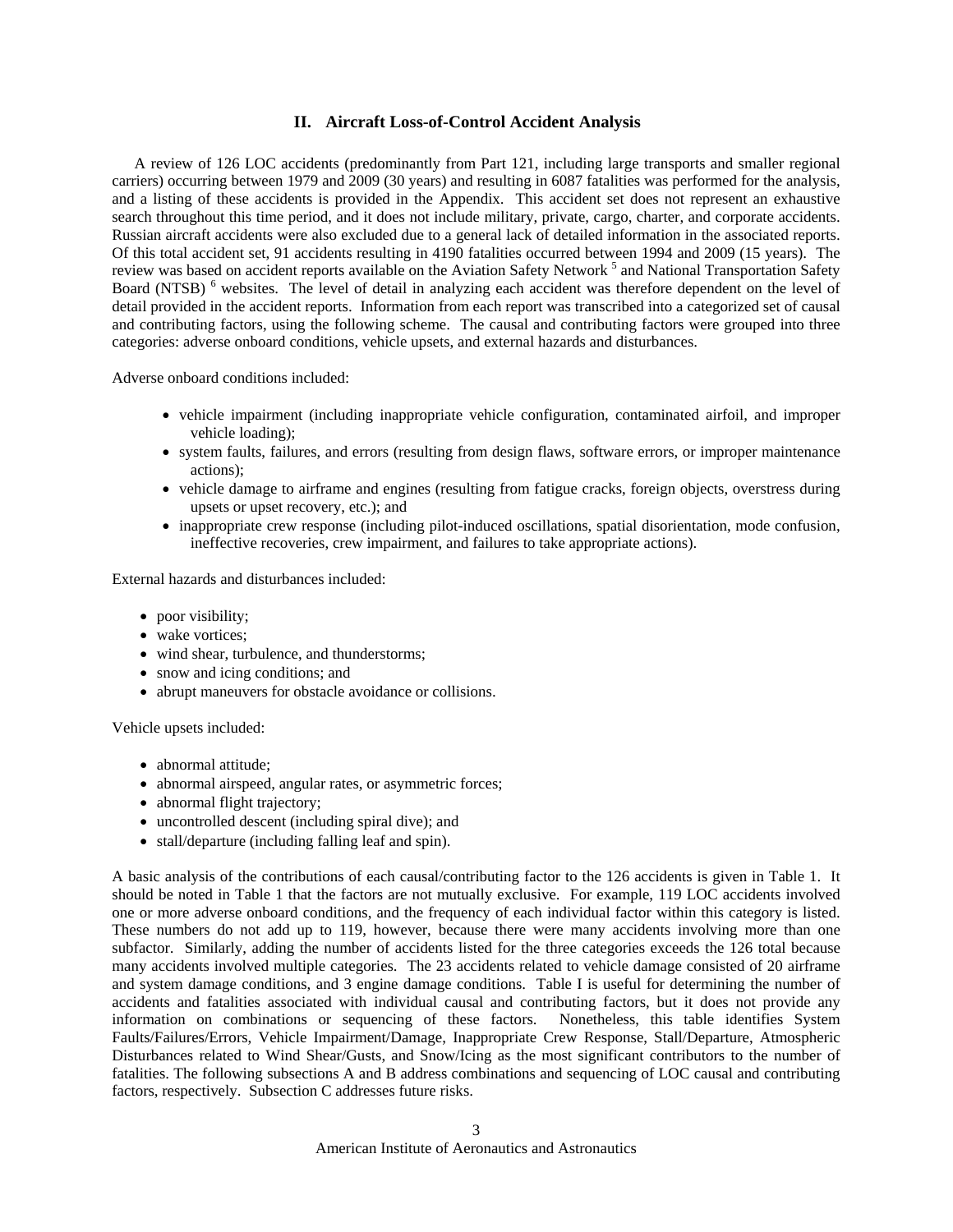#### **II. Aircraft Loss-of-Control Accident Analysis**

A review of 126 LOC accidents (predominantly from Part 121, including large transports and smaller regional carriers) occurring between 1979 and 2009 (30 years) and resulting in 6087 fatalities was performed for the analysis, and a listing of these accidents is provided in the Appendix. This accident set does not represent an exhaustive search throughout this time period, and it does not include military, private, cargo, charter, and corporate accidents. Russian aircraft accidents were also excluded due to a general lack of detailed information in the associated reports. Of this total accident set, 91 accidents resulting in 4190 fatalities occurred between 1994 and 2009 (15 years). The review was based on accident reports available on the Aviation Safety Network<sup>5</sup> and National Transportation Safety Board (NTSB)<sup>6</sup> websites. The level of detail in analyzing each accident was therefore dependent on the level of detail provided in the accident reports. Information from each report was transcribed into a categorized set of causal and contributing factors, using the following scheme. The causal and contributing factors were grouped into three categories: adverse onboard conditions, vehicle upsets, and external hazards and disturbances.

Adverse onboard conditions included:

- vehicle impairment (including inappropriate vehicle configuration, contaminated airfoil, and improper vehicle loading);
- system faults, failures, and errors (resulting from design flaws, software errors, or improper maintenance actions);
- vehicle damage to airframe and engines (resulting from fatigue cracks, foreign objects, overstress during upsets or upset recovery, etc.); and
- inappropriate crew response (including pilot-induced oscillations, spatial disorientation, mode confusion, ineffective recoveries, crew impairment, and failures to take appropriate actions).

External hazards and disturbances included:

- poor visibility;
- wake vortices;
- wind shear, turbulence, and thunderstorms;
- snow and icing conditions; and
- abrupt maneuvers for obstacle avoidance or collisions.

Vehicle upsets included:

- abnormal attitude:
- abnormal airspeed, angular rates, or asymmetric forces;
- abnormal flight trajectory;
- uncontrolled descent (including spiral dive); and
- stall/departure (including falling leaf and spin).

A basic analysis of the contributions of each causal/contributing factor to the 126 accidents is given in Table 1. It should be noted in Table 1 that the factors are not mutually exclusive. For example, 119 LOC accidents involved one or more adverse onboard conditions, and the frequency of each individual factor within this category is listed. These numbers do not add up to 119, however, because there were many accidents involving more than one subfactor. Similarly, adding the number of accidents listed for the three categories exceeds the 126 total because many accidents involved multiple categories. The 23 accidents related to vehicle damage consisted of 20 airframe and system damage conditions, and 3 engine damage conditions. Table I is useful for determining the number of accidents and fatalities associated with individual causal and contributing factors, but it does not provide any information on combinations or sequencing of these factors. Nonetheless, this table identifies System Faults/Failures/Errors, Vehicle Impairment/Damage, Inappropriate Crew Response, Stall/Departure, Atmospheric Disturbances related to Wind Shear/Gusts, and Snow/Icing as the most significant contributors to the number of fatalities. The following subsections A and B address combinations and sequencing of LOC causal and contributing factors, respectively. Subsection C addresses future risks.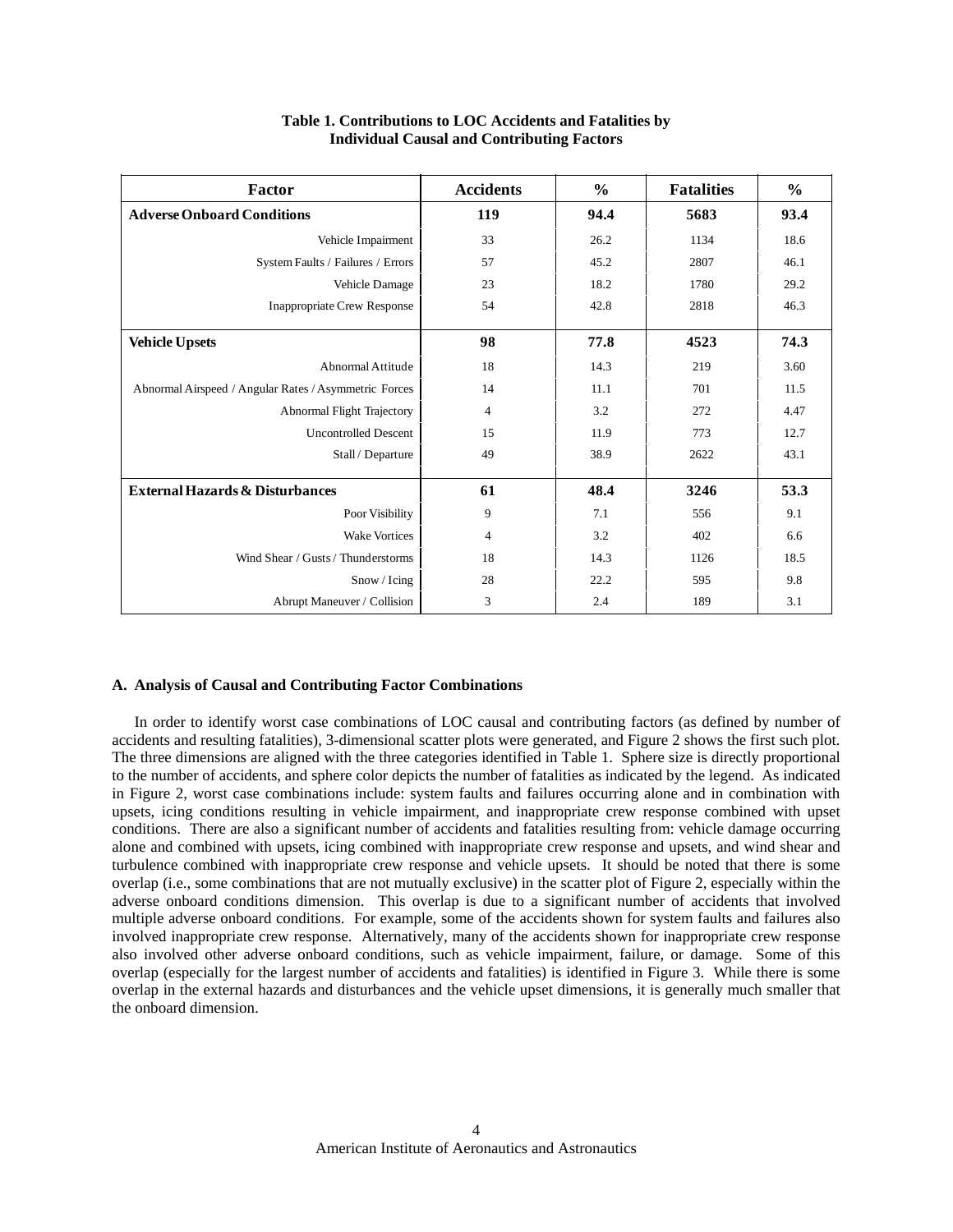| Factor                                                | <b>Accidents</b> | $\frac{0}{0}$ | <b>Fatalities</b> | $\frac{6}{9}$ |
|-------------------------------------------------------|------------------|---------------|-------------------|---------------|
| <b>Adverse Onboard Conditions</b>                     | 119              | 94.4          | 5683              | 93.4          |
| Vehicle Impairment                                    | 33               | 26.2          | 1134              | 18.6          |
| System Faults / Failures / Errors                     | 57               | 45.2          | 2807              | 46.1          |
| Vehicle Damage                                        | 23               | 18.2          | 1780              | 29.2          |
| <b>Inappropriate Crew Response</b>                    | 54               | 42.8          | 2818              | 46.3          |
| <b>Vehicle Upsets</b>                                 | 98               | 77.8          | 4523              | 74.3          |
| Abnormal Attitude                                     | 18               | 14.3          | 219               | 3.60          |
| Abnormal Airspeed / Angular Rates / Asymmetric Forces | 14               | 11.1          | 701               | 11.5          |
| Abnormal Flight Trajectory                            | $\overline{4}$   | 3.2           | 272               | 4.47          |
| <b>Uncontrolled Descent</b>                           | 15               | 11.9          | 773               | 12.7          |
| Stall / Departure                                     | 49               | 38.9          | 2622              | 43.1          |
| <b>External Hazards &amp; Disturbances</b>            | 61               | 48.4          | 3246              | 53.3          |
| Poor Visibility                                       | 9                | 7.1           | 556               | 9.1           |
| <b>Wake Vortices</b>                                  | $\overline{4}$   | 3.2           | 402               | 6.6           |
| Wind Shear / Gusts / Thunderstorms                    | 18               | 14.3          | 1126              | 18.5          |
| Snow / Icing                                          | 28               | 22.2          | 595               | 9.8           |
| Abrupt Maneuver / Collision                           | 3                | 2.4           | 189               | 3.1           |

### **Table 1. Contributions to LOC Accidents and Fatalities by Individual Causal and Contributing Factors**

#### **A. Analysis of Causal and Contributing Factor Combinations**

In order to identify worst case combinations of LOC causal and contributing factors (as defined by number of accidents and resulting fatalities), 3-dimensional scatter plots were generated, and Figure 2 shows the first such plot. The three dimensions are aligned with the three categories identified in Table 1. Sphere size is directly proportional to the number of accidents, and sphere color depicts the number of fatalities as indicated by the legend. As indicated in Figure 2, worst case combinations include: system faults and failures occurring alone and in combination with upsets, icing conditions resulting in vehicle impairment, and inappropriate crew response combined with upset conditions. There are also a significant number of accidents and fatalities resulting from: vehicle damage occurring alone and combined with upsets, icing combined with inappropriate crew response and upsets, and wind shear and turbulence combined with inappropriate crew response and vehicle upsets. It should be noted that there is some overlap (i.e., some combinations that are not mutually exclusive) in the scatter plot of Figure 2, especially within the adverse onboard conditions dimension. This overlap is due to a significant number of accidents that involved multiple adverse onboard conditions. For example, some of the accidents shown for system faults and failures also involved inappropriate crew response. Alternatively, many of the accidents shown for inappropriate crew response also involved other adverse onboard conditions, such as vehicle impairment, failure, or damage. Some of this overlap (especially for the largest number of accidents and fatalities) is identified in Figure 3. While there is some overlap in the external hazards and disturbances and the vehicle upset dimensions, it is generally much smaller that the onboard dimension.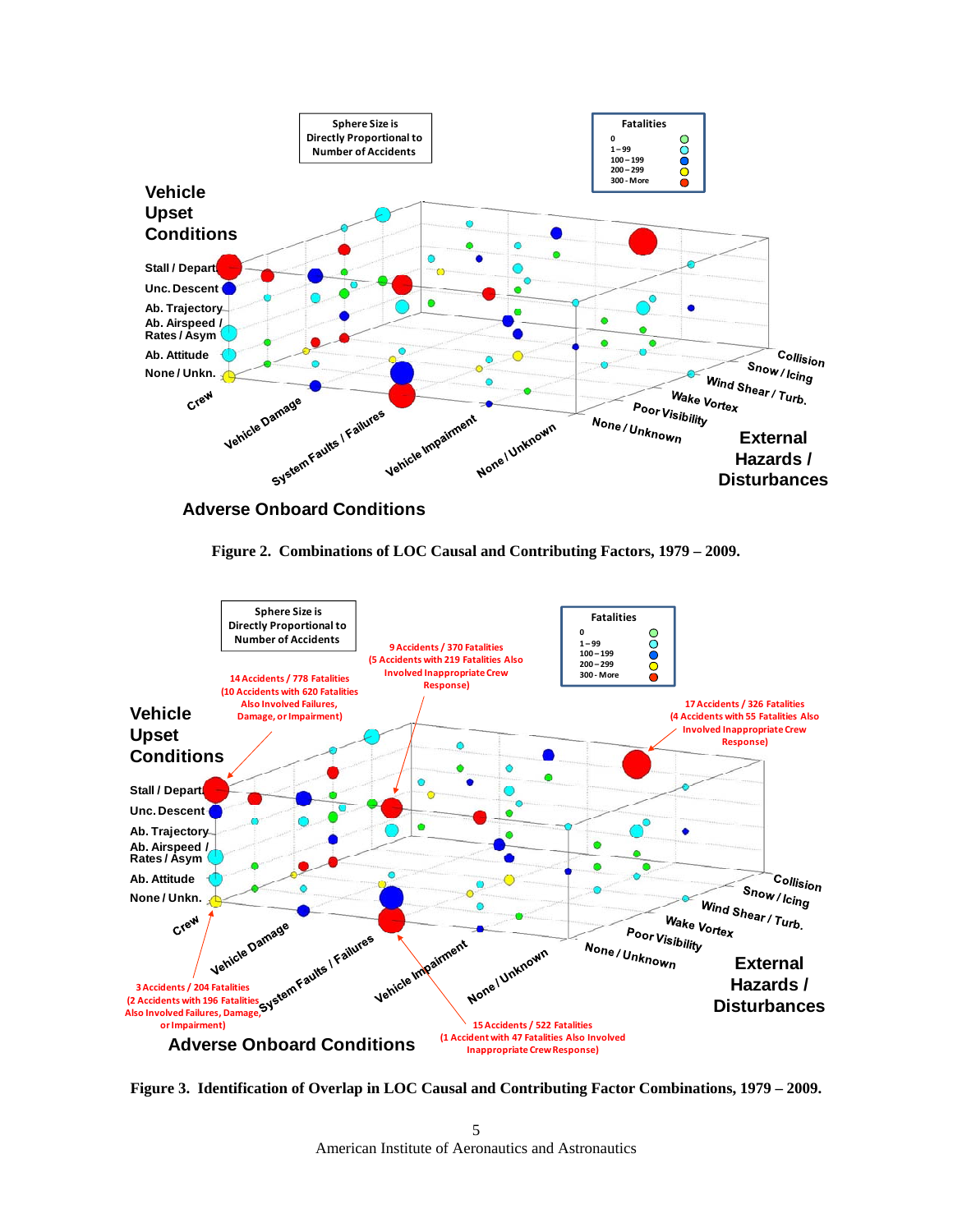

**Adverse Onboard Conditions**





**Figure 3. Identification of Overlap in LOC Causal and Contributing Factor Combinations, 1979 – 2009.**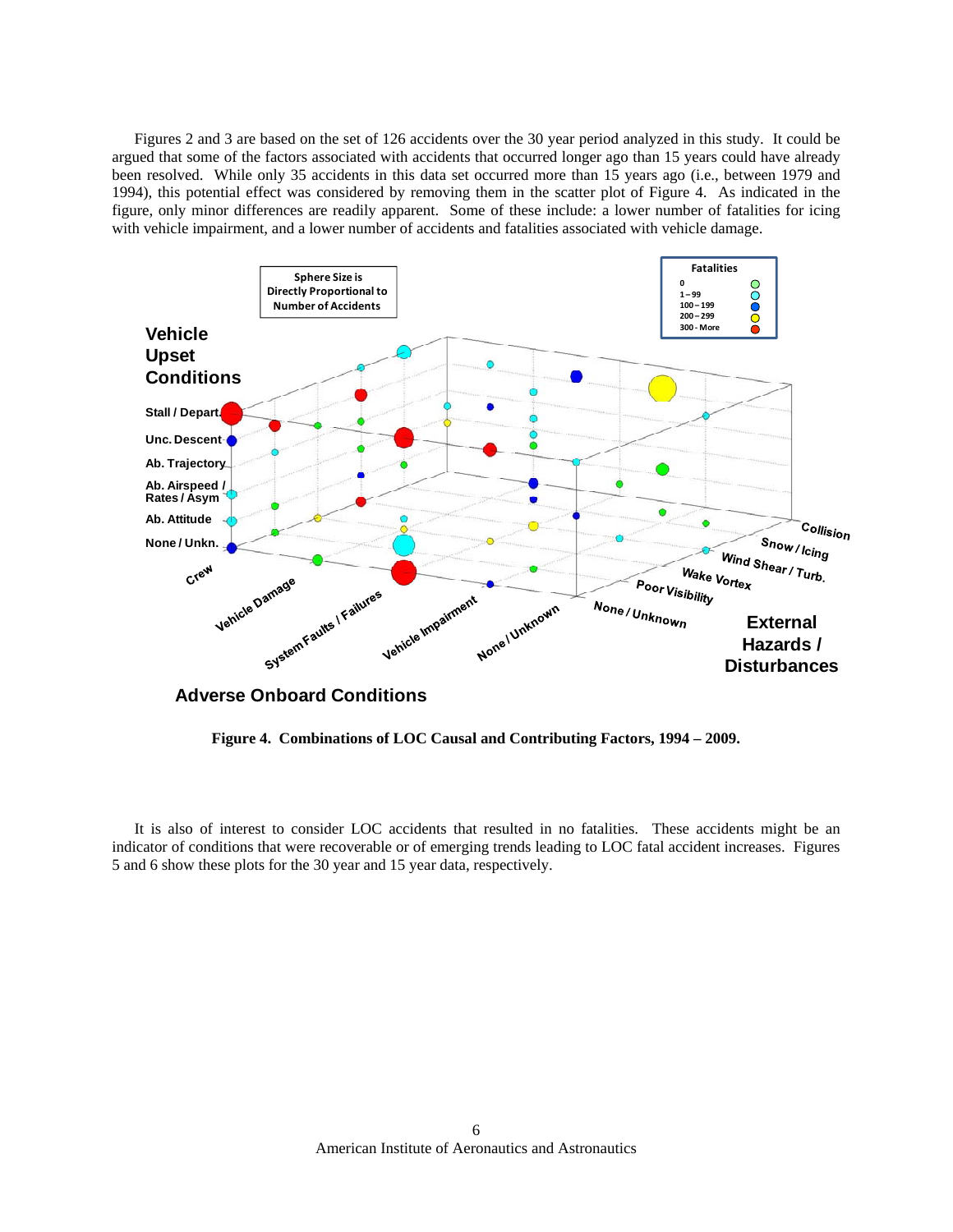Figures 2 and 3 are based on the set of 126 accidents over the 30 year period analyzed in this study. It could be argued that some of the factors associated with accidents that occurred longer ago than 15 years could have already been resolved. While only 35 accidents in this data set occurred more than 15 years ago (i.e., between 1979 and 1994), this potential effect was considered by removing them in the scatter plot of Figure 4. As indicated in the figure, only minor differences are readily apparent. Some of these include: a lower number of fatalities for icing with vehicle impairment, and a lower number of accidents and fatalities associated with vehicle damage.



**Figure 4. Combinations of LOC Causal and Contributing Factors, 1994 – 2009.** 

It is also of interest to consider LOC accidents that resulted in no fatalities. These accidents might be an indicator of conditions that were recoverable or of emerging trends leading to LOC fatal accident increases. Figures 5 and 6 show these plots for the 30 year and 15 year data, respectively.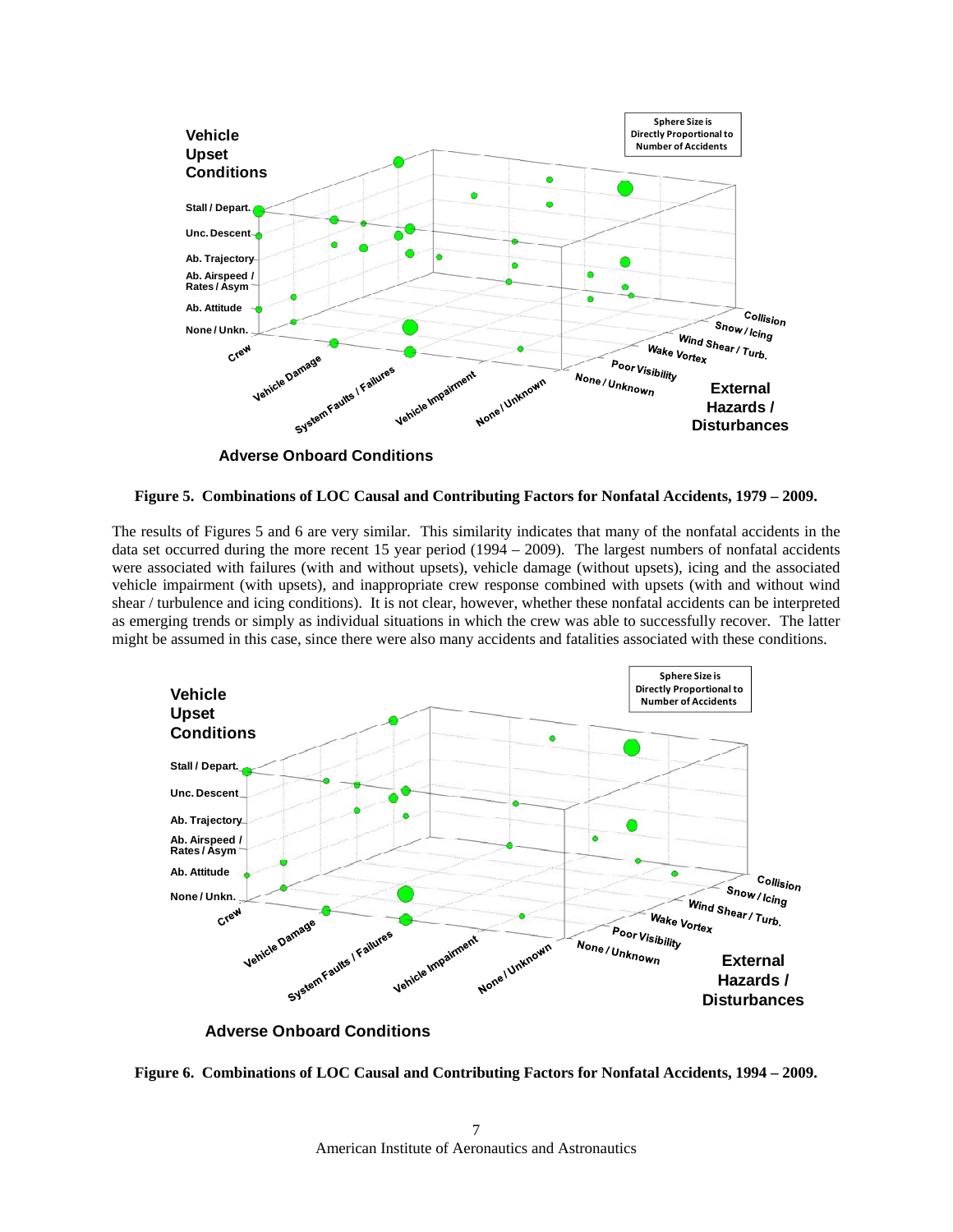

**Figure 5. Combinations of LOC Causal and Contributing Factors for Nonfatal Accidents, 1979 – 2009.**

The results of Figures 5 and 6 are very similar. This similarity indicates that many of the nonfatal accidents in the data set occurred during the more recent 15 year period (1994 – 2009). The largest numbers of nonfatal accidents were associated with failures (with and without upsets), vehicle damage (without upsets), icing and the associated vehicle impairment (with upsets), and inappropriate crew response combined with upsets (with and without wind shear / turbulence and icing conditions). It is not clear, however, whether these nonfatal accidents can be interpreted as emerging trends or simply as individual situations in which the crew was able to successfully recover. The latter might be assumed in this case, since there were also many accidents and fatalities associated with these conditions.



**Adverse Onboard Conditions**

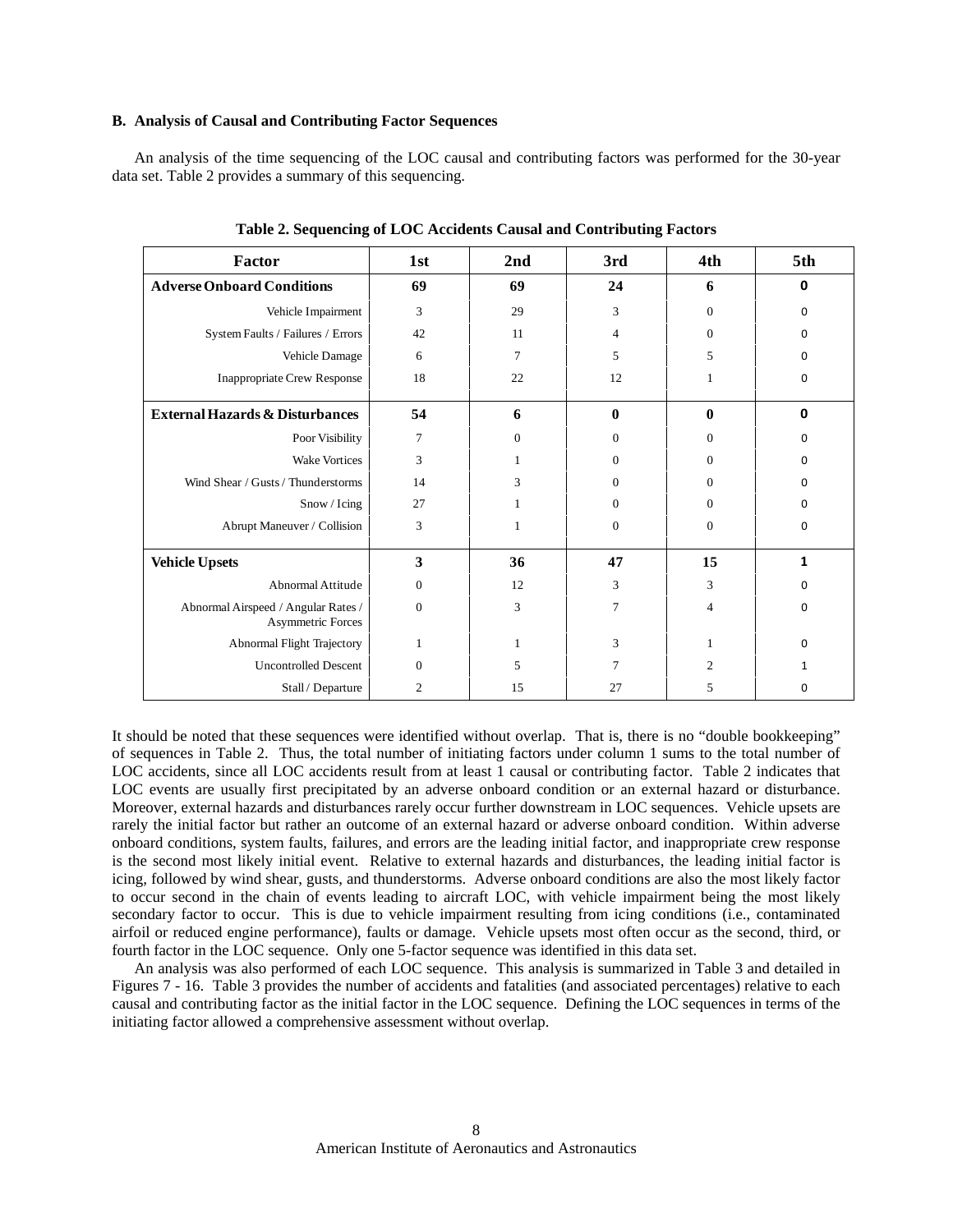#### **B. Analysis of Causal and Contributing Factor Sequences**

An analysis of the time sequencing of the LOC causal and contributing factors was performed for the 30-year data set. Table 2 provides a summary of this sequencing.

| Factor                                                          | 1st          | 2nd      | 3rd            | 4th            | 5th          |
|-----------------------------------------------------------------|--------------|----------|----------------|----------------|--------------|
| <b>Adverse Onboard Conditions</b>                               | 69           | 69       | 24             | 6              | $\mathbf 0$  |
| Vehicle Impairment                                              | 3            | 29       | 3              | $\Omega$       | $\Omega$     |
| System Faults / Failures / Errors                               | 42           | 11       | 4              | $\mathbf{0}$   | 0            |
| Vehicle Damage                                                  | 6            | 7        | 5              | 5              | 0            |
| <b>Inappropriate Crew Response</b>                              | 18           | 22       | 12             |                | 0            |
| <b>External Hazards &amp; Disturbances</b>                      | 54           | 6        | $\bf{0}$       | $\bf{0}$       | $\mathbf 0$  |
| Poor Visibility                                                 | 7            | $\Omega$ | $\Omega$       | $\Omega$       | $\Omega$     |
| <b>Wake Vortices</b>                                            | 3            | 1        | $\Omega$       | $\Omega$       | $\Omega$     |
| Wind Shear / Gusts / Thunderstorms                              | 14           | 3        | $\mathbf{0}$   | $\mathbf{0}$   | 0            |
| Snow / Icing                                                    | 27           |          | $\Omega$       | $\mathbf{0}$   | 0            |
| Abrupt Maneuver / Collision                                     | 3            |          | $\mathbf{0}$   | $\mathbf{0}$   | 0            |
| <b>Vehicle Upsets</b>                                           | 3            | 36       | 47             | 15             | 1            |
| Abnormal Attitude                                               | $\mathbf{0}$ | 12       | 3              | 3              | <sup>0</sup> |
| Abnormal Airspeed / Angular Rates /<br><b>Asymmetric Forces</b> | $\Omega$     | 3        | $\overline{7}$ | 4              | $\Omega$     |
| Abnormal Flight Trajectory                                      | 1            |          | 3              |                | $\Omega$     |
| <b>Uncontrolled Descent</b>                                     | $\mathbf{0}$ | 5        | 7              | $\overline{c}$ | 1            |
| Stall / Departure                                               | 2            | 15       | 27             | 5              | 0            |

**Table 2. Sequencing of LOC Accidents Causal and Contributing Factors** 

It should be noted that these sequences were identified without overlap. That is, there is no "double bookkeeping" of sequences in Table 2. Thus, the total number of initiating factors under column 1 sums to the total number of LOC accidents, since all LOC accidents result from at least 1 causal or contributing factor. Table 2 indicates that LOC events are usually first precipitated by an adverse onboard condition or an external hazard or disturbance. Moreover, external hazards and disturbances rarely occur further downstream in LOC sequences. Vehicle upsets are rarely the initial factor but rather an outcome of an external hazard or adverse onboard condition. Within adverse onboard conditions, system faults, failures, and errors are the leading initial factor, and inappropriate crew response is the second most likely initial event. Relative to external hazards and disturbances, the leading initial factor is icing, followed by wind shear, gusts, and thunderstorms. Adverse onboard conditions are also the most likely factor to occur second in the chain of events leading to aircraft LOC, with vehicle impairment being the most likely secondary factor to occur. This is due to vehicle impairment resulting from icing conditions (i.e., contaminated airfoil or reduced engine performance), faults or damage. Vehicle upsets most often occur as the second, third, or fourth factor in the LOC sequence. Only one 5-factor sequence was identified in this data set.

An analysis was also performed of each LOC sequence. This analysis is summarized in Table 3 and detailed in Figures 7 - 16. Table 3 provides the number of accidents and fatalities (and associated percentages) relative to each causal and contributing factor as the initial factor in the LOC sequence. Defining the LOC sequences in terms of the initiating factor allowed a comprehensive assessment without overlap.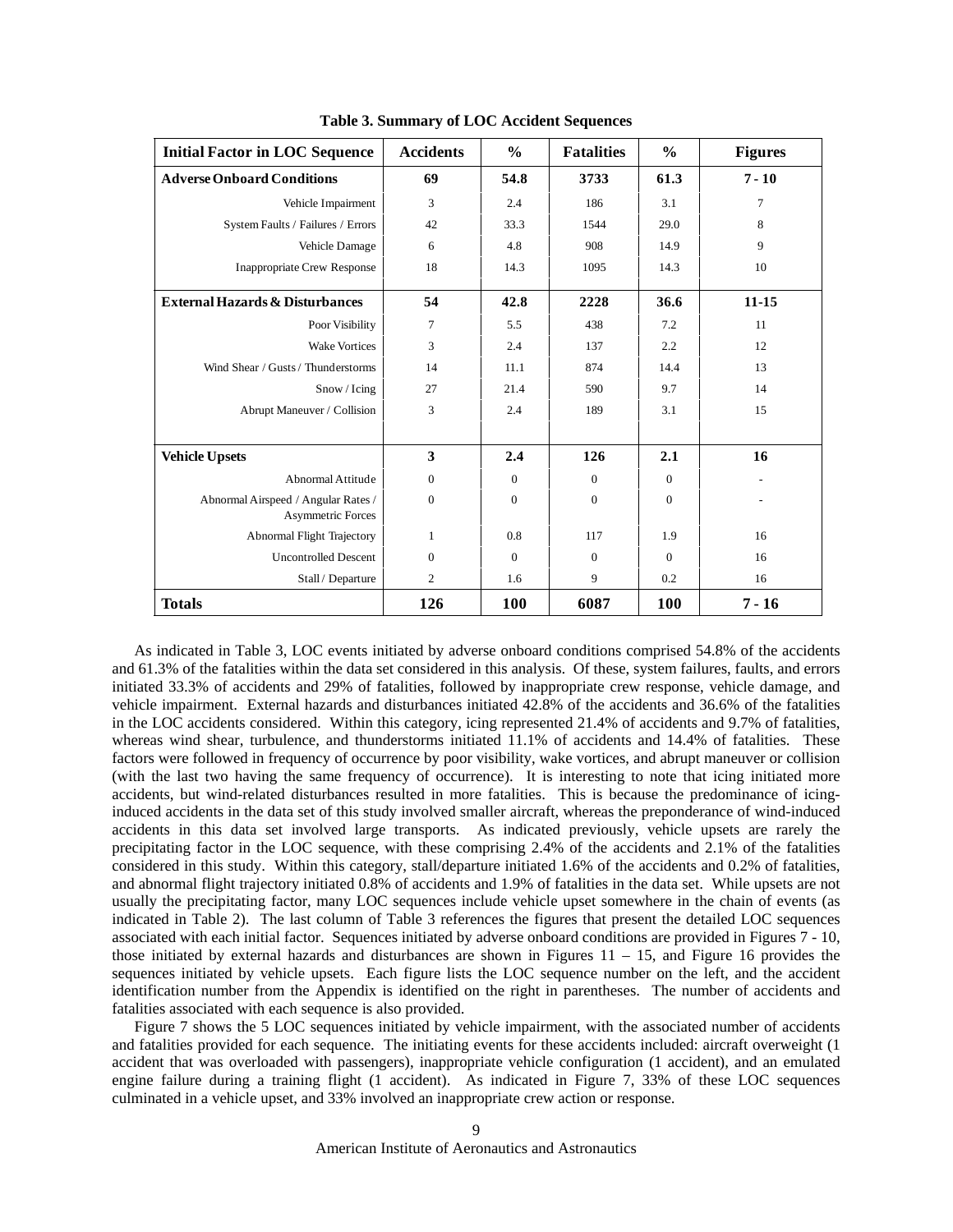| <b>Initial Factor in LOC Sequence</b>                           | <b>Accidents</b> | $\frac{0}{0}$ | <b>Fatalities</b> | $\frac{0}{0}$ | <b>Figures</b> |
|-----------------------------------------------------------------|------------------|---------------|-------------------|---------------|----------------|
| <b>Adverse Onboard Conditions</b>                               | 69               | 54.8          | 3733              | 61.3          | $7 - 10$       |
| Vehicle Impairment                                              | 3                | 2.4           | 186               | 3.1           | $\overline{7}$ |
| System Faults / Failures / Errors                               | 42               | 33.3          | 1544              | 29.0          | 8              |
| Vehicle Damage                                                  | 6                | 4.8           | 908               | 14.9          | 9              |
| <b>Inappropriate Crew Response</b>                              | 18               | 14.3          | 1095              | 14.3          | 10             |
| <b>External Hazards &amp; Disturbances</b>                      | 54               | 42.8          | 2228              | 36.6          | $11 - 15$      |
| Poor Visibility                                                 | 7                | 5.5           | 438               | 7.2           | 11             |
| <b>Wake Vortices</b>                                            | 3                | 2.4           | 137               | 2.2           | 12             |
| Wind Shear / Gusts / Thunderstorms                              | 14               | 11.1          | 874               | 14.4          | 13             |
| Snow / Icing                                                    | 27               | 21.4          | 590               | 9.7           | 14             |
| Abrupt Maneuver / Collision                                     | 3                | 2.4           | 189               | 3.1           | 15             |
|                                                                 |                  |               |                   |               |                |
| <b>Vehicle Upsets</b>                                           | 3                | 2.4           | 126               | 2.1           | 16             |
| Abnormal Attitude                                               | $\overline{0}$   | $\mathbf{0}$  | $\mathbf{0}$      | $\mathbf{0}$  |                |
| Abnormal Airspeed / Angular Rates /<br><b>Asymmetric Forces</b> | $\theta$         | $\Omega$      | $\Omega$          | $\Omega$      |                |
| <b>Abnormal Flight Trajectory</b>                               | $\mathbf{1}$     | 0.8           | 117               | 1.9           | 16             |
| <b>Uncontrolled Descent</b>                                     | $\mathbf{0}$     | $\mathbf{0}$  | $\overline{0}$    | $\Omega$      | 16             |
| Stall / Departure                                               | $\overline{c}$   | 1.6           | 9                 | 0.2           | 16             |
| <b>Totals</b>                                                   | 126              | <b>100</b>    | 6087              | 100           | $7 - 16$       |

**Table 3. Summary of LOC Accident Sequences** 

As indicated in Table 3, LOC events initiated by adverse onboard conditions comprised 54.8% of the accidents and 61.3% of the fatalities within the data set considered in this analysis. Of these, system failures, faults, and errors initiated 33.3% of accidents and 29% of fatalities, followed by inappropriate crew response, vehicle damage, and vehicle impairment. External hazards and disturbances initiated 42.8% of the accidents and 36.6% of the fatalities in the LOC accidents considered. Within this category, icing represented 21.4% of accidents and 9.7% of fatalities, whereas wind shear, turbulence, and thunderstorms initiated 11.1% of accidents and 14.4% of fatalities. These factors were followed in frequency of occurrence by poor visibility, wake vortices, and abrupt maneuver or collision (with the last two having the same frequency of occurrence). It is interesting to note that icing initiated more accidents, but wind-related disturbances resulted in more fatalities. This is because the predominance of icinginduced accidents in the data set of this study involved smaller aircraft, whereas the preponderance of wind-induced accidents in this data set involved large transports. As indicated previously, vehicle upsets are rarely the precipitating factor in the LOC sequence, with these comprising 2.4% of the accidents and 2.1% of the fatalities considered in this study. Within this category, stall/departure initiated 1.6% of the accidents and 0.2% of fatalities, and abnormal flight trajectory initiated 0.8% of accidents and 1.9% of fatalities in the data set. While upsets are not usually the precipitating factor, many LOC sequences include vehicle upset somewhere in the chain of events (as indicated in Table 2). The last column of Table 3 references the figures that present the detailed LOC sequences associated with each initial factor. Sequences initiated by adverse onboard conditions are provided in Figures 7 - 10, those initiated by external hazards and disturbances are shown in Figures  $11 - 15$ , and Figure 16 provides the sequences initiated by vehicle upsets. Each figure lists the LOC sequence number on the left, and the accident identification number from the Appendix is identified on the right in parentheses. The number of accidents and fatalities associated with each sequence is also provided.

Figure 7 shows the 5 LOC sequences initiated by vehicle impairment, with the associated number of accidents and fatalities provided for each sequence. The initiating events for these accidents included: aircraft overweight (1 accident that was overloaded with passengers), inappropriate vehicle configuration (1 accident), and an emulated engine failure during a training flight (1 accident). As indicated in Figure 7, 33% of these LOC sequences culminated in a vehicle upset, and 33% involved an inappropriate crew action or response.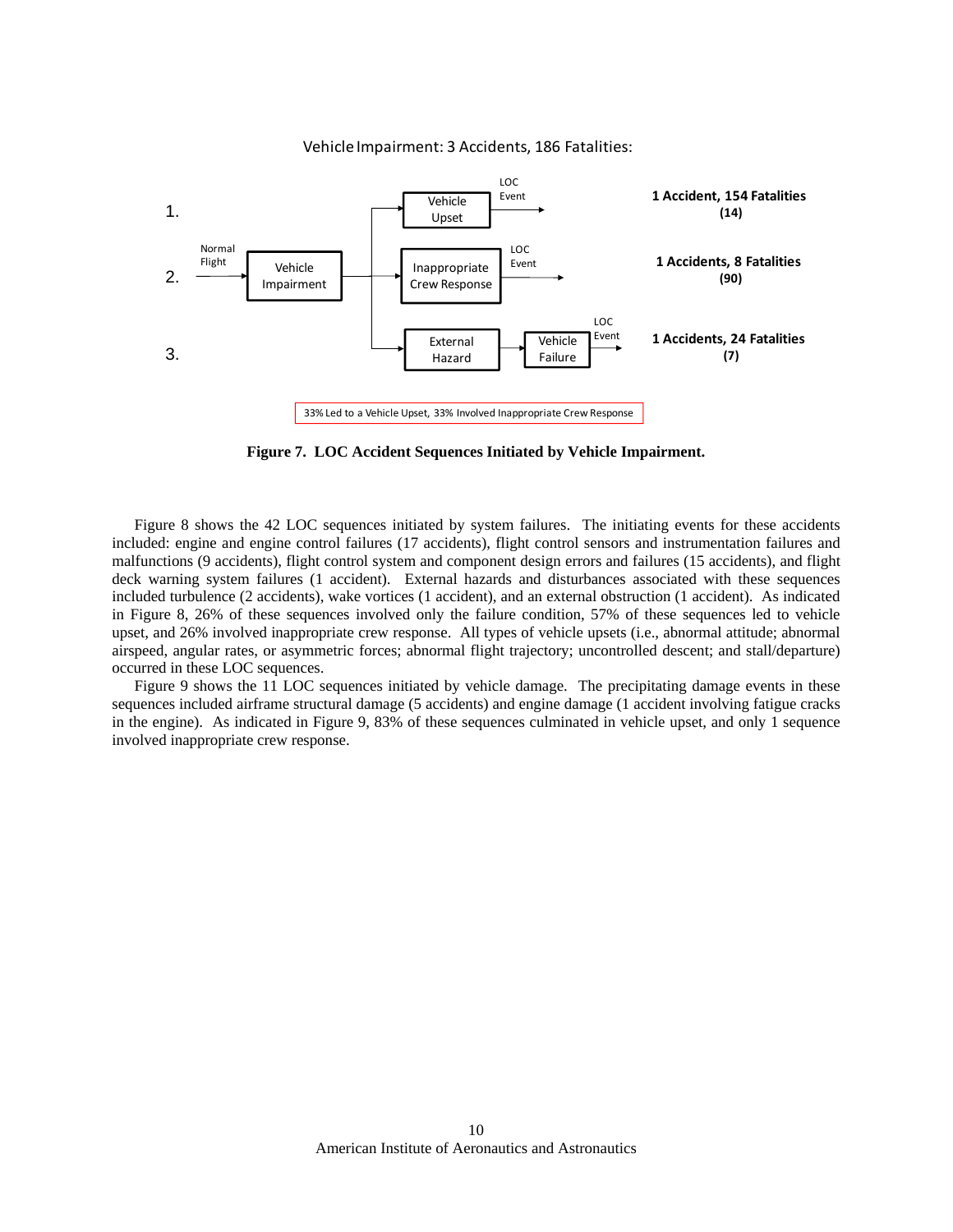

Vehicle Impairment: 3 Accidents, 186 Fatalities:

**Figure 7. LOC Accident Sequences Initiated by Vehicle Impairment.** 

Figure 8 shows the 42 LOC sequences initiated by system failures. The initiating events for these accidents included: engine and engine control failures (17 accidents), flight control sensors and instrumentation failures and malfunctions (9 accidents), flight control system and component design errors and failures (15 accidents), and flight deck warning system failures (1 accident). External hazards and disturbances associated with these sequences included turbulence (2 accidents), wake vortices (1 accident), and an external obstruction (1 accident). As indicated in Figure 8, 26% of these sequences involved only the failure condition, 57% of these sequences led to vehicle upset, and 26% involved inappropriate crew response. All types of vehicle upsets (i.e., abnormal attitude; abnormal airspeed, angular rates, or asymmetric forces; abnormal flight trajectory; uncontrolled descent; and stall/departure) occurred in these LOC sequences.

Figure 9 shows the 11 LOC sequences initiated by vehicle damage. The precipitating damage events in these sequences included airframe structural damage (5 accidents) and engine damage (1 accident involving fatigue cracks in the engine). As indicated in Figure 9, 83% of these sequences culminated in vehicle upset, and only 1 sequence involved inappropriate crew response.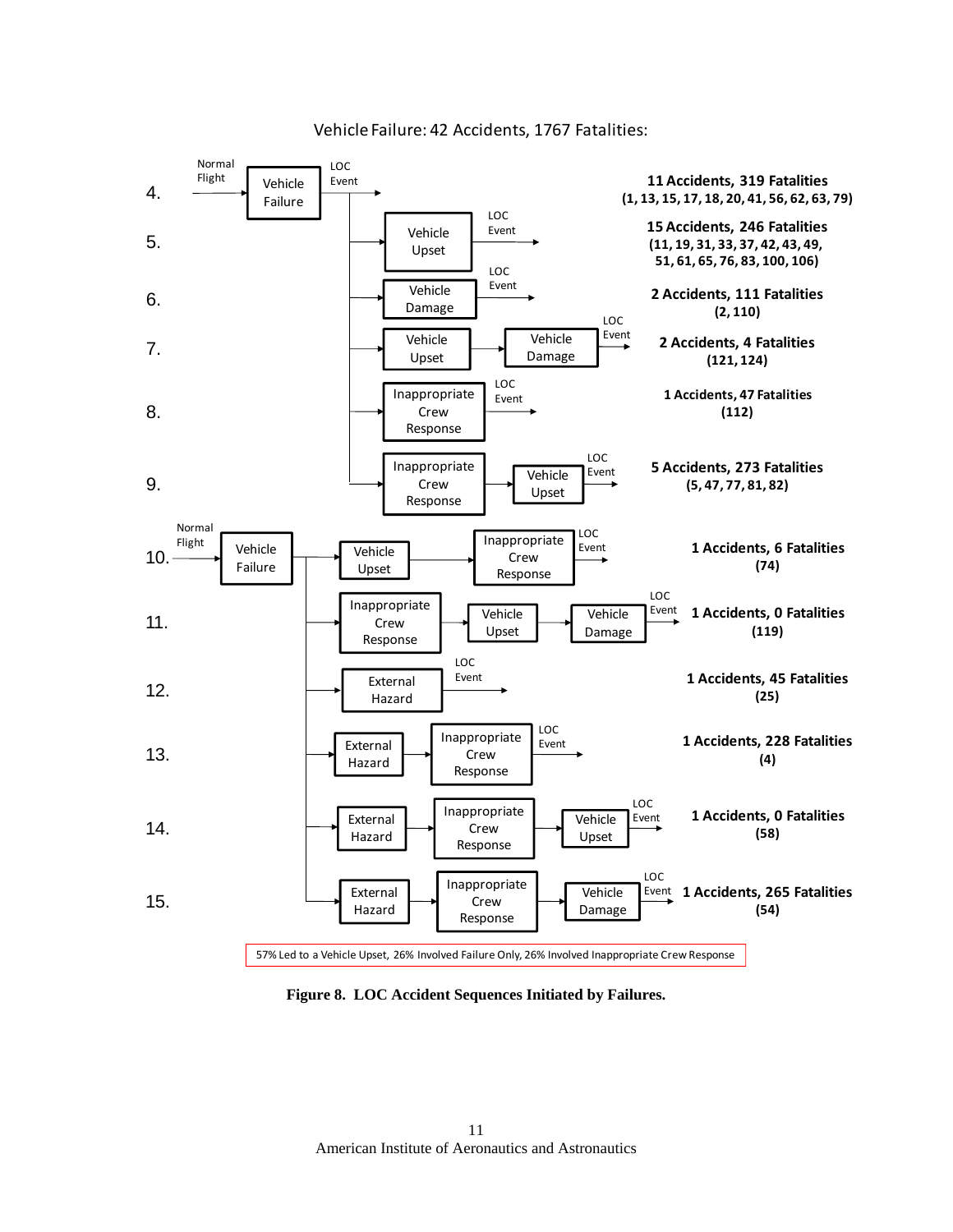

Vehicle Failure: 42 Accidents, 1767 Fatalities:

**Figure 8. LOC Accident Sequences Initiated by Failures.**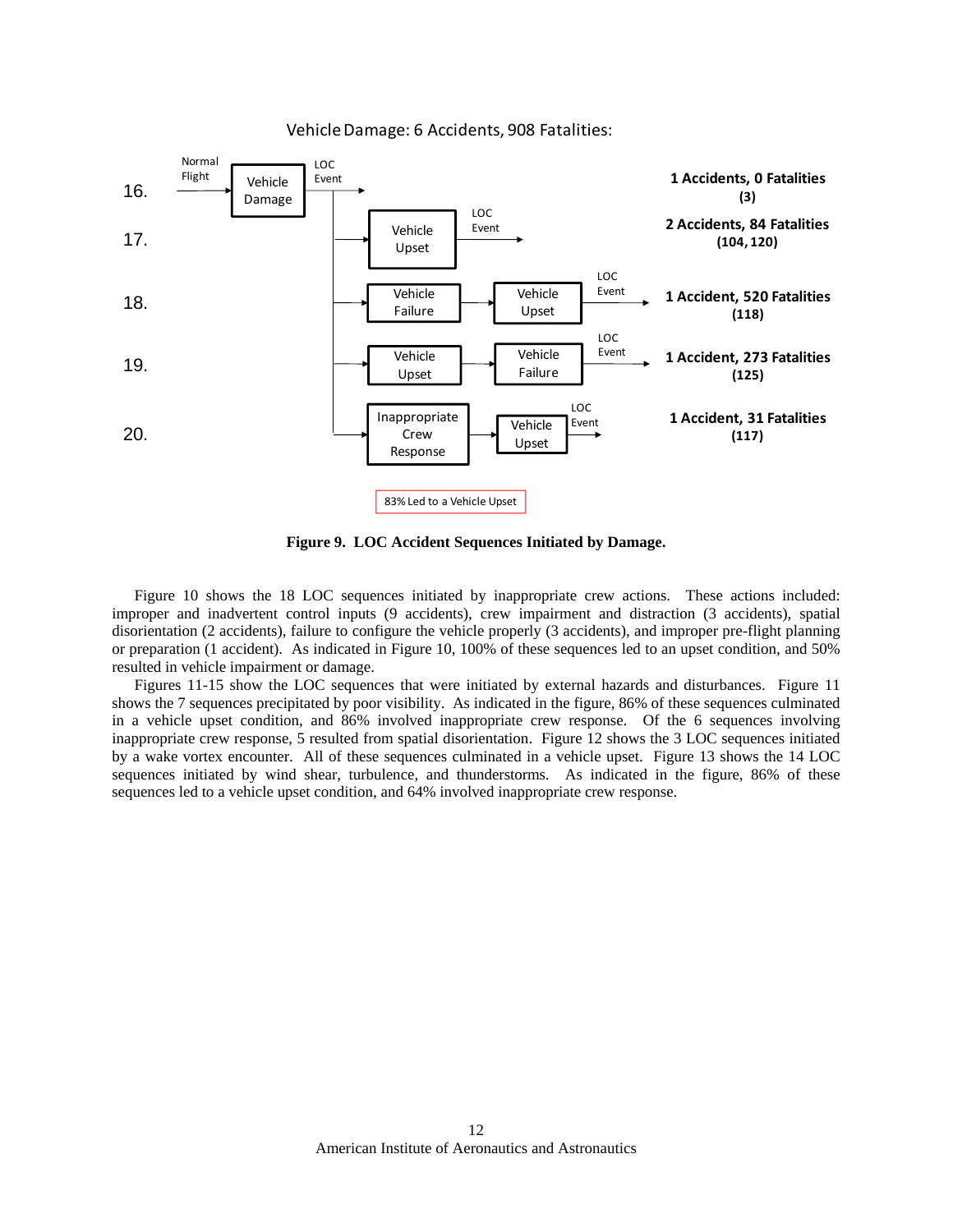

VehicleDamage: 6 Accidents, 908 Fatalities:

**Figure 9. LOC Accident Sequences Initiated by Damage.** 

Figure 10 shows the 18 LOC sequences initiated by inappropriate crew actions. These actions included: improper and inadvertent control inputs (9 accidents), crew impairment and distraction (3 accidents), spatial disorientation (2 accidents), failure to configure the vehicle properly (3 accidents), and improper pre-flight planning or preparation (1 accident). As indicated in Figure 10, 100% of these sequences led to an upset condition, and 50% resulted in vehicle impairment or damage.

Figures 11-15 show the LOC sequences that were initiated by external hazards and disturbances. Figure 11 shows the 7 sequences precipitated by poor visibility. As indicated in the figure, 86% of these sequences culminated in a vehicle upset condition, and 86% involved inappropriate crew response. Of the 6 sequences involving inappropriate crew response, 5 resulted from spatial disorientation. Figure 12 shows the 3 LOC sequences initiated by a wake vortex encounter. All of these sequences culminated in a vehicle upset. Figure 13 shows the 14 LOC sequences initiated by wind shear, turbulence, and thunderstorms. As indicated in the figure, 86% of these sequences led to a vehicle upset condition, and 64% involved inappropriate crew response.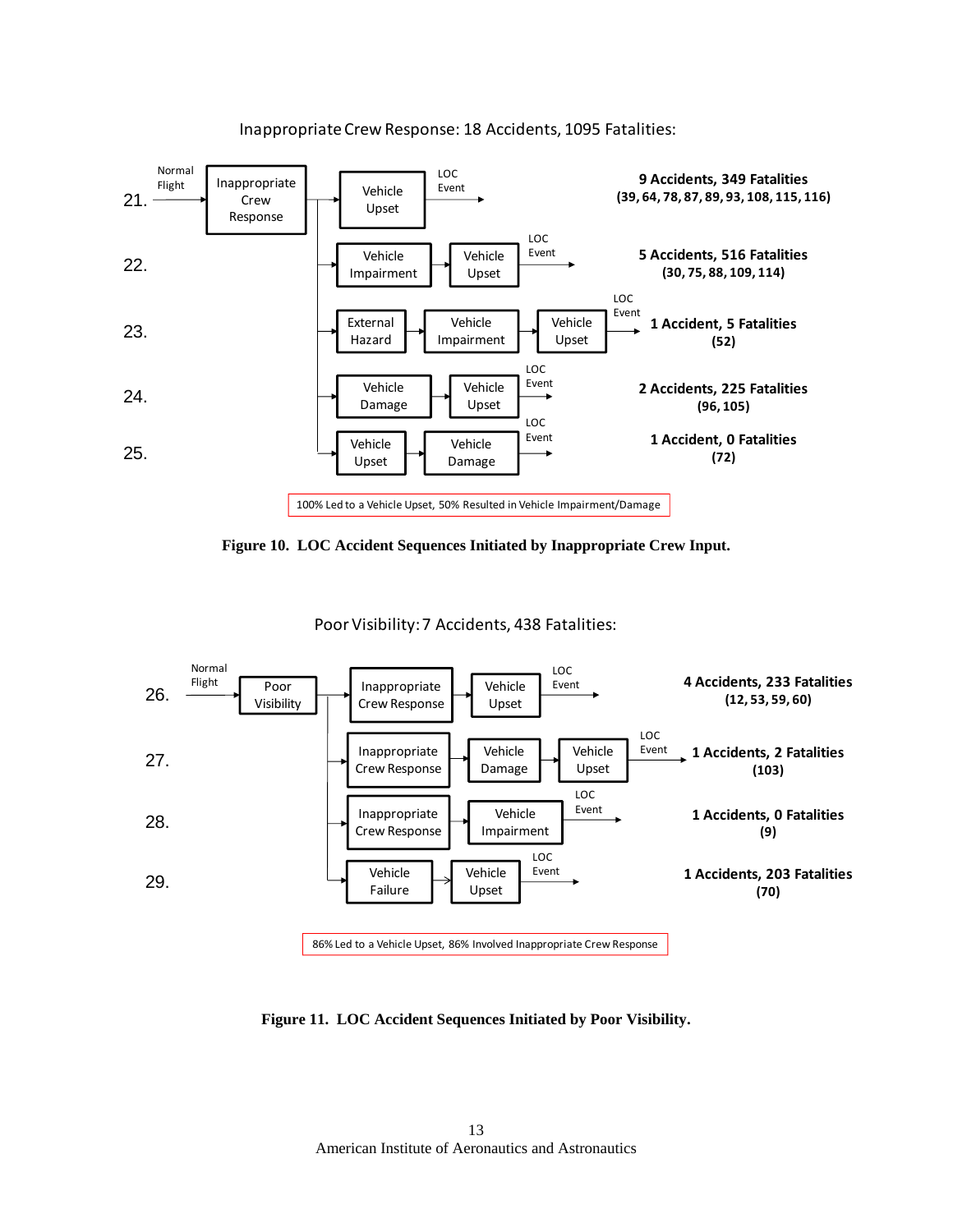

InappropriateCrew Response: 18 Accidents, 1095 Fatalities:



Poor Visibility:7 Accidents, 438 Fatalities:



**Figure 11. LOC Accident Sequences Initiated by Poor Visibility.**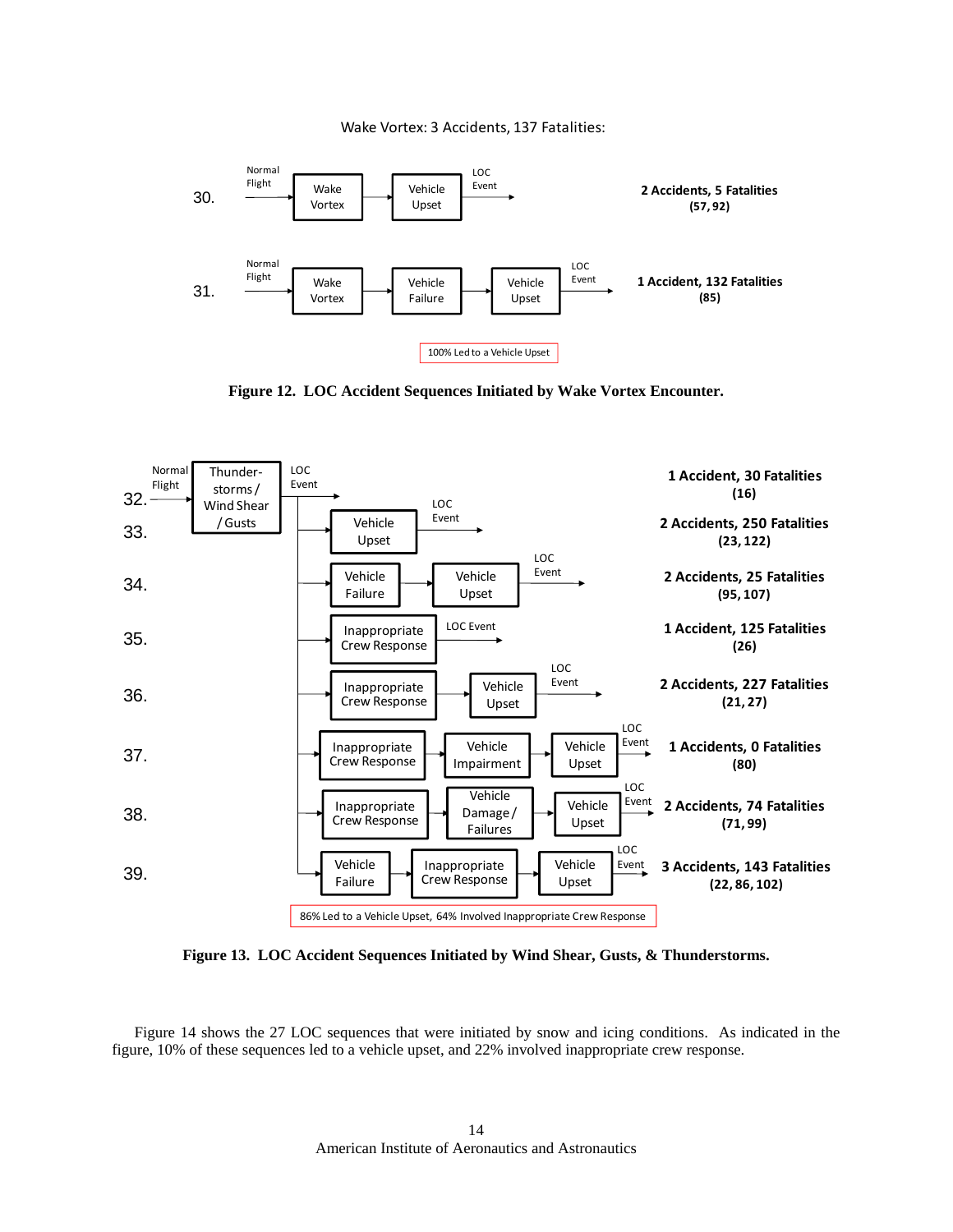Wake Vortex: 3 Accidents, 137 Fatalities:



**Figure 12. LOC Accident Sequences Initiated by Wake Vortex Encounter.** 



**Figure 13. LOC Accident Sequences Initiated by Wind Shear, Gusts, & Thunderstorms.**

Figure 14 shows the 27 LOC sequences that were initiated by snow and icing conditions. As indicated in the figure, 10% of these sequences led to a vehicle upset, and 22% involved inappropriate crew response.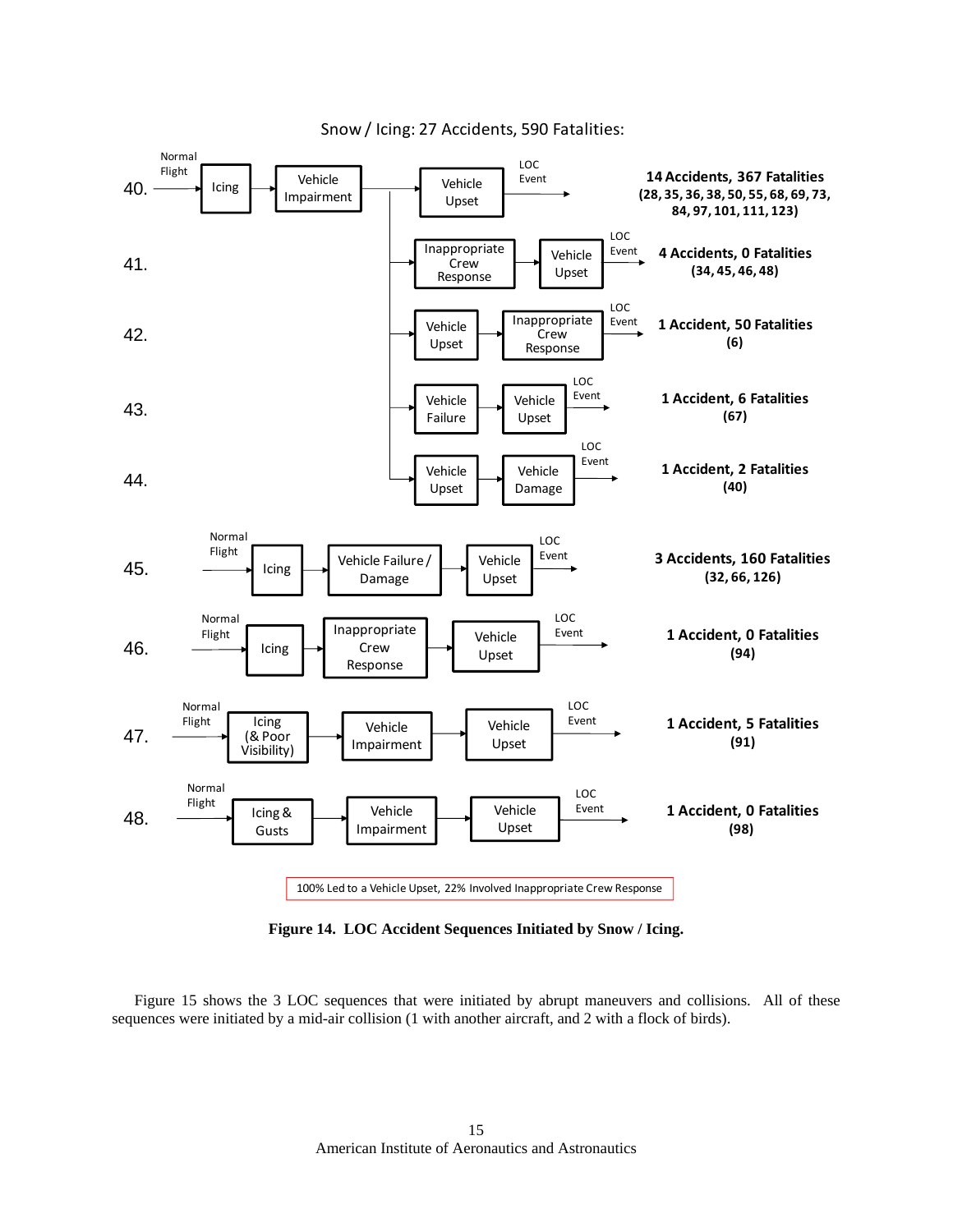

Snow / Icing: 27 Accidents, 590 Fatalities:

**Figure 14. LOC Accident Sequences Initiated by Snow / Icing.** 

Figure 15 shows the 3 LOC sequences that were initiated by abrupt maneuvers and collisions. All of these sequences were initiated by a mid-air collision (1 with another aircraft, and 2 with a flock of birds).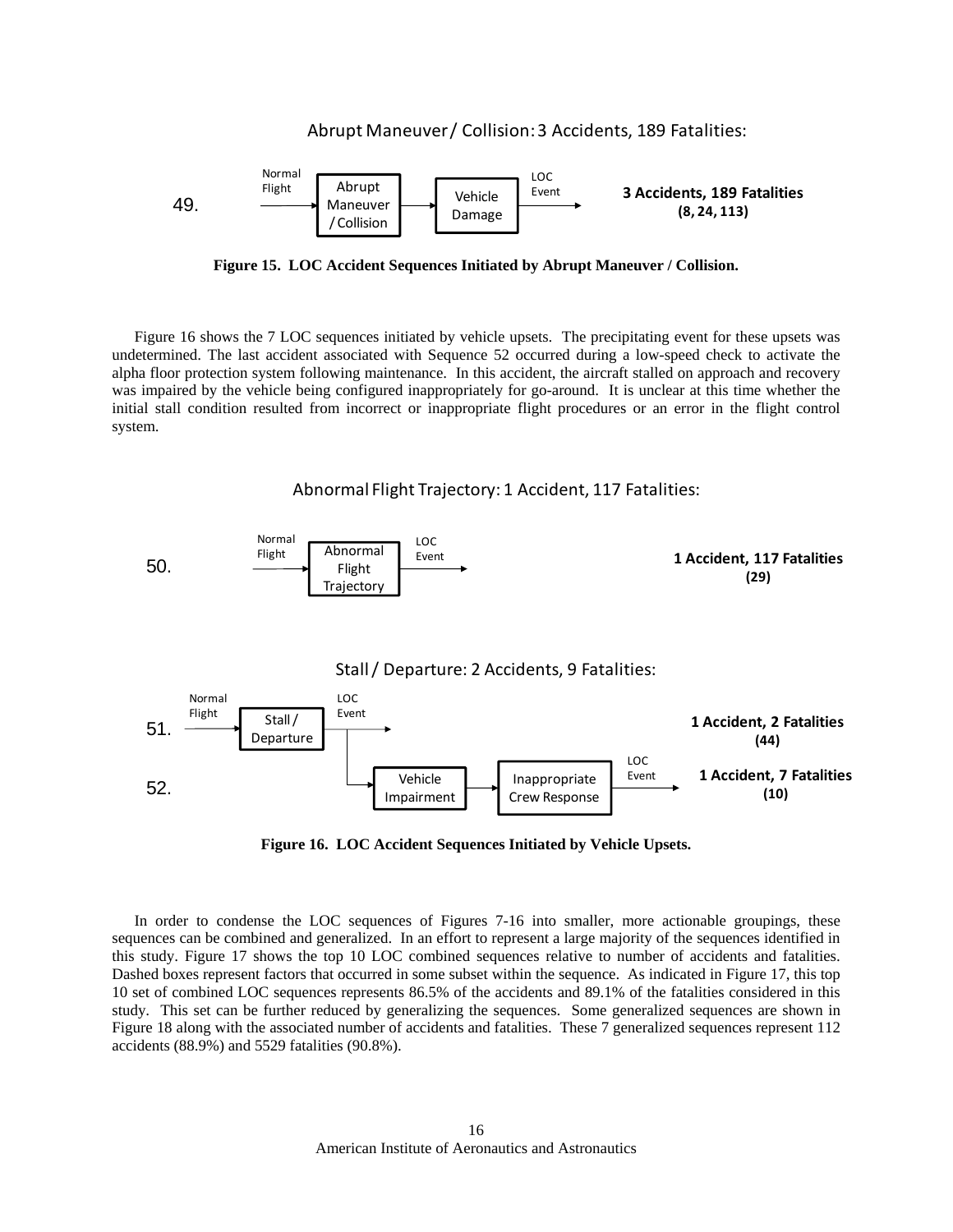

**Figure 15. LOC Accident Sequences Initiated by Abrupt Maneuver / Collision.** 

Figure 16 shows the 7 LOC sequences initiated by vehicle upsets. The precipitating event for these upsets was undetermined. The last accident associated with Sequence 52 occurred during a low-speed check to activate the alpha floor protection system following maintenance. In this accident, the aircraft stalled on approach and recovery was impaired by the vehicle being configured inappropriately for go-around. It is unclear at this time whether the initial stall condition resulted from incorrect or inappropriate flight procedures or an error in the flight control system.





 In order to condense the LOC sequences of Figures 7-16 into smaller, more actionable groupings, these sequences can be combined and generalized. In an effort to represent a large majority of the sequences identified in this study. Figure 17 shows the top 10 LOC combined sequences relative to number of accidents and fatalities. Dashed boxes represent factors that occurred in some subset within the sequence. As indicated in Figure 17, this top 10 set of combined LOC sequences represents 86.5% of the accidents and 89.1% of the fatalities considered in this study. This set can be further reduced by generalizing the sequences. Some generalized sequences are shown in Figure 18 along with the associated number of accidents and fatalities. These 7 generalized sequences represent 112 accidents (88.9%) and 5529 fatalities (90.8%).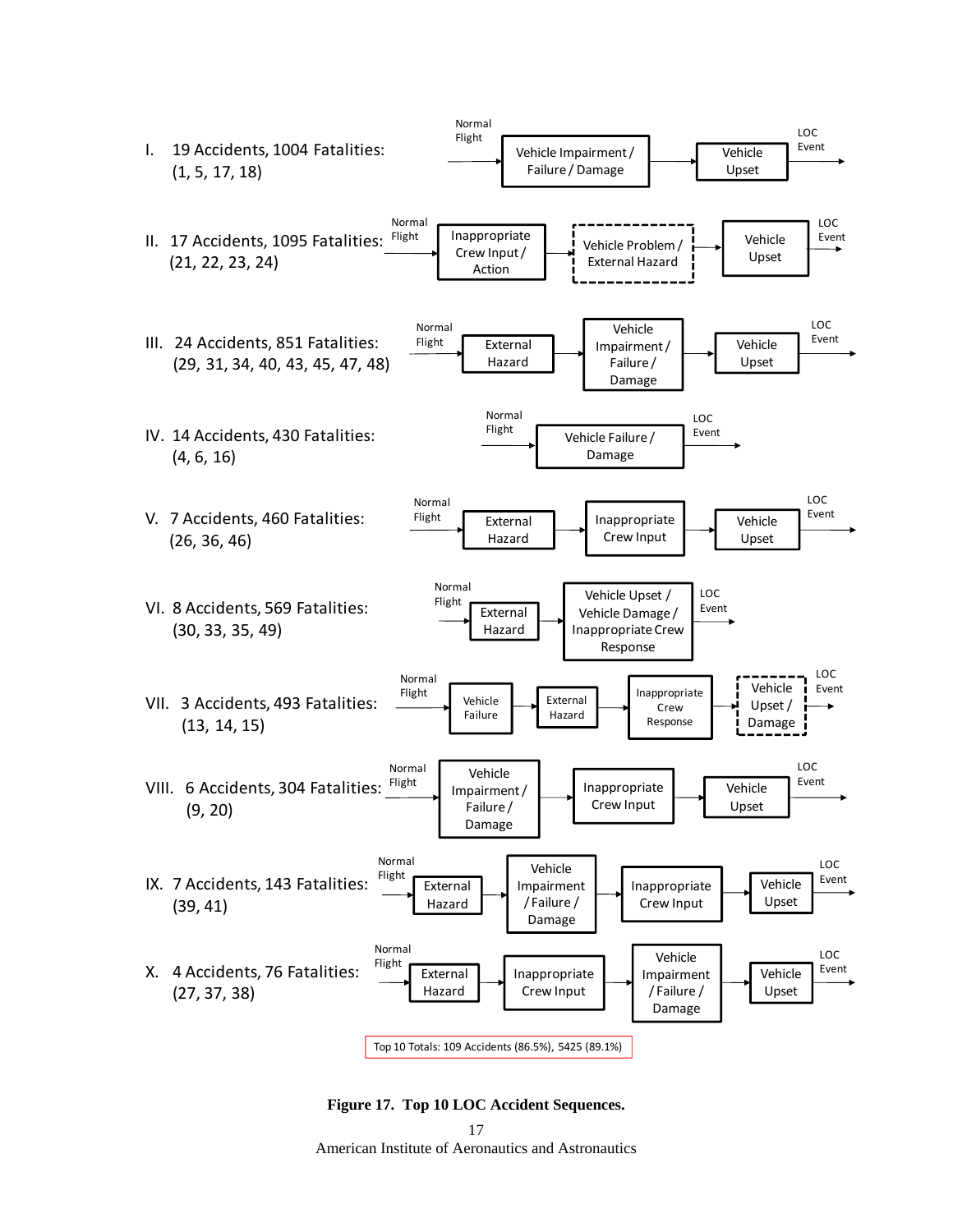



American Institute of Aeronautics and Astronautics 17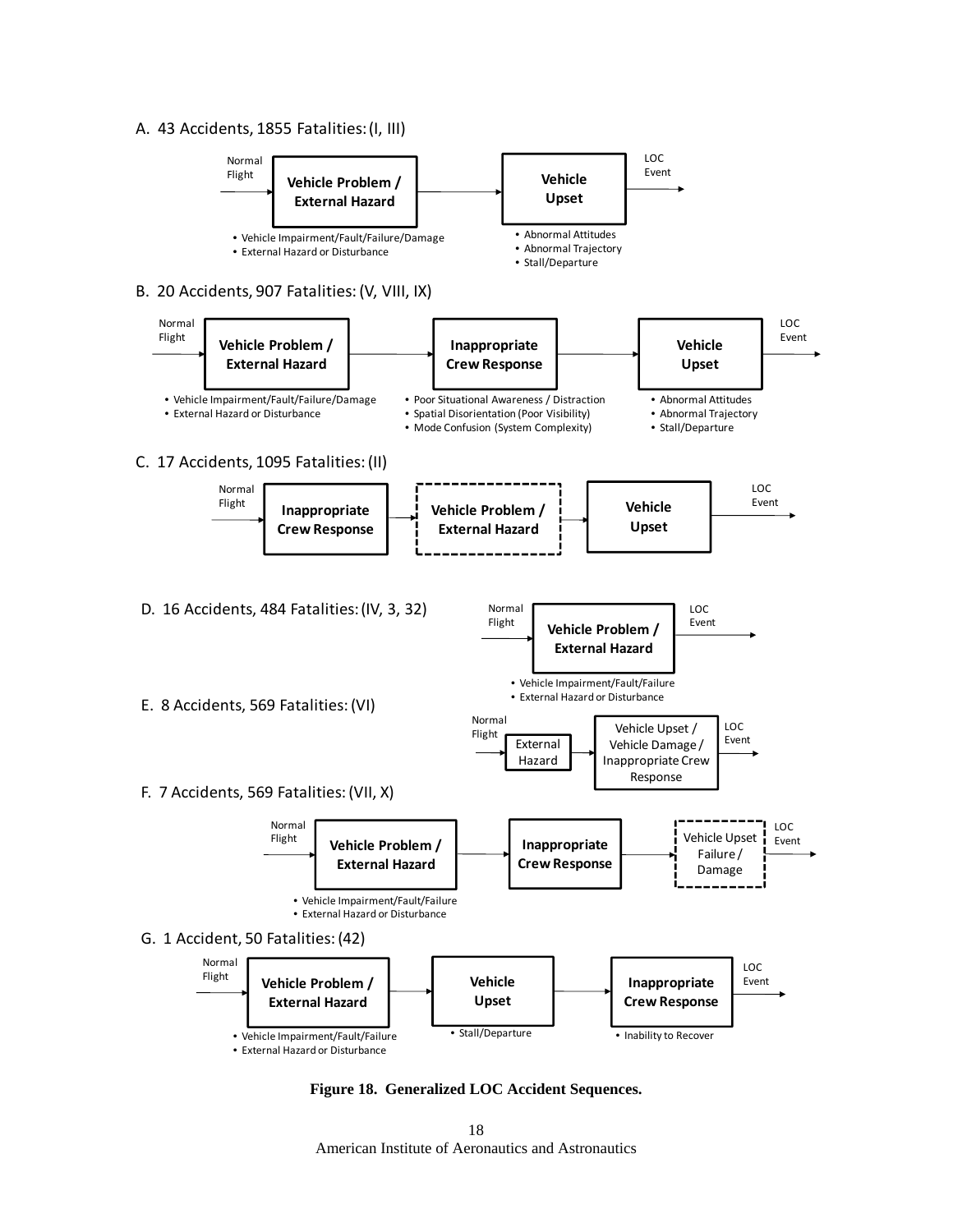## A. 43 Accidents, 1855 Fatalities:(I, III)



**Figure 18. Generalized LOC Accident Sequences.** 

American Institute of Aeronautics and Astronautics 18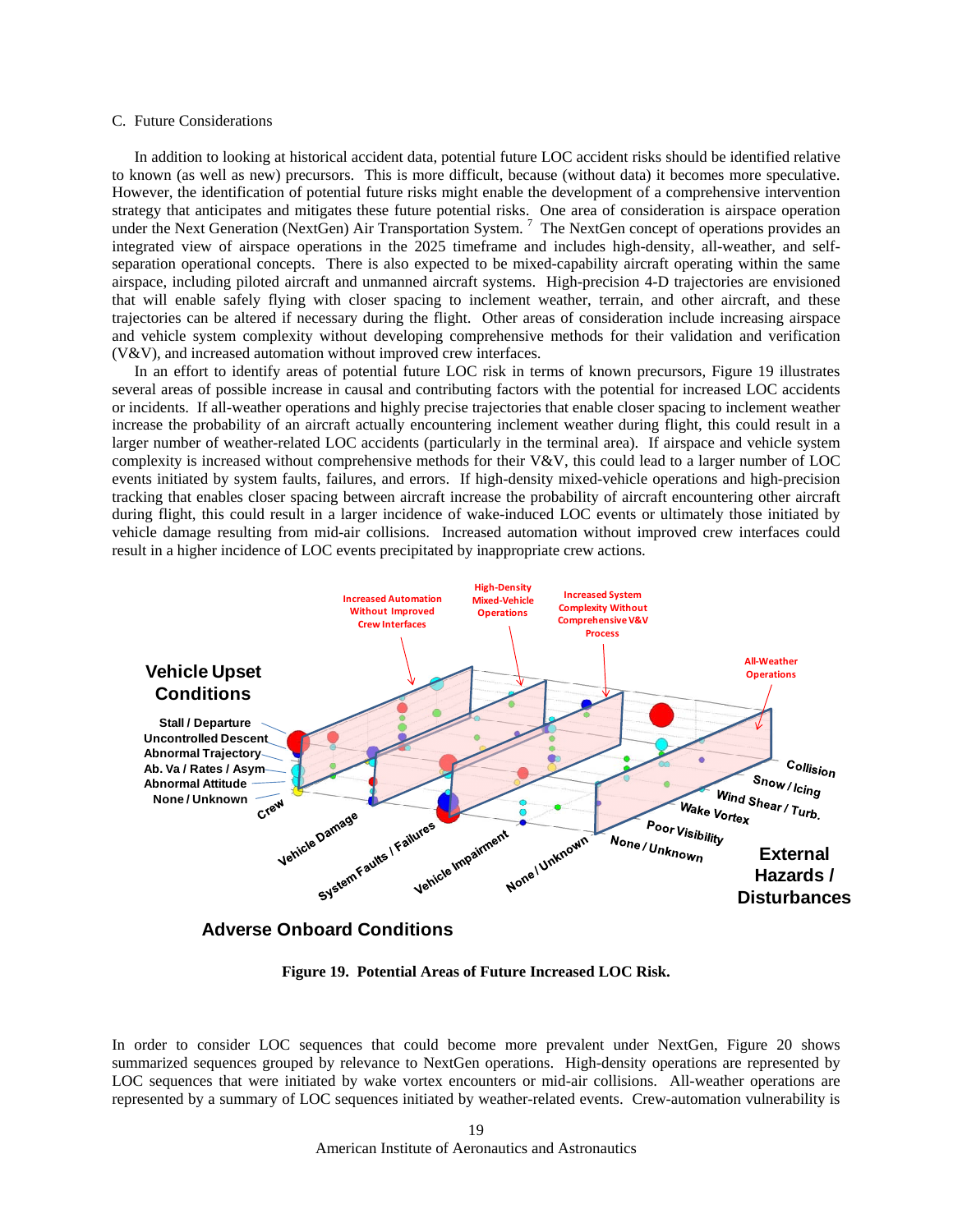#### C. Future Considerations

In addition to looking at historical accident data, potential future LOC accident risks should be identified relative to known (as well as new) precursors. This is more difficult, because (without data) it becomes more speculative. However, the identification of potential future risks might enable the development of a comprehensive intervention strategy that anticipates and mitigates these future potential risks. One area of consideration is airspace operation under the Next Generation (NextGen) Air Transportation System.<sup>7</sup> The NextGen concept of operations provides an integrated view of airspace operations in the 2025 timeframe and includes high-density, all-weather, and selfseparation operational concepts. There is also expected to be mixed-capability aircraft operating within the same airspace, including piloted aircraft and unmanned aircraft systems. High-precision 4-D trajectories are envisioned that will enable safely flying with closer spacing to inclement weather, terrain, and other aircraft, and these trajectories can be altered if necessary during the flight. Other areas of consideration include increasing airspace and vehicle system complexity without developing comprehensive methods for their validation and verification (V&V), and increased automation without improved crew interfaces.

In an effort to identify areas of potential future LOC risk in terms of known precursors, Figure 19 illustrates several areas of possible increase in causal and contributing factors with the potential for increased LOC accidents or incidents. If all-weather operations and highly precise trajectories that enable closer spacing to inclement weather increase the probability of an aircraft actually encountering inclement weather during flight, this could result in a larger number of weather-related LOC accidents (particularly in the terminal area). If airspace and vehicle system complexity is increased without comprehensive methods for their V&V, this could lead to a larger number of LOC events initiated by system faults, failures, and errors. If high-density mixed-vehicle operations and high-precision tracking that enables closer spacing between aircraft increase the probability of aircraft encountering other aircraft during flight, this could result in a larger incidence of wake-induced LOC events or ultimately those initiated by vehicle damage resulting from mid-air collisions. Increased automation without improved crew interfaces could result in a higher incidence of LOC events precipitated by inappropriate crew actions.



**Adverse Onboard Conditions**

**Figure 19. Potential Areas of Future Increased LOC Risk.** 

In order to consider LOC sequences that could become more prevalent under NextGen, Figure 20 shows summarized sequences grouped by relevance to NextGen operations. High-density operations are represented by LOC sequences that were initiated by wake vortex encounters or mid-air collisions. All-weather operations are represented by a summary of LOC sequences initiated by weather-related events. Crew-automation vulnerability is

> American Institute of Aeronautics and Astronautics 19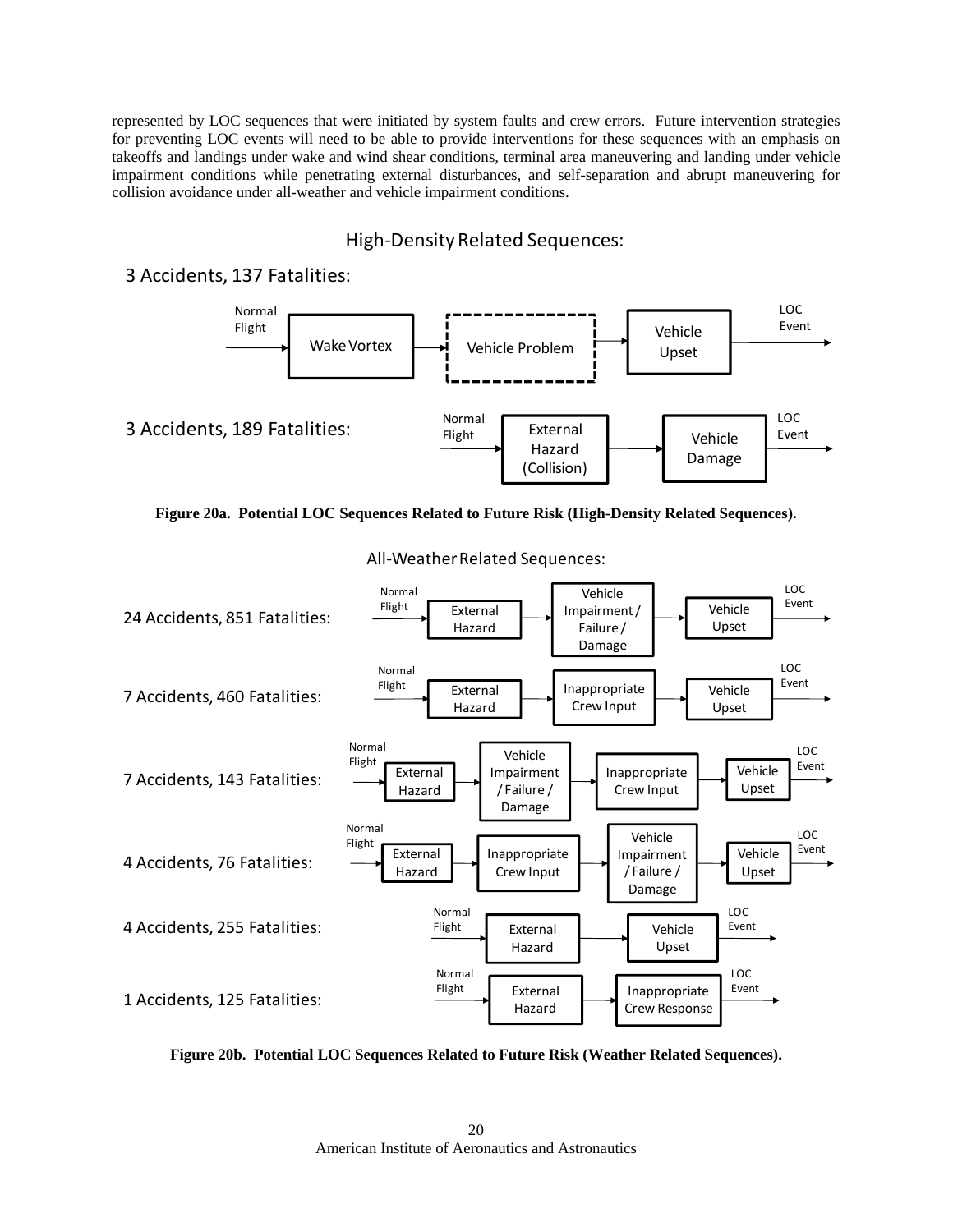represented by LOC sequences that were initiated by system faults and crew errors. Future intervention strategies for preventing LOC events will need to be able to provide interventions for these sequences with an emphasis on takeoffs and landings under wake and wind shear conditions, terminal area maneuvering and landing under vehicle impairment conditions while penetrating external disturbances, and self-separation and abrupt maneuvering for collision avoidance under all-weather and vehicle impairment conditions.

# High-Density Related Sequences:

## 3 Accidents, 137 Fatalities:







All-Weather Related Sequences:

**Figure 20b. Potential LOC Sequences Related to Future Risk (Weather Related Sequences).**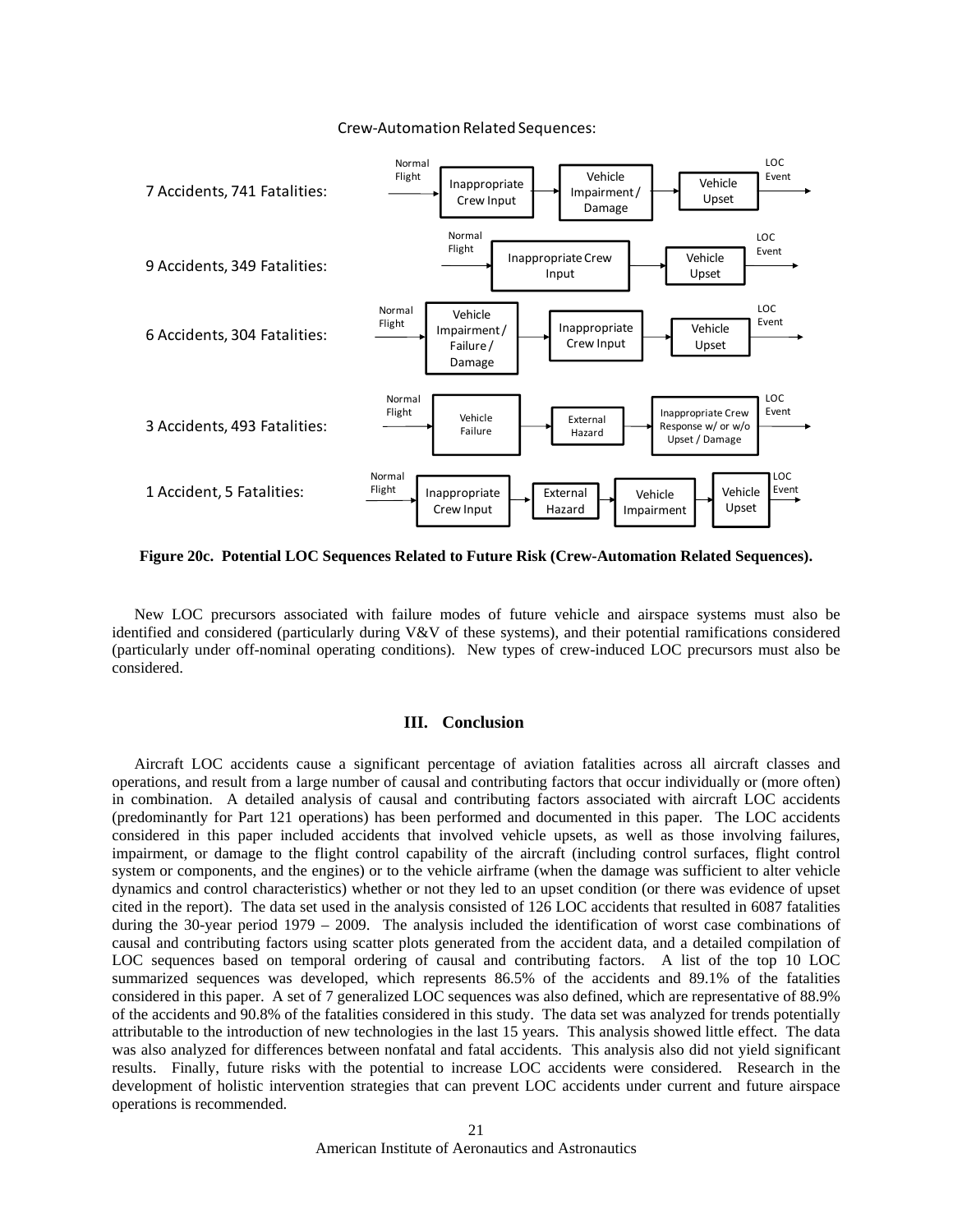#### Crew‐Automation Related Sequences:



**Figure 20c. Potential LOC Sequences Related to Future Risk (Crew-Automation Related Sequences).** 

New LOC precursors associated with failure modes of future vehicle and airspace systems must also be identified and considered (particularly during  $V&V$  of these systems), and their potential ramifications considered (particularly under off-nominal operating conditions). New types of crew-induced LOC precursors must also be considered.

#### **III. Conclusion**

Aircraft LOC accidents cause a significant percentage of aviation fatalities across all aircraft classes and operations, and result from a large number of causal and contributing factors that occur individually or (more often) in combination. A detailed analysis of causal and contributing factors associated with aircraft LOC accidents (predominantly for Part 121 operations) has been performed and documented in this paper*.* The LOC accidents considered in this paper included accidents that involved vehicle upsets, as well as those involving failures, impairment, or damage to the flight control capability of the aircraft (including control surfaces, flight control system or components, and the engines) or to the vehicle airframe (when the damage was sufficient to alter vehicle dynamics and control characteristics) whether or not they led to an upset condition (or there was evidence of upset cited in the report). The data set used in the analysis consisted of 126 LOC accidents that resulted in 6087 fatalities during the 30-year period 1979 – 2009. The analysis included the identification of worst case combinations of causal and contributing factors using scatter plots generated from the accident data, and a detailed compilation of LOC sequences based on temporal ordering of causal and contributing factors. A list of the top 10 LOC summarized sequences was developed, which represents 86.5% of the accidents and 89.1% of the fatalities considered in this paper. A set of 7 generalized LOC sequences was also defined, which are representative of 88.9% of the accidents and 90.8% of the fatalities considered in this study. The data set was analyzed for trends potentially attributable to the introduction of new technologies in the last 15 years. This analysis showed little effect. The data was also analyzed for differences between nonfatal and fatal accidents. This analysis also did not yield significant results. Finally, future risks with the potential to increase LOC accidents were considered. Research in the development of holistic intervention strategies that can prevent LOC accidents under current and future airspace operations is recommended.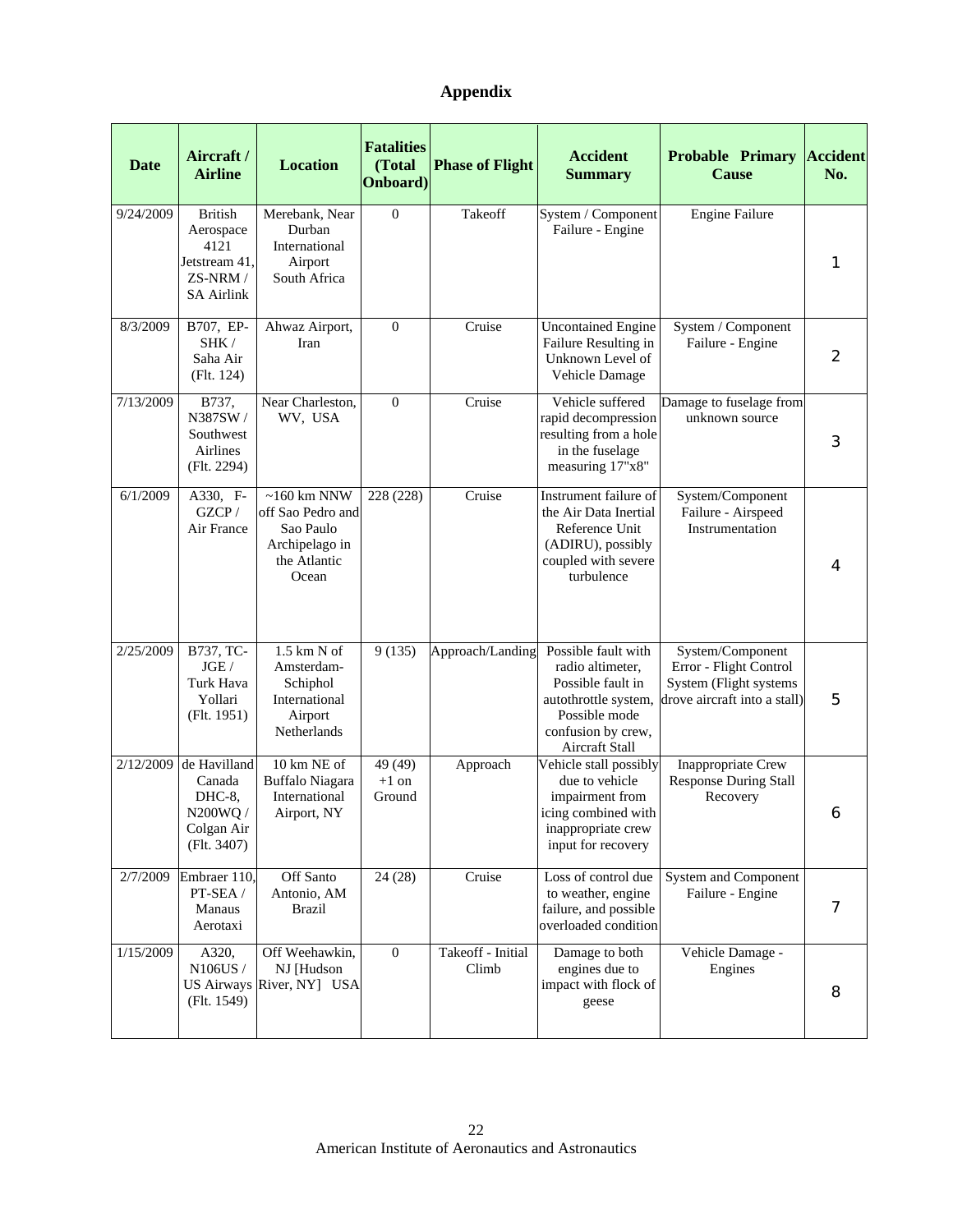# **Appendix**

| <b>Date</b> | Aircraft/<br><b>Airline</b>                                                           | <b>Location</b>                                                                            | <b>Fatalities</b><br>(Total<br>Onboard) | <b>Phase of Flight</b>     | <b>Accident</b><br><b>Summary</b>                                                                                                             | <b>Probable Primary</b><br><b>Cause</b>                                                              | <b>Accident</b><br>No. |
|-------------|---------------------------------------------------------------------------------------|--------------------------------------------------------------------------------------------|-----------------------------------------|----------------------------|-----------------------------------------------------------------------------------------------------------------------------------------------|------------------------------------------------------------------------------------------------------|------------------------|
| 9/24/2009   | <b>British</b><br>Aerospace<br>4121<br>Jetstream 41.<br>ZS-NRM /<br><b>SA Airlink</b> | Merebank, Near<br>Durban<br>International<br>Airport<br>South Africa                       | $\overline{0}$                          | Takeoff                    | System / Component<br>Failure - Engine                                                                                                        | <b>Engine Failure</b>                                                                                | 1                      |
| 8/3/2009    | B707, EP-<br>SHK/<br>Saha Air<br>(Flt. 124)                                           | Ahwaz Airport,<br>Iran                                                                     | $\mathbf{0}$                            | Cruise                     | <b>Uncontained Engine</b><br>Failure Resulting in<br>Unknown Level of<br>Vehicle Damage                                                       | System / Component<br>Failure - Engine                                                               | 2                      |
| 7/13/2009   | B737,<br>N387SW/<br>Southwest<br>Airlines<br>(Flt. 2294)                              | Near Charleston,<br>WV, USA                                                                | $\theta$                                | Cruise                     | Vehicle suffered<br>rapid decompression<br>resulting from a hole<br>in the fuselage<br>measuring 17"x8"                                       | Damage to fuselage from<br>unknown source                                                            | 3                      |
| 6/1/2009    | A330, F-<br>GZCP/<br>Air France                                                       | $~160$ km NNW<br>off Sao Pedro and<br>Sao Paulo<br>Archipelago in<br>the Atlantic<br>Ocean | 228 (228)                               | Cruise                     | Instrument failure of<br>the Air Data Inertial<br>Reference Unit<br>(ADIRU), possibly<br>coupled with severe<br>turbulence                    | System/Component<br>Failure - Airspeed<br>Instrumentation                                            | 4                      |
| 2/25/2009   | B737, TC-<br>JGE/<br>Turk Hava<br>Yollari<br>(Flt. 1951)                              | 1.5 km N of<br>Amsterdam-<br>Schiphol<br>International<br>Airport<br>Netherlands           | 9(135)                                  | Approach/Landing           | Possible fault with<br>radio altimeter,<br>Possible fault in<br>autothrottle system,<br>Possible mode<br>confusion by crew,<br>Aircraft Stall | System/Component<br>Error - Flight Control<br>System (Flight systems<br>drove aircraft into a stall) | 5                      |
| 2/12/2009   | de Havilland<br>Canada<br>DHC-8,<br>N200WQ /<br>Colgan Air<br>(Flt. 3407)             | 10 km NE of<br>Buffalo Niagara<br>International<br>Airport, NY                             | 49 (49)<br>$+1$ on<br>Ground            | Approach                   | Vehicle stall possibly<br>due to vehicle<br>impairment from<br>icing combined with<br>inappropriate crew<br>input for recovery                | Inappropriate Crew<br><b>Response During Stall</b><br>Recovery                                       | 6                      |
| 2/7/2009    | Embraer 110,<br>PT-SEA /<br>Manaus<br>Aerotaxi                                        | Off Santo<br>Antonio, AM<br><b>Brazil</b>                                                  | 24(28)                                  | Cruise                     | Loss of control due<br>to weather, engine<br>failure, and possible<br>overloaded condition                                                    | System and Component<br>Failure - Engine                                                             | 7                      |
| 1/15/2009   | A320,<br>N106US /<br>(Flt. 1549)                                                      | Off Weehawkin,<br>NJ [Hudson<br>US Airways River, NY] USA                                  | $\overline{0}$                          | Takeoff - Initial<br>Climb | Damage to both<br>engines due to<br>impact with flock of<br>geese                                                                             | Vehicle Damage -<br>Engines                                                                          | 8                      |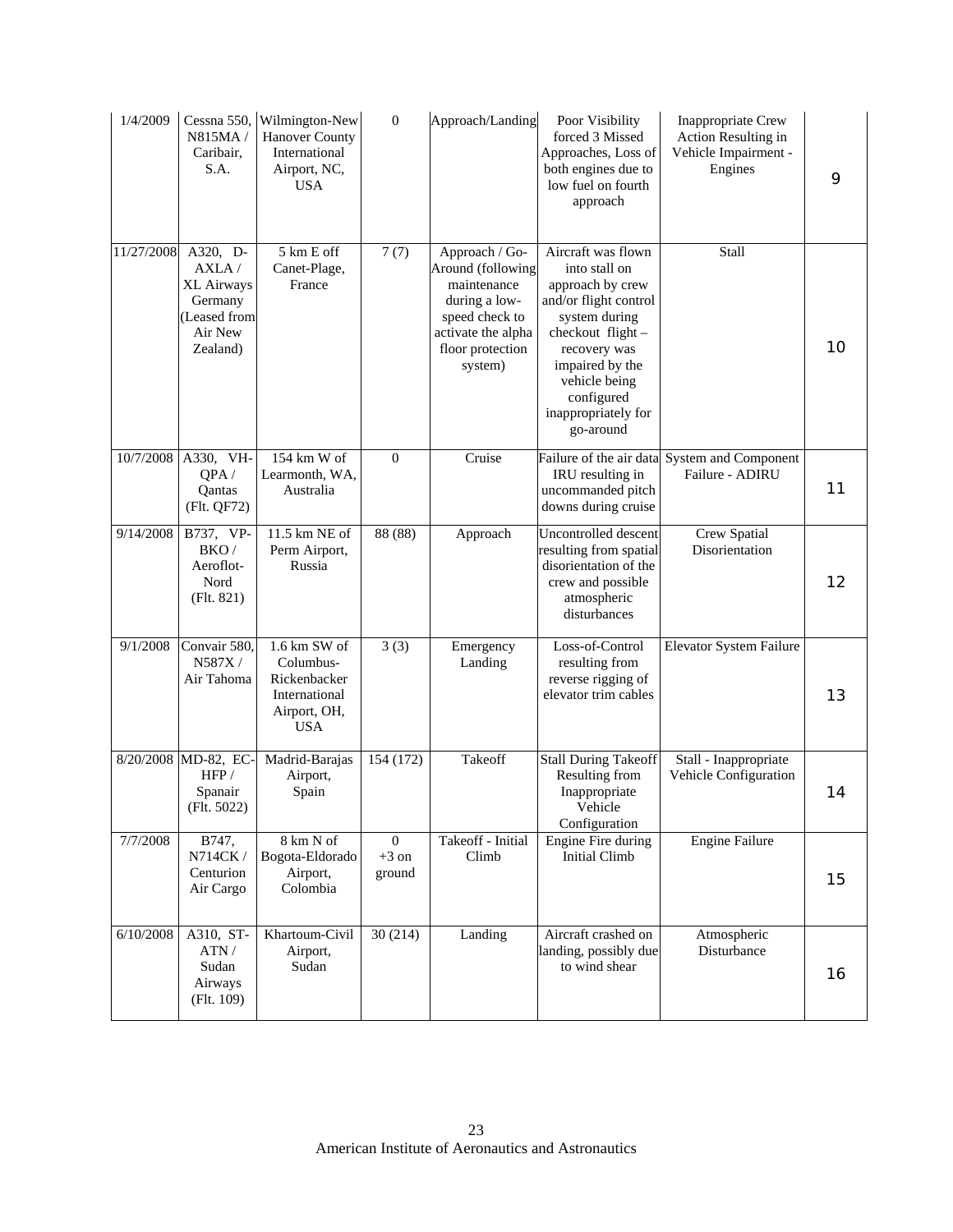| 1/4/2009   | Cessna 550,<br>N815MA/<br>Caribair,<br>S.A.                                       | Wilmington-New<br><b>Hanover County</b><br>International<br>Airport, NC,<br><b>USA</b>     | $\boldsymbol{0}$                  | Approach/Landing                                                                                                                           | Poor Visibility<br>forced 3 Missed<br>Approaches, Loss of<br>both engines due to<br>low fuel on fourth<br>approach                                                                                                          | <b>Inappropriate Crew</b><br>Action Resulting in<br>Vehicle Impairment -<br>Engines | 9  |
|------------|-----------------------------------------------------------------------------------|--------------------------------------------------------------------------------------------|-----------------------------------|--------------------------------------------------------------------------------------------------------------------------------------------|-----------------------------------------------------------------------------------------------------------------------------------------------------------------------------------------------------------------------------|-------------------------------------------------------------------------------------|----|
| 11/27/2008 | A320, D-<br>AXLA/<br>XL Airways<br>Germany<br>(Leased from<br>Air New<br>Zealand) | 5 km E off<br>Canet-Plage,<br>France                                                       | 7(7)                              | Approach / Go-<br>Around (following<br>maintenance<br>during a low-<br>speed check to<br>activate the alpha<br>floor protection<br>system) | Aircraft was flown<br>into stall on<br>approach by crew<br>and/or flight control<br>system during<br>checkout flight-<br>recovery was<br>impaired by the<br>vehicle being<br>configured<br>inappropriately for<br>go-around | Stall                                                                               | 10 |
|            | 10/7/2008 A330, VH-<br>QPA/<br>Oantas<br>(Flt. QF72)                              | 154 km W of<br>Learmonth, WA,<br>Australia                                                 | $\boldsymbol{0}$                  | Cruise                                                                                                                                     | IRU resulting in<br>uncommanded pitch<br>downs during cruise                                                                                                                                                                | Failure of the air data System and Component<br>Failure - ADIRU                     | 11 |
| 9/14/2008  | B737, VP-<br>BKO/<br>Aeroflot-<br>Nord<br>(Flt. 821)                              | 11.5 km NE of<br>Perm Airport,<br>Russia                                                   | 88(88)                            | Approach                                                                                                                                   | Uncontrolled descent<br>resulting from spatial<br>disorientation of the<br>crew and possible<br>atmospheric<br>disturbances                                                                                                 | <b>Crew Spatial</b><br>Disorientation                                               | 12 |
| 9/1/2008   | Convair 580,<br>N587X/<br>Air Tahoma                                              | $1.6$ km SW of<br>Columbus-<br>Rickenbacker<br>International<br>Airport, OH,<br><b>USA</b> | 3(3)                              | Emergency<br>Landing                                                                                                                       | Loss-of-Control<br>resulting from<br>reverse rigging of<br>elevator trim cables                                                                                                                                             | Elevator System Failure                                                             | 13 |
|            | 8/20/2008 MD-82, EC-<br>HFP/<br>Spanair<br>(Flt. 5022)                            | Madrid-Barajas<br>Airport,<br>Spain                                                        | 154 (172)                         | Takeoff                                                                                                                                    | <b>Stall During Takeoff</b><br>Resulting from<br>Inappropriate<br>Vehicle<br>Configuration                                                                                                                                  | Stall - Inappropriate<br>Vehicle Configuration                                      | 14 |
| 7/7/2008   | B747,<br>N714CK /<br>Centurion<br>Air Cargo                                       | 8 km N of<br>Bogota-Eldorado<br>Airport,<br>Colombia                                       | $\mathbf{0}$<br>$+3$ on<br>ground | Takeoff - Initial<br>Climb                                                                                                                 | <b>Engine Fire during</b><br><b>Initial Climb</b>                                                                                                                                                                           | <b>Engine Failure</b>                                                               | 15 |
| 6/10/2008  | A310, ST-<br>ATN/<br>Sudan<br>Airways<br>(Flt. 109)                               | Khartoum-Civil<br>Airport,<br>Sudan                                                        | 30(214)                           | Landing                                                                                                                                    | Aircraft crashed on<br>landing, possibly due<br>to wind shear                                                                                                                                                               | Atmospheric<br>Disturbance                                                          | 16 |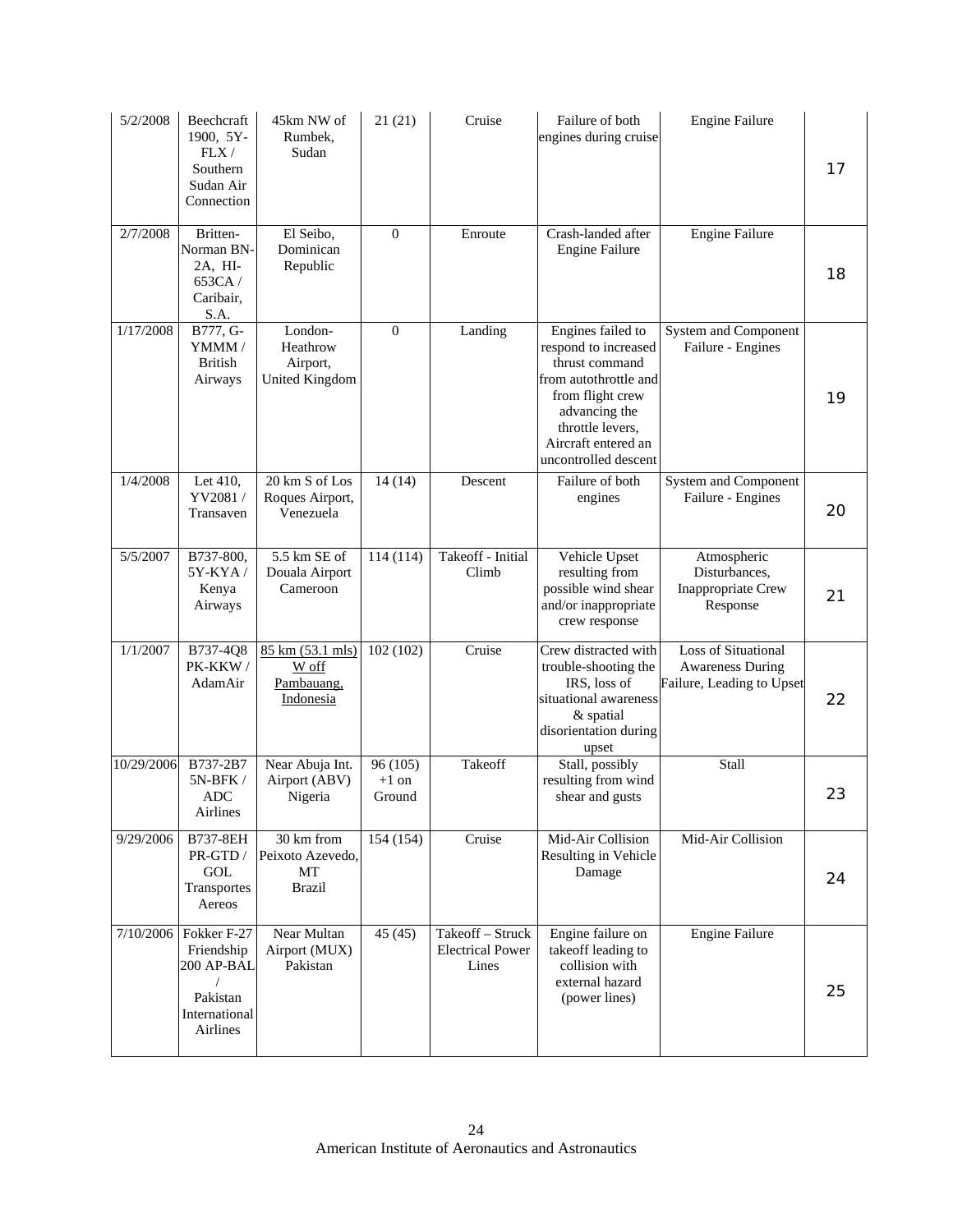| 5/2/2008   | Beechcraft<br>1900, 5Y-<br>FLX/<br>Southern<br>Sudan Air<br>Connection                     | 45km NW of<br>Rumbek.<br>Sudan                           | 21(21)                        | Cruise                                               | Failure of both<br>engines during cruise                                                                                                                                                     | <b>Engine Failure</b>                                                              | 17 |
|------------|--------------------------------------------------------------------------------------------|----------------------------------------------------------|-------------------------------|------------------------------------------------------|----------------------------------------------------------------------------------------------------------------------------------------------------------------------------------------------|------------------------------------------------------------------------------------|----|
| 2/7/2008   | Britten-<br>Norman BN-<br>2A, HI-<br>653CA/<br>Caribair.<br>S.A.                           | El Seibo,<br>Dominican<br>Republic                       | $\mathbf{0}$                  | Enroute                                              | Crash-landed after<br><b>Engine Failure</b>                                                                                                                                                  | <b>Engine Failure</b>                                                              | 18 |
| 1/17/2008  | B777, G-<br>YMMM/<br>British<br>Airways                                                    | London-<br>Heathrow<br>Airport,<br><b>United Kingdom</b> | $\theta$                      | Landing                                              | Engines failed to<br>respond to increased<br>thrust command<br>from autothrottle and<br>from flight crew<br>advancing the<br>throttle levers,<br>Aircraft entered an<br>uncontrolled descent | System and Component<br>Failure - Engines                                          | 19 |
| 1/4/2008   | Let 410,<br>YV2081/<br>Transaven                                                           | 20 km S of Los<br>Roques Airport,<br>Venezuela           | 14(14)                        | Descent                                              | Failure of both<br>engines                                                                                                                                                                   | System and Component<br>Failure - Engines                                          | 20 |
| 5/5/2007   | B737-800,<br>$5Y-KYA/$<br>Kenya<br>Airways                                                 | 5.5 km SE of<br>Douala Airport<br>Cameroon               | 114(114)                      | Takeoff - Initial<br>Climb                           | Vehicle Upset<br>resulting from<br>possible wind shear<br>and/or inappropriate<br>crew response                                                                                              | Atmospheric<br>Disturbances,<br>Inappropriate Crew<br>Response                     | 21 |
| 1/1/2007   | B737-4Q8<br>PK-KKW/<br>AdamAir                                                             | 85 km (53.1 mls)<br>W off<br>Pambauang,<br>Indonesia     | 102(102)                      | Cruise                                               | Crew distracted with<br>trouble-shooting the<br>IRS, loss of<br>situational awareness<br>& spatial<br>disorientation during<br>upset                                                         | <b>Loss of Situational</b><br><b>Awareness During</b><br>Failure, Leading to Upset | 22 |
| 10/29/2006 | B737-2B7<br>5N-BFK /<br><b>ADC</b><br>Airlines                                             | Near Abuja Int.<br>Airport (ABV)<br>Nigeria              | 96 (105)<br>$+1$ on<br>Ground | Takeoff                                              | Stall, possibly<br>resulting from wind<br>shear and gusts                                                                                                                                    | Stall                                                                              | 23 |
| 9/29/2006  | B737-8EH<br>PR-GTD /<br>GOL<br>Transportes<br>Aereos                                       | 30 km from<br>Peixoto Azevedo,<br>МT<br><b>Brazil</b>    | 154 (154)                     | Cruise                                               | Mid-Air Collision<br>Resulting in Vehicle<br>Damage                                                                                                                                          | Mid-Air Collision                                                                  | 24 |
|            | 7/10/2006 Fokker F-27<br>Friendship<br>200 AP-BAL<br>Pakistan<br>International<br>Airlines | Near Multan<br>Airport (MUX)<br>Pakistan                 | 45(45)                        | Takeoff - Struck<br><b>Electrical Power</b><br>Lines | Engine failure on<br>takeoff leading to<br>collision with<br>external hazard<br>(power lines)                                                                                                | <b>Engine Failure</b>                                                              | 25 |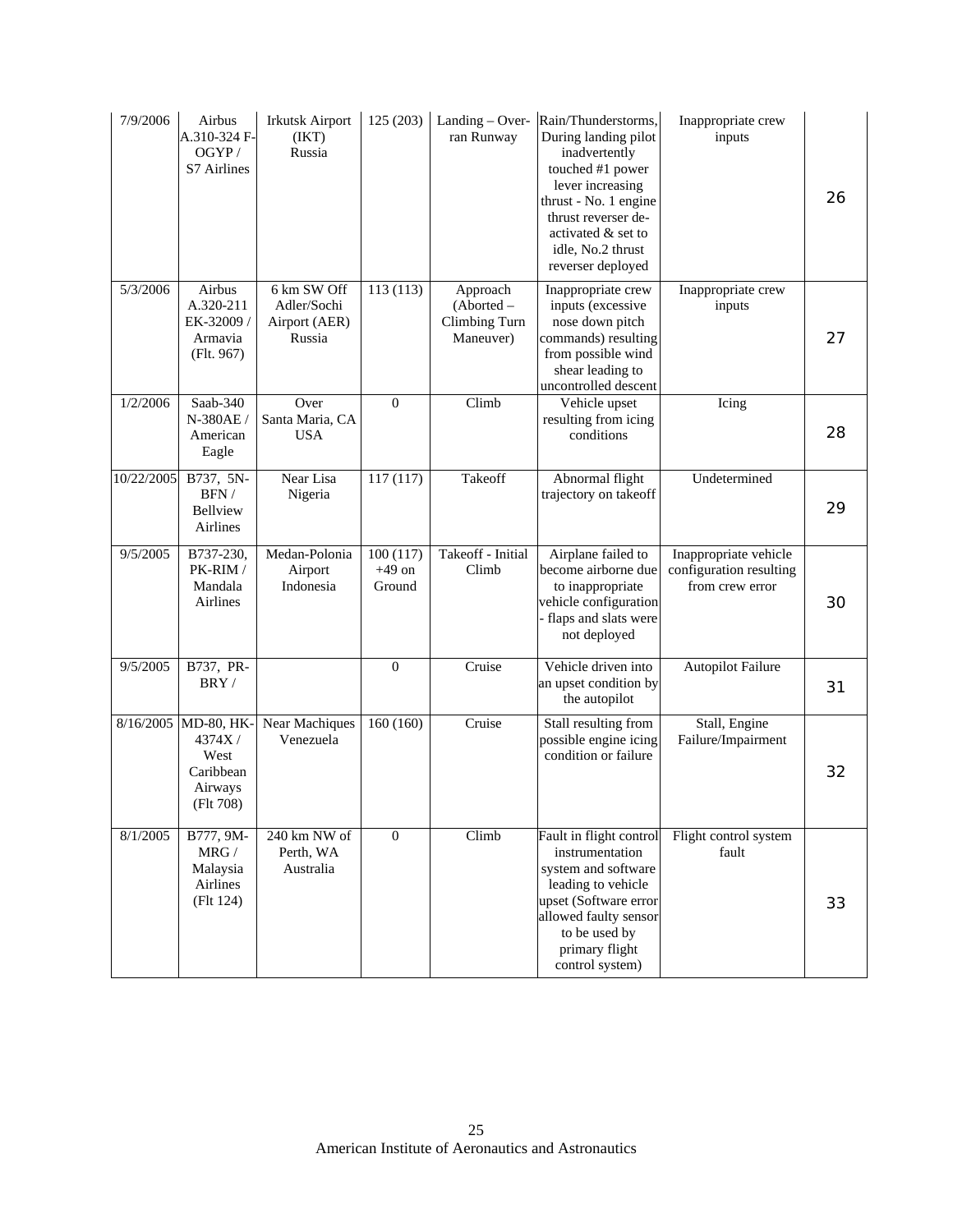| 7/9/2006   | Airbus<br>A.310-324 F-<br>OGYP/<br>S7 Airlines                    | <b>Irkutsk Airport</b><br>(IKT)<br>Russia             | 125 (203)                      | Landing – Over-<br>ran Runway                        | Rain/Thunderstorms,<br>During landing pilot<br>inadvertently<br>touched #1 power<br>lever increasing<br>thrust - No. 1 engine<br>thrust reverser de-<br>activated & set to<br>idle, No.2 thrust<br>reverser deployed | Inappropriate crew<br>inputs                                        | 26 |
|------------|-------------------------------------------------------------------|-------------------------------------------------------|--------------------------------|------------------------------------------------------|----------------------------------------------------------------------------------------------------------------------------------------------------------------------------------------------------------------------|---------------------------------------------------------------------|----|
| 5/3/2006   | Airbus<br>A.320-211<br>EK-32009/<br>Armavia<br>(Flt. 967)         | 6 km SW Off<br>Adler/Sochi<br>Airport (AER)<br>Russia | 113 (113)                      | Approach<br>(Aborted -<br>Climbing Turn<br>Maneuver) | Inappropriate crew<br>inputs (excessive<br>nose down pitch<br>commands) resulting<br>from possible wind<br>shear leading to<br>uncontrolled descent                                                                  | Inappropriate crew<br>inputs                                        | 27 |
| 1/2/2006   | Saab-340<br>N-380AE/<br>American<br>Eagle                         | Over<br>Santa Maria, CA<br><b>USA</b>                 | $\overline{0}$                 | Climb                                                | Vehicle upset<br>resulting from icing<br>conditions                                                                                                                                                                  | Icing                                                               | 28 |
| 10/22/2005 | B737, 5N-<br>$BFN$ /<br><b>Bellview</b><br>Airlines               | Near Lisa<br>Nigeria                                  | 117(117)                       | Takeoff                                              | Abnormal flight<br>trajectory on takeoff                                                                                                                                                                             | Undetermined                                                        | 29 |
| 9/5/2005   | B737-230,<br>PK-RIM /<br>Mandala<br>Airlines                      | Medan-Polonia<br>Airport<br>Indonesia                 | 100(117)<br>$+49$ on<br>Ground | Takeoff - Initial<br>Climb                           | Airplane failed to<br>become airborne due<br>to inappropriate<br>vehicle configuration<br>- flaps and slats were<br>not deployed                                                                                     | Inappropriate vehicle<br>configuration resulting<br>from crew error | 30 |
| 9/5/2005   | B737, PR-<br>BRY/                                                 |                                                       | $\mathbf{0}$                   | Cruise                                               | Vehicle driven into<br>an upset condition by<br>the autopilot                                                                                                                                                        | <b>Autopilot Failure</b>                                            | 31 |
| 8/16/2005  | MD-80, HK-<br>4374X/<br>West<br>Caribbean<br>Airways<br>(Flt 708) | Near Machiques<br>Venezuela                           | 160(160)                       | Cruise                                               | Stall resulting from<br>possible engine icing<br>condition or failure                                                                                                                                                | Stall, Engine<br>Failure/Impairment                                 | 32 |
| 8/1/2005   | B777, 9M-<br>$\rm{MRG}$ /<br>Malaysia<br>Airlines<br>(Flt 124)    | 240 km NW of<br>Perth, WA<br>Australia                | $\mathbf{0}$                   | Climb                                                | Fault in flight control<br>instrumentation<br>system and software<br>leading to vehicle<br>upset (Software error<br>allowed faulty sensor<br>to be used by<br>primary flight<br>control system)                      | Flight control system<br>fault                                      | 33 |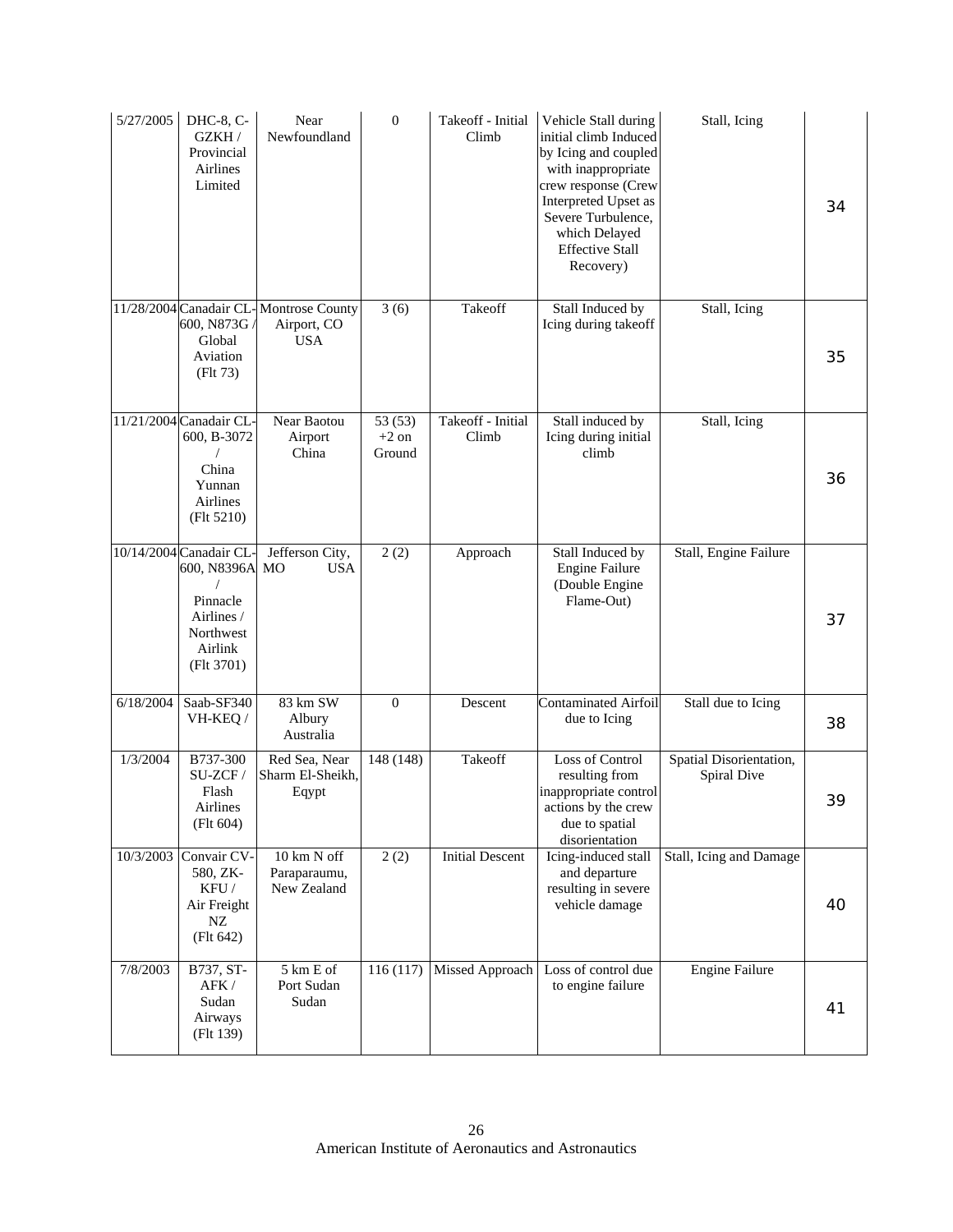| 5/27/2005 | DHC-8, C-<br>GZKH/<br>Provincial<br><b>Airlines</b><br>Limited                                        | Near<br>Newfoundland                                                | $\boldsymbol{0}$             | Takeoff - Initial<br>Climb | Vehicle Stall during<br>initial climb Induced<br>by Icing and coupled<br>with inappropriate<br>crew response (Crew<br>Interpreted Upset as<br>Severe Turbulence,<br>which Delayed<br><b>Effective Stall</b><br>Recovery) | Stall, Icing                           | 34 |
|-----------|-------------------------------------------------------------------------------------------------------|---------------------------------------------------------------------|------------------------------|----------------------------|--------------------------------------------------------------------------------------------------------------------------------------------------------------------------------------------------------------------------|----------------------------------------|----|
|           | 600, N873G<br>Global<br>Aviation<br>(Flt 73)                                                          | 11/28/2004 Canadair CL-Montrose County<br>Airport, CO<br><b>USA</b> | 3(6)                         | Takeoff                    | Stall Induced by<br>Icing during takeoff                                                                                                                                                                                 | Stall, Icing                           | 35 |
|           | 11/21/2004 Canadair CL-<br>600, B-3072<br>China<br>Yunnan<br>Airlines<br>(Flt 5210)                   | Near Baotou<br>Airport<br>China                                     | 53 (53)<br>$+2$ on<br>Ground | Takeoff - Initial<br>Climb | Stall induced by<br>Icing during initial<br>climb                                                                                                                                                                        | Stall, Icing                           | 36 |
|           | 10/14/2004 Canadair CL<br>600, N8396A<br>Pinnacle<br>Airlines /<br>Northwest<br>Airlink<br>(Flt 3701) | Jefferson City,<br>M <sub>O</sub><br><b>USA</b>                     | 2(2)                         | Approach                   | Stall Induced by<br><b>Engine Failure</b><br>(Double Engine<br>Flame-Out)                                                                                                                                                | Stall, Engine Failure                  | 37 |
| 6/18/2004 | Saab-SF340<br>VH-KEQ/                                                                                 | $83 \overline{\text{ km } \text{SW}}$<br>Albury<br>Australia        | $\boldsymbol{0}$             | Descent                    | <b>Contaminated Airfoil</b><br>due to Icing                                                                                                                                                                              | Stall due to Icing                     | 38 |
| 1/3/2004  | B737-300<br>SU-ZCF/<br>Flash<br>Airlines<br>(Flt 604)                                                 | Red Sea, Near<br>Sharm El-Sheikh,<br>Eqypt                          | 148 (148)                    | Takeoff                    | Loss of Control<br>resulting from<br>inappropriate control<br>actions by the crew<br>due to spatial<br>disorientation                                                                                                    | Spatial Disorientation,<br>Spiral Dive | 39 |
|           | 10/3/2003 Convair CV-<br>580, ZK-<br>KFU/<br>Air Freight<br>NZ<br>(Flt 642)                           | 10 km N off<br>Paraparaumu,<br>New Zealand                          | 2(2)                         | <b>Initial Descent</b>     | Icing-induced stall<br>and departure<br>resulting in severe<br>vehicle damage                                                                                                                                            | Stall, Icing and Damage                | 40 |
| 7/8/2003  | B737, ST-<br>AFK /<br>Sudan<br>Airways<br>(Flt 139)                                                   | 5 km E of<br>Port Sudan<br>Sudan                                    | 116 (117)                    | Missed Approach            | Loss of control due<br>to engine failure                                                                                                                                                                                 | <b>Engine Failure</b>                  | 41 |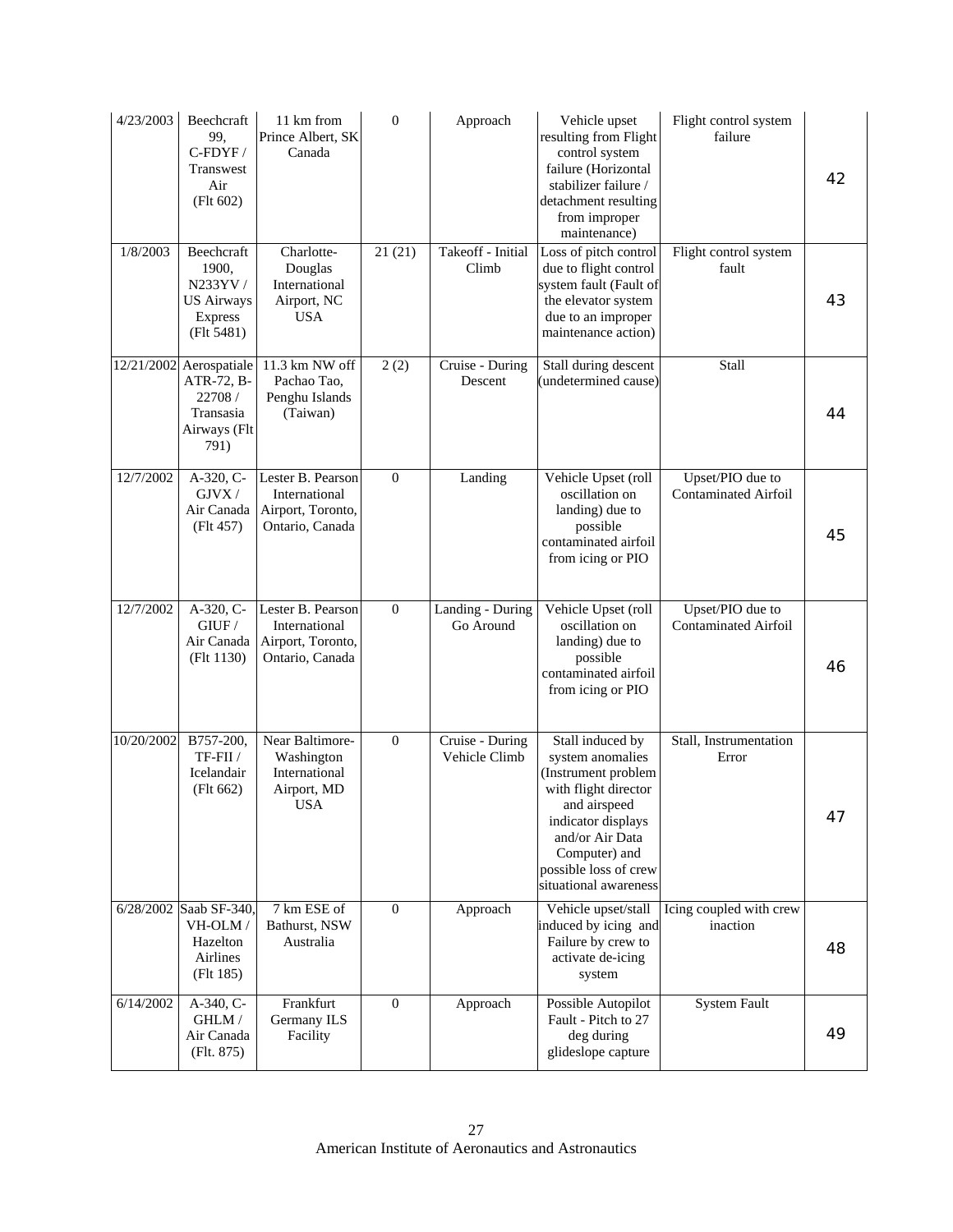| 4/23/2003  | Beechcraft<br>99.<br>C-FDYF /<br>Transwest<br>Air<br>(Flt 602)                        | 11 km from<br>Prince Albert, SK<br>Canada                                   | $\boldsymbol{0}$ | Approach                         | Vehicle upset<br>resulting from Flight<br>control system<br>failure (Horizontal<br>stabilizer failure /<br>detachment resulting<br>from improper<br>maintenance)                                                | Flight control system<br>failure                | 42 |
|------------|---------------------------------------------------------------------------------------|-----------------------------------------------------------------------------|------------------|----------------------------------|-----------------------------------------------------------------------------------------------------------------------------------------------------------------------------------------------------------------|-------------------------------------------------|----|
| 1/8/2003   | Beechcraft<br>1900.<br>N233YV/<br><b>US Airways</b><br><b>Express</b><br>(Flt 5481)   | Charlotte-<br>Douglas<br>International<br>Airport, NC<br><b>USA</b>         | 21(21)           | Takeoff - Initial<br>Climb       | Loss of pitch control<br>due to flight control<br>system fault (Fault of<br>the elevator system<br>due to an improper<br>maintenance action)                                                                    | Flight control system<br>fault                  | 43 |
|            | 12/21/2002 Aerospatiale<br>ATR-72, B-<br>22708 /<br>Transasia<br>Airways (Flt<br>791) | 11.3 km NW off<br>Pachao Tao,<br>Penghu Islands<br>(Taiwan)                 | 2(2)             | Cruise - During<br>Descent       | Stall during descent<br>(undetermined cause)                                                                                                                                                                    | Stall                                           | 44 |
| 12/7/2002  | $A-320, C-$<br>GJVX/<br>Air Canada<br>(Flt 457)                                       | Lester B. Pearson<br>International<br>Airport, Toronto,<br>Ontario, Canada  | $\mathbf{0}$     | Landing                          | Vehicle Upset (roll<br>oscillation on<br>landing) due to<br>possible<br>contaminated airfoil<br>from icing or PIO                                                                                               | Upset/PIO due to<br><b>Contaminated Airfoil</b> | 45 |
| 12/7/2002  | A-320, C-<br>G I U F /<br>Air Canada<br>(Flt 1130)                                    | Lester B. Pearson<br>International<br>Airport, Toronto,<br>Ontario, Canada  | $\boldsymbol{0}$ | Landing - During<br>Go Around    | Vehicle Upset (roll<br>oscillation on<br>landing) due to<br>possible<br>contaminated airfoil<br>from icing or PIO                                                                                               | Upset/PIO due to<br><b>Contaminated Airfoil</b> | 46 |
| 10/20/2002 | B757-200,<br>TF-FII /<br>Icelandair<br>(Flt 662)                                      | Near Baltimore-<br>Washington<br>International<br>Airport, MD<br><b>USA</b> | $\mathbf{0}$     | Cruise - During<br>Vehicle Climb | Stall induced by<br>system anomalies<br>(Instrument problem<br>with flight director<br>and airspeed<br>indicator displays<br>and/or Air Data<br>Computer) and<br>possible loss of crew<br>situational awareness | Stall, Instrumentation<br>Error                 | 47 |
|            | 6/28/2002 Saab SF-340,<br>VH-OLM/<br>Hazelton<br>Airlines<br>(Flt 185)                | 7 km ESE of<br>Bathurst, NSW<br>Australia                                   | $\mathbf{0}$     | Approach                         | Vehicle upset/stall<br>induced by icing and<br>Failure by crew to<br>activate de-icing<br>system                                                                                                                | Icing coupled with crew<br>inaction             | 48 |
| 6/14/2002  | A-340, C-<br>GHLM /<br>Air Canada<br>(Flt. 875)                                       | Frankfurt<br>Germany ILS<br>Facility                                        | $\overline{0}$   | Approach                         | Possible Autopilot<br>Fault - Pitch to 27<br>deg during<br>glideslope capture                                                                                                                                   | <b>System Fault</b>                             | 49 |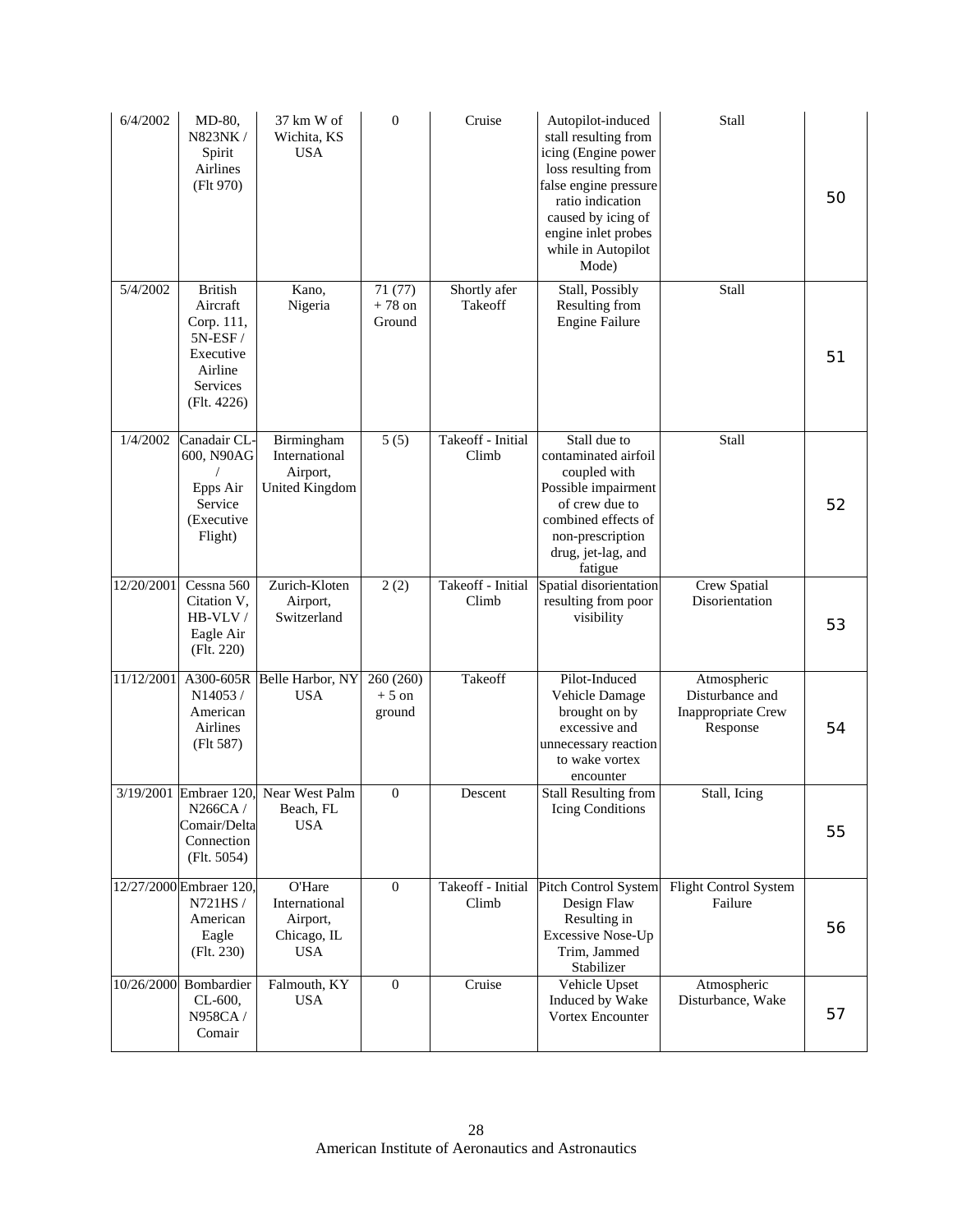| 6/4/2002   | MD-80,<br>N823NK /<br>Spirit<br>Airlines<br>(Flt 970)                                                    | 37 km W of<br>Wichita, KS<br><b>USA</b>                          | $\boldsymbol{0}$               | Cruise                     | Autopilot-induced<br>stall resulting from<br>icing (Engine power<br>loss resulting from<br>false engine pressure<br>ratio indication<br>caused by icing of<br>engine inlet probes<br>while in Autopilot<br>Mode) | Stall                                                            | 50 |
|------------|----------------------------------------------------------------------------------------------------------|------------------------------------------------------------------|--------------------------------|----------------------------|------------------------------------------------------------------------------------------------------------------------------------------------------------------------------------------------------------------|------------------------------------------------------------------|----|
| 5/4/2002   | <b>British</b><br>Aircraft<br>Corp. 111,<br>$5N-ESF/$<br>Executive<br>Airline<br>Services<br>(Flt. 4226) | Kano,<br>Nigeria                                                 | 71 (77)<br>$+78$ on<br>Ground  | Shortly afer<br>Takeoff    | Stall, Possibly<br>Resulting from<br><b>Engine Failure</b>                                                                                                                                                       | Stall                                                            | 51 |
| 1/4/2002   | Canadair CL-<br>600, N90AG<br>Epps Air<br>Service<br>(Executive<br>Flight)                               | Birmingham<br>International<br>Airport,<br><b>United Kingdom</b> | 5(5)                           | Takeoff - Initial<br>Climb | Stall due to<br>contaminated airfoil<br>coupled with<br>Possible impairment<br>of crew due to<br>combined effects of<br>non-prescription<br>drug, jet-lag, and<br>fatigue                                        | Stall                                                            | 52 |
| 12/20/2001 | Cessna 560<br>Citation V,<br>HB-VLV/<br>Eagle Air<br>(Flt. 220)                                          | Zurich-Kloten<br>Airport,<br>Switzerland                         | 2(2)                           | Takeoff - Initial<br>Climb | Spatial disorientation<br>resulting from poor<br>visibility                                                                                                                                                      | Crew Spatial<br>Disorientation                                   | 53 |
| 11/12/2001 | A300-605R<br>N14053/<br>American<br>Airlines<br>(Flt 587)                                                | Belle Harbor, NY<br><b>USA</b>                                   | 260 (260)<br>$+5$ on<br>ground | Takeoff                    | Pilot-Induced<br>Vehicle Damage<br>brought on by<br>excessive and<br>unnecessary reaction<br>to wake vortex<br>encounter                                                                                         | Atmospheric<br>Disturbance and<br>Inappropriate Crew<br>Response | 54 |
|            | N266CA /<br>Comair/Delta<br>Connection<br>(Flt. 5054)                                                    | 3/19/2001 Embraer 120, Near West Palm<br>Beach, FL<br><b>USA</b> | $\boldsymbol{0}$               | Descent                    | <b>Stall Resulting from</b><br>Icing Conditions                                                                                                                                                                  | Stall, Icing                                                     | 55 |
|            | 12/27/2000 Embraer 120,<br>N721HS/<br>American<br>Eagle<br>(Flt. 230)                                    | O'Hare<br>International<br>Airport,<br>Chicago, IL<br><b>USA</b> | $\boldsymbol{0}$               | Takeoff - Initial<br>Climb | Pitch Control System<br>Design Flaw<br>Resulting in<br>Excessive Nose-Up<br>Trim, Jammed<br>Stabilizer                                                                                                           | Flight Control System<br>Failure                                 | 56 |
| 10/26/2000 | Bombardier<br>CL-600,<br>N958CA /<br>Comair                                                              | Falmouth, KY<br><b>USA</b>                                       | $\overline{0}$                 | Cruise                     | Vehicle Upset<br>Induced by Wake<br>Vortex Encounter                                                                                                                                                             | Atmospheric<br>Disturbance, Wake                                 | 57 |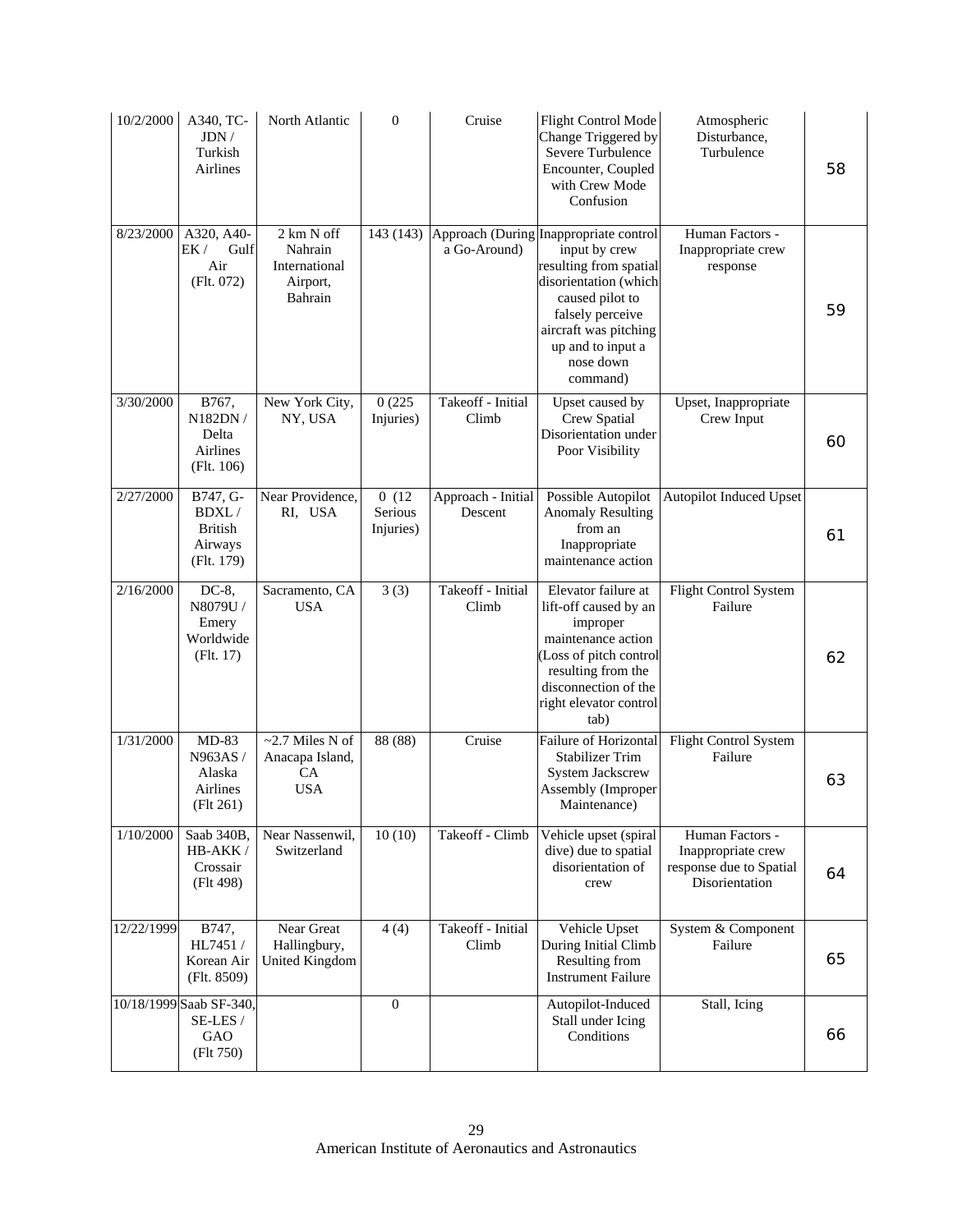| 10/2/2000  | A340, TC-<br>JDN/<br>Turkish<br>Airlines                     | North Atlantic                                                | $\boldsymbol{0}$              | Cruise                        | <b>Flight Control Mode</b><br>Change Triggered by<br>Severe Turbulence<br>Encounter, Coupled<br>with Crew Mode<br>Confusion                                                                                              | Atmospheric<br>Disturbance,<br>Turbulence                                          | 58 |
|------------|--------------------------------------------------------------|---------------------------------------------------------------|-------------------------------|-------------------------------|--------------------------------------------------------------------------------------------------------------------------------------------------------------------------------------------------------------------------|------------------------------------------------------------------------------------|----|
| 8/23/2000  | A320, A40-<br>EK /<br>Gulf<br>Air<br>(Flt. 072)              | 2 km N off<br>Nahrain<br>International<br>Airport,<br>Bahrain | 143 (143)                     | a Go-Around)                  | Approach (During Inappropriate control<br>input by crew<br>resulting from spatial<br>disorientation (which<br>caused pilot to<br>falsely perceive<br>aircraft was pitching<br>up and to input a<br>nose down<br>command) | Human Factors -<br>Inappropriate crew<br>response                                  | 59 |
| 3/30/2000  | B767,<br>N182DN /<br>Delta<br>Airlines<br>(Flt. 106)         | New York City,<br>NY, USA                                     | 0(225)<br>Injuries)           | Takeoff - Initial<br>Climb    | Upset caused by<br>Crew Spatial<br>Disorientation under<br>Poor Visibility                                                                                                                                               | Upset, Inappropriate<br>Crew Input                                                 | 60 |
| 2/27/2000  | B747, G-<br>BDXL/<br><b>British</b><br>Airways<br>(Flt. 179) | Near Providence,<br>RI, USA                                   | 0(12)<br>Serious<br>Injuries) | Approach - Initial<br>Descent | Possible Autopilot<br><b>Anomaly Resulting</b><br>from an<br>Inappropriate<br>maintenance action                                                                                                                         | <b>Autopilot Induced Upset</b>                                                     | 61 |
| 2/16/2000  | $DC-8$ ,<br>N8079U /<br>Emery<br>Worldwide<br>(Flt. 17)      | Sacramento, CA<br><b>USA</b>                                  | $\overline{3}$ (3)            | Takeoff - Initial<br>Climb    | Elevator failure at<br>lift-off caused by an<br>improper<br>maintenance action<br>(Loss of pitch control<br>resulting from the<br>disconnection of the<br>right elevator control<br>tab)                                 | Flight Control System<br>Failure                                                   | 62 |
| 1/31/2000  | $MD-83$<br>N963AS/<br>Alaska<br>Airlines<br>(Flt 261)        | $\sim$ 2.7 Miles N of<br>Anacapa Island,<br>CA<br><b>USA</b>  | 88 (88)                       | Cruise                        | Failure of Horizontal<br><b>Stabilizer Trim</b><br>System Jackscrew<br>Assembly (Improper<br>Maintenance)                                                                                                                | Flight Control System<br>Failure                                                   | 63 |
| 1/10/2000  | Saab 340B,<br>HB-AKK/<br>Crossair<br>(Flt 498)               | Near Nassenwil,<br>Switzerland                                | 10(10)                        | Takeoff - Climb               | Vehicle upset (spiral<br>dive) due to spatial<br>disorientation of<br>crew                                                                                                                                               | Human Factors -<br>Inappropriate crew<br>response due to Spatial<br>Disorientation | 64 |
| 12/22/1999 | B747,<br>HL7451 /<br>Korean Air<br>(Flt. 8509)               | Near Great<br>Hallingbury,<br>United Kingdom                  | 4(4)                          | Takeoff - Initial<br>Climb    | Vehicle Upset<br>During Initial Climb<br>Resulting from<br><b>Instrument Failure</b>                                                                                                                                     | System & Component<br>Failure                                                      | 65 |
|            | 10/18/1999 Saab SF-340,<br>SE-LES /<br>GAO<br>(Flt 750)      |                                                               | $\overline{0}$                |                               | Autopilot-Induced<br>Stall under Icing<br>Conditions                                                                                                                                                                     | Stall, Icing                                                                       | 66 |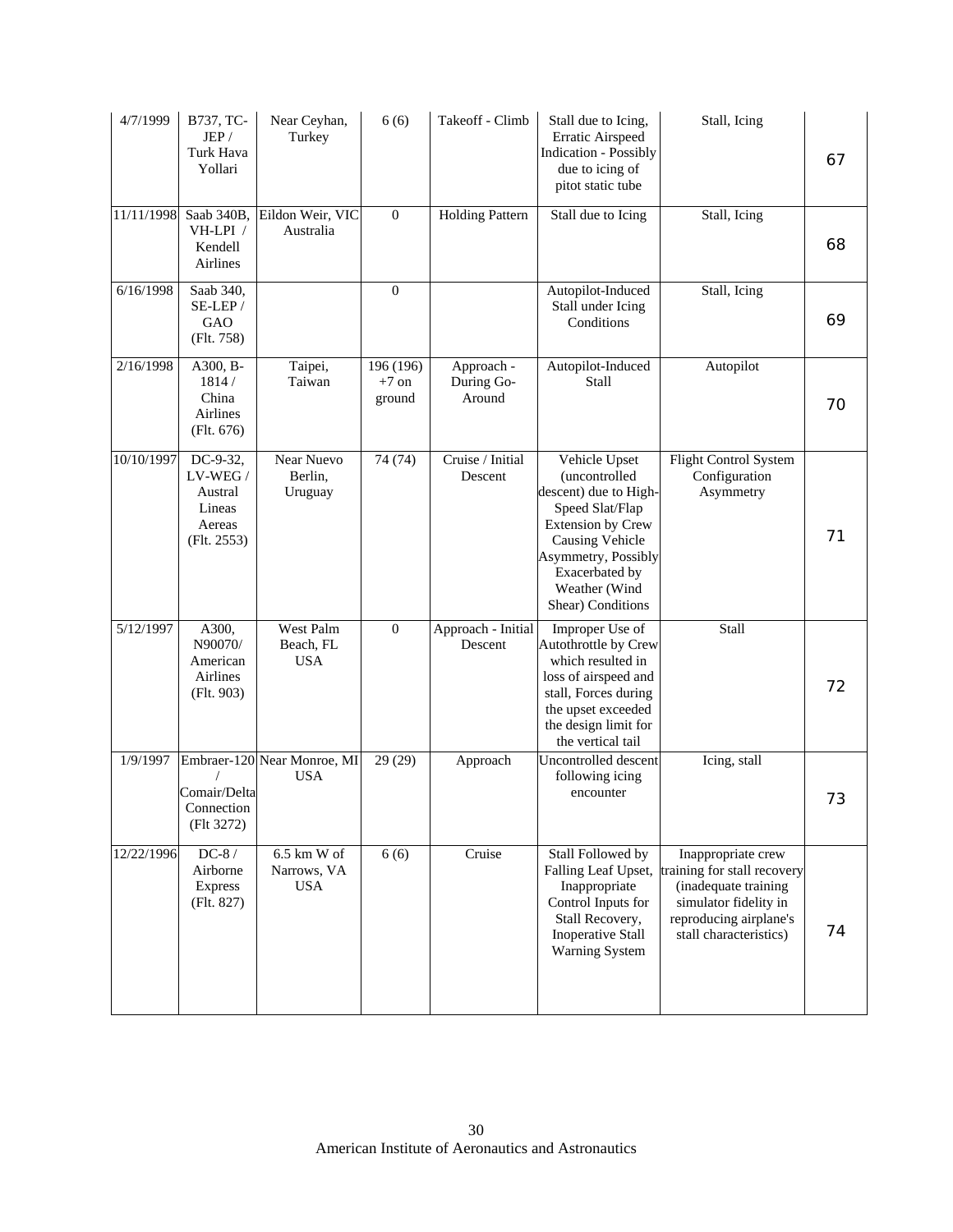| 4/7/1999   | B737, TC-<br>JEP/<br>Turk Hava<br>Yollari                                      | Near Ceyhan,<br>Turkey                     | 6(6)                           | Takeoff - Climb                    | Stall due to Icing,<br>Erratic Airspeed<br><b>Indication - Possibly</b><br>due to icing of<br>pitot static tube                                                                                          | Stall, Icing                                                                                                                                           | 67 |
|------------|--------------------------------------------------------------------------------|--------------------------------------------|--------------------------------|------------------------------------|----------------------------------------------------------------------------------------------------------------------------------------------------------------------------------------------------------|--------------------------------------------------------------------------------------------------------------------------------------------------------|----|
| 11/11/1998 | Saab 340B,<br>VH-LPI /<br>Kendell<br>Airlines                                  | Eildon Weir, VIC<br>Australia              | $\boldsymbol{0}$               | <b>Holding Pattern</b>             | Stall due to Icing                                                                                                                                                                                       | Stall, Icing                                                                                                                                           | 68 |
| 6/16/1998  | Saab 340,<br>SE-LEP/<br>GAO<br>(Flt. 758)                                      |                                            | $\theta$                       |                                    | Autopilot-Induced<br>Stall under Icing<br>Conditions                                                                                                                                                     | Stall, Icing                                                                                                                                           | 69 |
| 2/16/1998  | A300, B-<br>1814/<br>China<br>Airlines<br>(Flt. 676)                           | Taipei,<br>Taiwan                          | 196 (196)<br>$+7$ on<br>ground | Approach -<br>During Go-<br>Around | Autopilot-Induced<br>Stall                                                                                                                                                                               | Autopilot                                                                                                                                              | 70 |
| 10/10/1997 | $\overline{DC-9-32}$<br>LV-WEG /<br>Austral<br>Lineas<br>Aereas<br>(Flt. 2553) | <b>Near Nuevo</b><br>Berlin,<br>Uruguay    | 74(74)                         | Cruise / Initial<br>Descent        | Vehicle Upset<br>(uncontrolled<br>descent) due to High-<br>Speed Slat/Flap<br><b>Extension by Crew</b><br>Causing Vehicle<br>Asymmetry, Possibly<br>Exacerbated by<br>Weather (Wind<br>Shear) Conditions | Flight Control System<br>Configuration<br>Asymmetry                                                                                                    | 71 |
| 5/12/1997  | A300,<br>N90070/<br>American<br>Airlines<br>(Flt. 903)                         | West Palm<br>Beach, FL<br><b>USA</b>       | $\mathbf{0}$                   | Approach - Initial<br>Descent      | Improper Use of<br>Autothrottle by Crew<br>which resulted in<br>loss of airspeed and<br>stall, Forces during<br>the upset exceeded<br>the design limit for<br>the vertical tail                          | Stall                                                                                                                                                  | 72 |
| 1/9/1997   | Comair/Delta<br>Connection<br>(Flt 3272)                                       | Embraer-120 Near Monroe, MI<br><b>USA</b>  | 29 (29)                        | Approach                           | Uncontrolled descent<br>following icing<br>encounter                                                                                                                                                     | Icing, stall                                                                                                                                           | 73 |
| 12/22/1996 | $DC-8/$<br>Airborne<br><b>Express</b><br>(Flt. 827)                            | $6.5$ km W of<br>Narrows, VA<br><b>USA</b> | 6(6)                           | Cruise                             | Stall Followed by<br>Falling Leaf Upset,<br>Inappropriate<br>Control Inputs for<br>Stall Recovery,<br><b>Inoperative Stall</b><br>Warning System                                                         | Inappropriate crew<br>training for stall recovery<br>(inadequate training<br>simulator fidelity in<br>reproducing airplane's<br>stall characteristics) | 74 |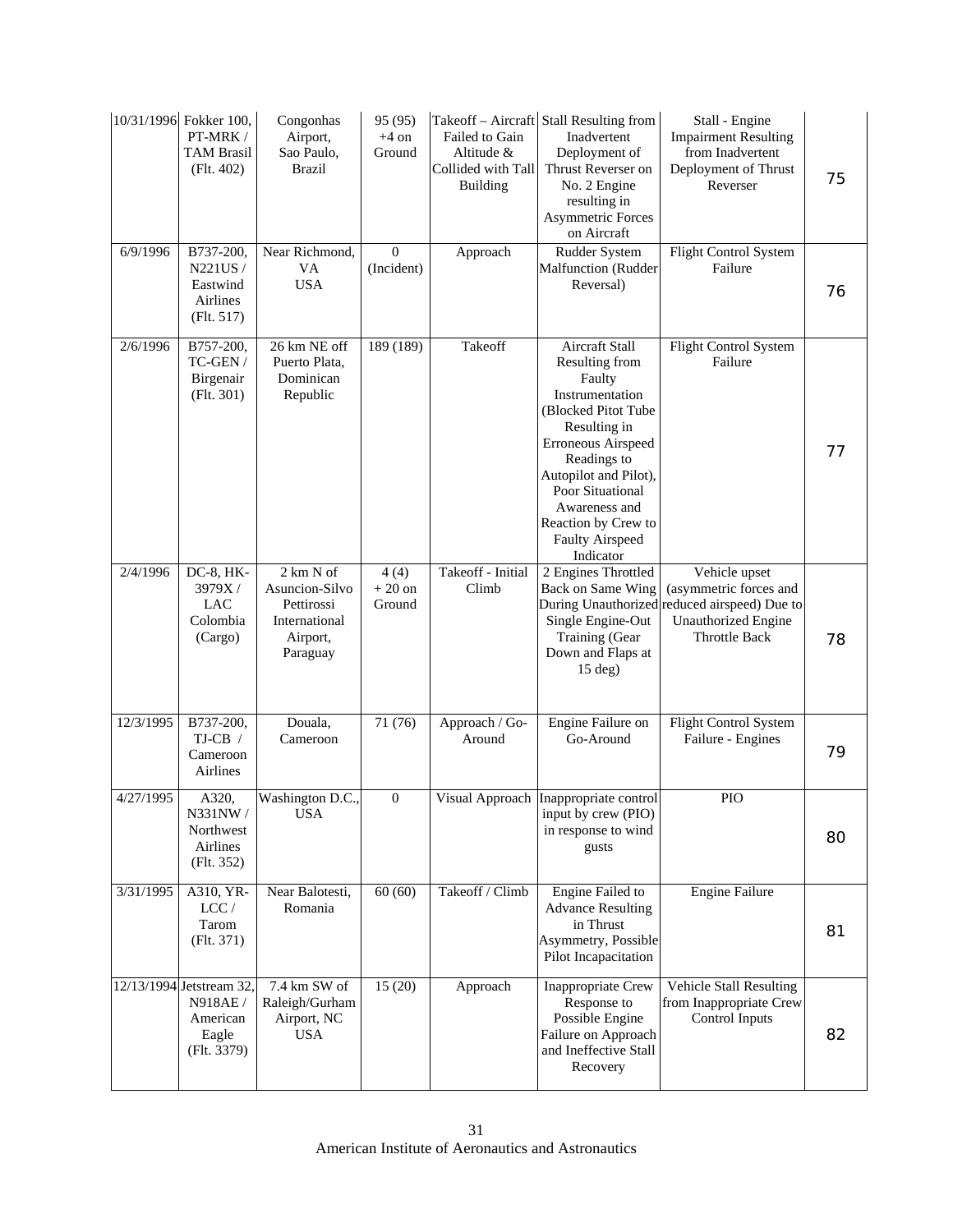|           | 10/31/1996 Fokker 100,<br>PT-MRK/<br><b>TAM Brasil</b><br>(Flt. 402)    | Congonhas<br>Airport,<br>Sao Paulo,<br><b>Brazil</b>                               | 95 (95)<br>$+4$ on<br>Ground   | Failed to Gain<br>Altitude &<br>Collided with Tall<br><b>Building</b> | Takeoff – Aircraft Stall Resulting from<br>Inadvertent<br>Deployment of<br>Thrust Reverser on<br>No. 2 Engine<br>resulting in<br><b>Asymmetric Forces</b><br>on Aircraft                                                                                              | Stall - Engine<br><b>Impairment Resulting</b><br>from Inadvertent<br>Deployment of Thrust<br>Reverser                                         | 75 |
|-----------|-------------------------------------------------------------------------|------------------------------------------------------------------------------------|--------------------------------|-----------------------------------------------------------------------|-----------------------------------------------------------------------------------------------------------------------------------------------------------------------------------------------------------------------------------------------------------------------|-----------------------------------------------------------------------------------------------------------------------------------------------|----|
| 6/9/1996  | B737-200,<br>N221US/<br>Eastwind<br>Airlines<br>(Flt. 517)              | Near Richmond,<br>VA<br><b>USA</b>                                                 | $\boldsymbol{0}$<br>(Incident) | Approach                                                              | Rudder System<br><b>Malfunction</b> (Rudder<br>Reversal)                                                                                                                                                                                                              | Flight Control System<br>Failure                                                                                                              | 76 |
| 2/6/1996  | B757-200,<br>TC-GEN /<br>Birgenair<br>(Flt. 301)                        | 26 km NE off<br>Puerto Plata,<br>Dominican<br>Republic                             | 189 (189)                      | Takeoff                                                               | Aircraft Stall<br>Resulting from<br>Faulty<br>Instrumentation<br>(Blocked Pitot Tube<br>Resulting in<br>Erroneous Airspeed<br>Readings to<br>Autopilot and Pilot),<br>Poor Situational<br>Awareness and<br>Reaction by Crew to<br><b>Faulty Airspeed</b><br>Indicator | Flight Control System<br>Failure                                                                                                              | 77 |
| 2/4/1996  | DC-8, HK-<br>3979X/<br><b>LAC</b><br>Colombia<br>(Cargo)                | 2 km N of<br>Asuncion-Silvo<br>Pettirossi<br>International<br>Airport,<br>Paraguay | 4(4)<br>$+20$ on<br>Ground     | Takeoff - Initial<br>Climb                                            | 2 Engines Throttled<br>Back on Same Wing<br>Single Engine-Out<br>Training (Gear<br>Down and Flaps at<br>$15$ deg)                                                                                                                                                     | Vehicle upset<br>(asymmetric forces and<br>During Unauthorized reduced airspeed) Due to<br><b>Unauthorized Engine</b><br><b>Throttle Back</b> | 78 |
| 12/3/1995 | B737-200,<br>$TJ-CB /$<br>Cameroon<br>Airlines                          | Douala,<br>Cameroon                                                                | 71 (76)                        | Approach / Go-<br>Around                                              | Engine Failure on<br>Go-Around                                                                                                                                                                                                                                        | Flight Control System<br>Failure - Engines                                                                                                    | 79 |
| 4/27/1995 | A320,<br>N331NW /<br>Northwest<br>Airlines<br>(Flt. 352)                | Washington D.C.,<br><b>USA</b>                                                     | $\mathbf{0}$                   |                                                                       | Visual Approach Inappropriate control<br>input by crew (PIO)<br>in response to wind<br>gusts                                                                                                                                                                          | PIO                                                                                                                                           | 80 |
| 3/31/1995 | A310, YR-<br>LCC/<br>Tarom<br>(Flt. 371)                                | Near Balotesti,<br>Romania                                                         | 60(60)                         | Takeoff / Climb                                                       | Engine Failed to<br><b>Advance Resulting</b><br>in Thrust<br>Asymmetry, Possible<br>Pilot Incapacitation                                                                                                                                                              | <b>Engine Failure</b>                                                                                                                         | 81 |
|           | 12/13/1994 Jetstream 32,<br>N918AE/<br>American<br>Eagle<br>(Flt. 3379) | 7.4 km SW of<br>Raleigh/Gurham<br>Airport, NC<br><b>USA</b>                        | 15(20)                         | Approach                                                              | Inappropriate Crew<br>Response to<br>Possible Engine<br>Failure on Approach<br>and Ineffective Stall<br>Recovery                                                                                                                                                      | <b>Vehicle Stall Resulting</b><br>from Inappropriate Crew<br>Control Inputs                                                                   | 82 |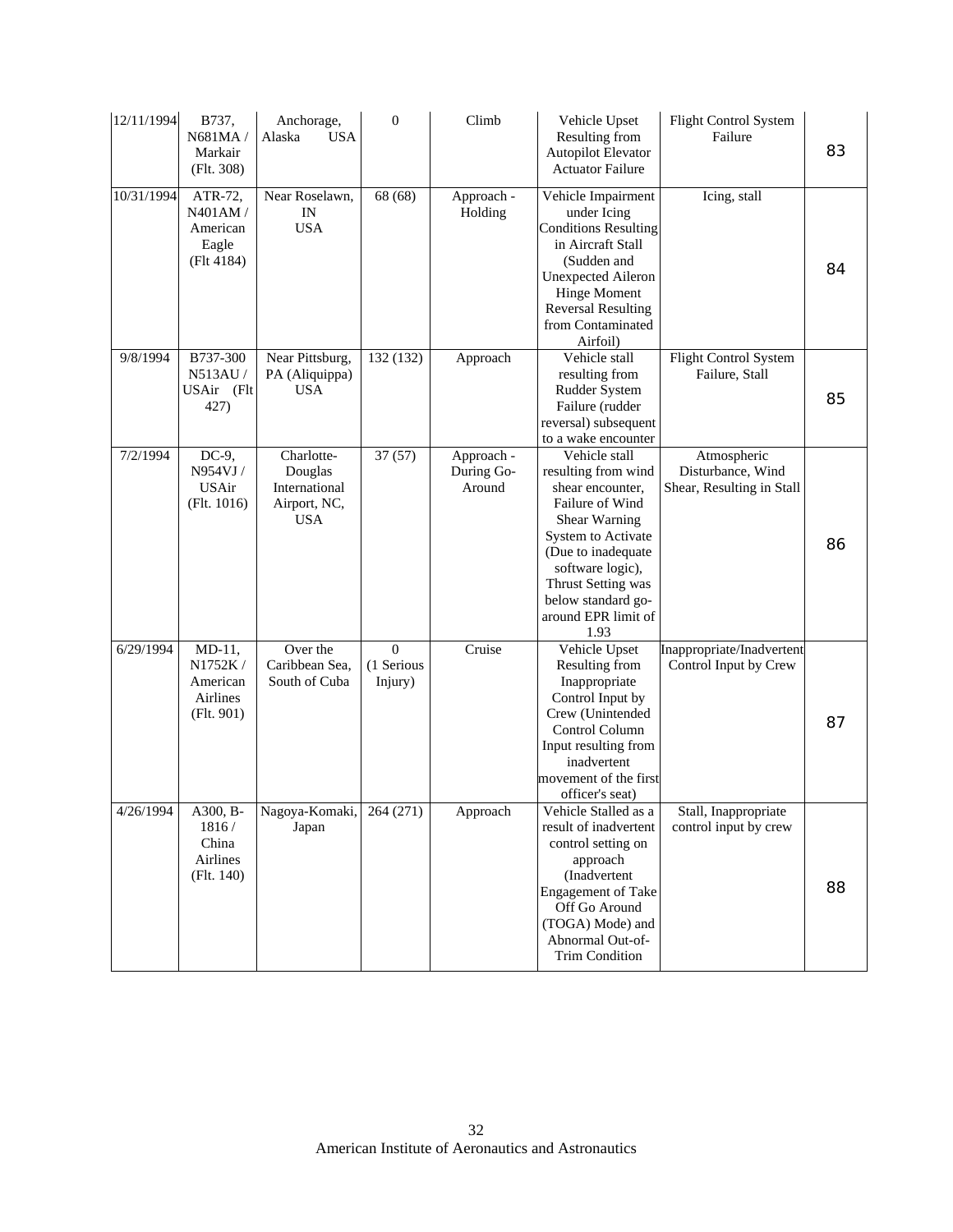| 12/11/1994 | B737,<br>N681MA/<br>Markair<br>(Flt. 308)                 | Anchorage,<br>Alaska<br><b>USA</b>                                   | $\boldsymbol{0}$                  | Climb                              | Vehicle Upset<br>Resulting from<br>Autopilot Elevator<br><b>Actuator Failure</b>                                                                                                                                                        | Flight Control System<br>Failure                              | 83 |
|------------|-----------------------------------------------------------|----------------------------------------------------------------------|-----------------------------------|------------------------------------|-----------------------------------------------------------------------------------------------------------------------------------------------------------------------------------------------------------------------------------------|---------------------------------------------------------------|----|
| 10/31/1994 | ATR-72,<br>N401AM /<br>American<br>Eagle<br>(Flt 4184)    | Near Roselawn,<br>$\ensuremath{\text{IN}}$<br><b>USA</b>             | 68 (68)                           | Approach -<br>Holding              | Vehicle Impairment<br>under Icing<br><b>Conditions Resulting</b><br>in Aircraft Stall<br>(Sudden and<br><b>Unexpected Aileron</b><br><b>Hinge Moment</b><br><b>Reversal Resulting</b><br>from Contaminated<br>Airfoil)                  | Icing, stall                                                  | 84 |
| 9/8/1994   | B737-300<br>N513AU/<br>USAir (Flt<br>427)                 | Near Pittsburg,<br>PA (Aliquippa)<br><b>USA</b>                      | 132 (132)                         | Approach                           | Vehicle stall<br>resulting from<br>Rudder System<br>Failure (rudder<br>reversal) subsequent<br>to a wake encounter                                                                                                                      | Flight Control System<br>Failure, Stall                       | 85 |
| 7/2/1994   | $DC-9$ ,<br>N954VJ/<br><b>USAir</b><br>(Flt. 1016)        | Charlotte-<br>Douglas<br>International<br>Airport, NC,<br><b>USA</b> | 37(57)                            | Approach -<br>During Go-<br>Around | Vehicle stall<br>resulting from wind<br>shear encounter,<br>Failure of Wind<br>Shear Warning<br>System to Activate<br>(Due to inadequate<br>software logic),<br>Thrust Setting was<br>below standard go-<br>around EPR limit of<br>1.93 | Atmospheric<br>Disturbance, Wind<br>Shear, Resulting in Stall | 86 |
| 6/29/1994  | $MD-11,$<br>N1752K/<br>American<br>Airlines<br>(Flt. 901) | Over the<br>Caribbean Sea,<br>South of Cuba                          | $\theta$<br>(1 Serious<br>Injury) | Cruise                             | Vehicle Upset<br>Resulting from<br>Inappropriate<br>Control Input by<br>Crew (Unintended<br>Control Column<br>Input resulting from<br>inadvertent<br>movement of the first<br>officer's seat)                                           | Inappropriate/Inadvertent<br>Control Input by Crew            | 87 |
| 4/26/1994  | A300, B-<br>1816/<br>China<br>Airlines<br>(Flt. 140)      | Nagoya-Komaki,<br>Japan                                              | 264 (271)                         | Approach                           | Vehicle Stalled as a<br>result of inadvertent<br>control setting on<br>approach<br>(Inadvertent<br><b>Engagement</b> of Take<br>Off Go Around<br>(TOGA) Mode) and<br>Abnormal Out-of-<br>Trim Condition                                 | Stall, Inappropriate<br>control input by crew                 | 88 |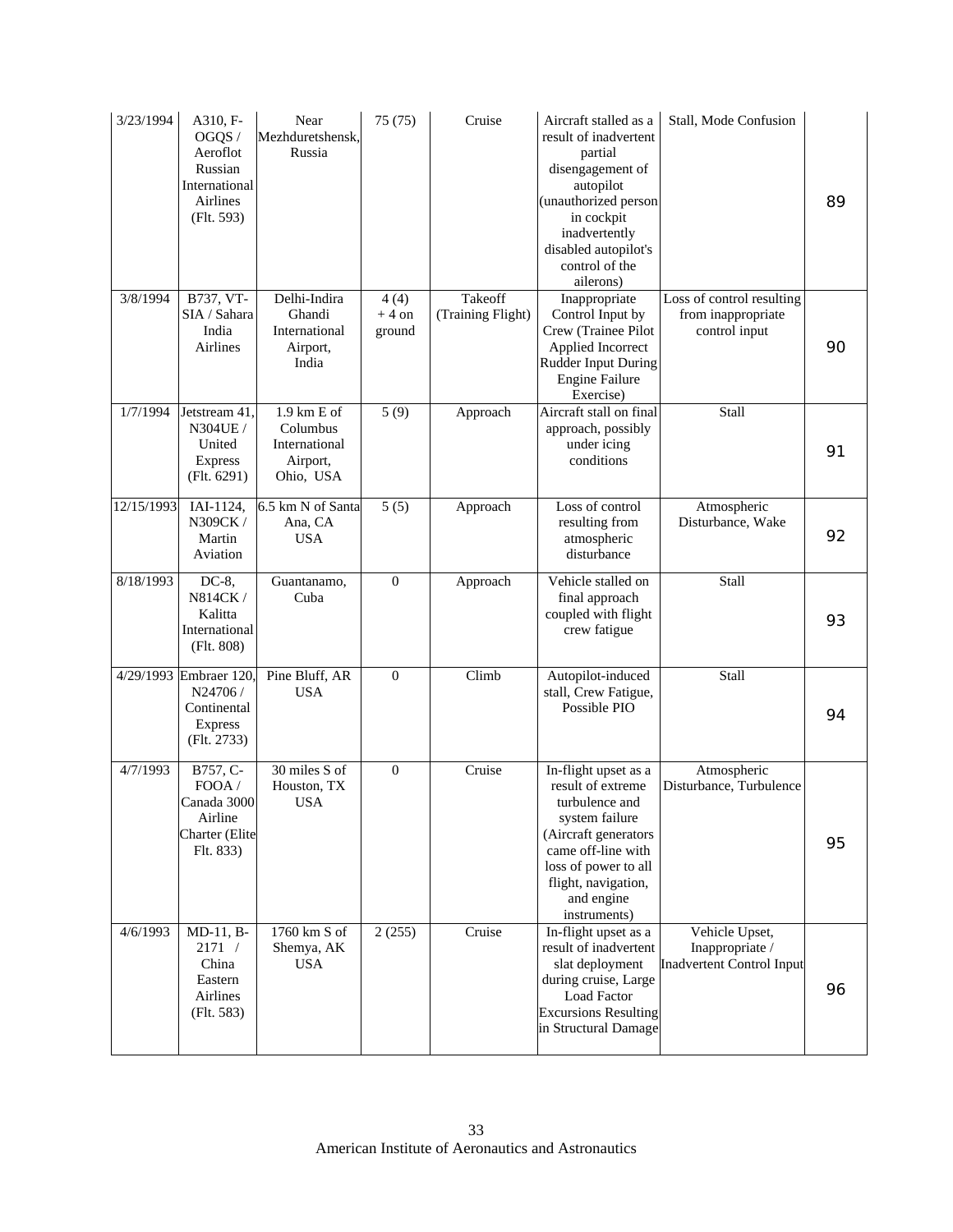| 3/23/1994  | A310, F-<br>OGQS /<br>Aeroflot<br>Russian<br>International<br><b>Airlines</b><br>(Flt. 593) | Near<br>Mezhduretshensk.<br>Russia                                  | 75 (75)                   | Cruise                       | Aircraft stalled as a<br>result of inadvertent<br>partial<br>disengagement of<br>autopilot<br>(unauthorized person<br>in cockpit<br>inadvertently<br>disabled autopilot's<br>control of the<br>ailerons) | Stall, Mode Confusion                                                 | 89 |
|------------|---------------------------------------------------------------------------------------------|---------------------------------------------------------------------|---------------------------|------------------------------|----------------------------------------------------------------------------------------------------------------------------------------------------------------------------------------------------------|-----------------------------------------------------------------------|----|
| 3/8/1994   | B737, VT-<br>SIA / Sahara<br>India<br>Airlines                                              | Delhi-Indira<br>Ghandi<br>International<br>Airport,<br>India        | 4(4)<br>$+4$ on<br>ground | Takeoff<br>(Training Flight) | Inappropriate<br>Control Input by<br>Crew (Trainee Pilot<br>Applied Incorrect<br><b>Rudder Input During</b><br><b>Engine Failure</b><br>Exercise)                                                        | Loss of control resulting<br>from inappropriate<br>control input      | 90 |
| 1/7/1994   | Jetstream 41,<br>N304UE /<br>United<br><b>Express</b><br>(Flt. 6291)                        | $1.9$ km E of<br>Columbus<br>International<br>Airport,<br>Ohio, USA | 5(9)                      | Approach                     | Aircraft stall on final<br>approach, possibly<br>under icing<br>conditions                                                                                                                               | Stall                                                                 | 91 |
| 12/15/1993 | IAI-1124,<br>N309CK /<br>Martin<br>Aviation                                                 | 6.5 km N of Santa<br>Ana, CA<br><b>USA</b>                          | $\overline{5}(5)$         | Approach                     | Loss of control<br>resulting from<br>atmospheric<br>disturbance                                                                                                                                          | Atmospheric<br>Disturbance, Wake                                      | 92 |
| 8/18/1993  | $DC-8$ ,<br>N814CK/<br>Kalitta<br>International<br>(Flt. 808)                               | Guantanamo,<br>Cuba                                                 | $\overline{0}$            | Approach                     | Vehicle stalled on<br>final approach<br>coupled with flight<br>crew fatigue                                                                                                                              | Stall                                                                 | 93 |
|            | 4/29/1993 Embraer 120,<br>N24706 /<br>Continental<br>Express<br>(Flt. 2733)                 | Pine Bluff, AR<br><b>USA</b>                                        | $\boldsymbol{0}$          | Climb                        | Autopilot-induced<br>stall, Crew Fatigue,<br>Possible PIO                                                                                                                                                | Stall                                                                 | 94 |
| 4/7/1993   | B757, C-<br>FOOA /<br>Canada 3000<br>Airline<br>Charter (Elite<br>Flt. 833)                 | 30 miles S of<br>Houston, TX<br><b>USA</b>                          | $\boldsymbol{0}$          | Cruise                       | In-flight upset as a<br>result of extreme<br>turbulence and<br>system failure<br>(Aircraft generators<br>came off-line with<br>loss of power to all<br>flight, navigation,<br>and engine<br>instruments) | Atmospheric<br>Disturbance, Turbulence                                | 95 |
| 4/6/1993   | $MD-11, B-$<br>2171 /<br>China<br>Eastern<br>Airlines<br>(Flt. 583)                         | 1760 km S of<br>Shemya, AK<br><b>USA</b>                            | 2(255)                    | Cruise                       | In-flight upset as a<br>result of inadvertent<br>slat deployment<br>during cruise, Large<br><b>Load Factor</b><br><b>Excursions Resulting</b><br>in Structural Damage                                    | Vehicle Upset,<br>Inappropriate /<br><b>Inadvertent Control Input</b> | 96 |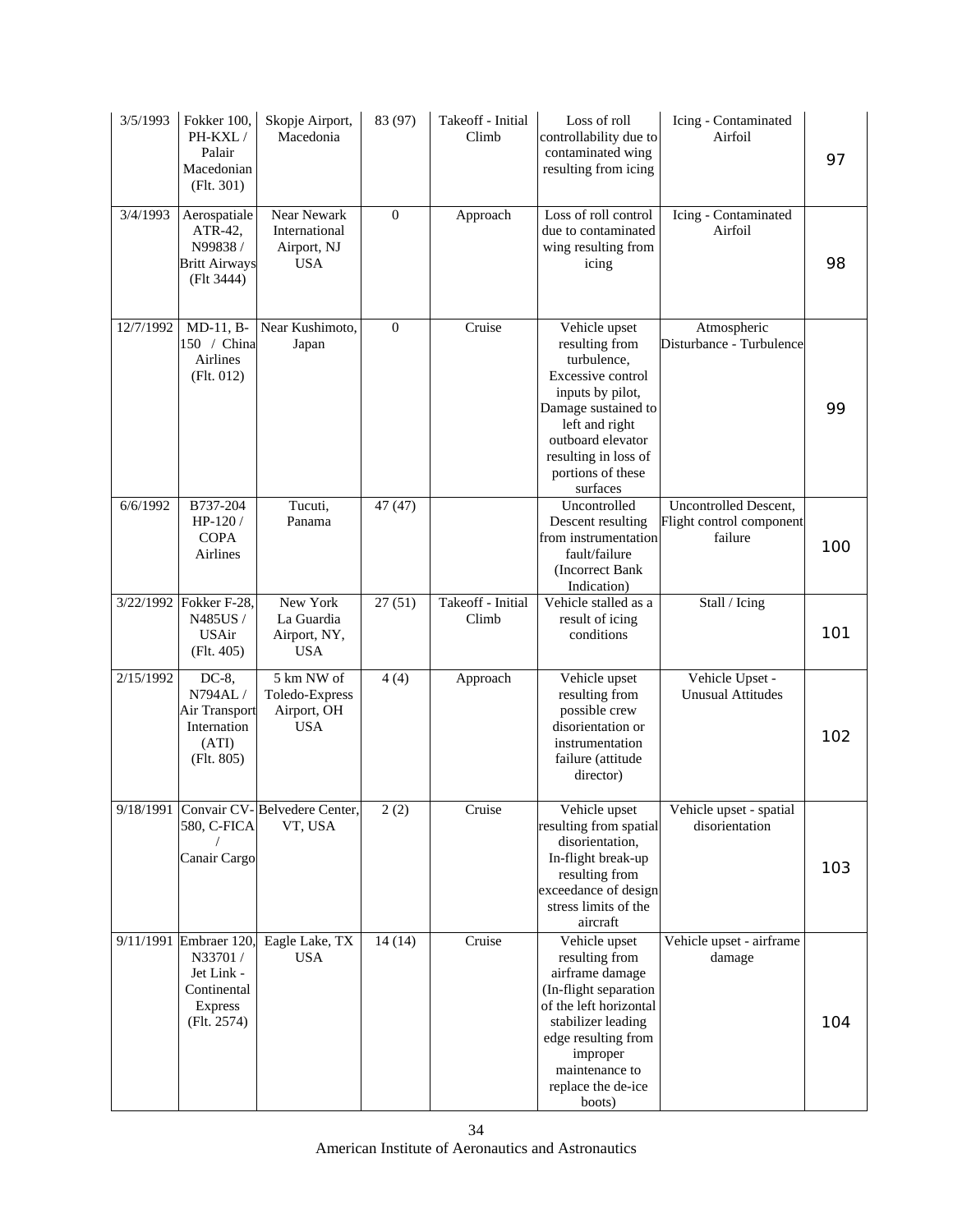| 3/5/1993  | Fokker 100,<br>PH-KXL/<br>Palair<br>Macedonian<br>(Flt. 301)                          | Skopje Airport,<br>Macedonia                              | 83 (97)          | Takeoff - Initial<br>Climb | Loss of roll<br>controllability due to<br>contaminated wing<br>resulting from icing                                                                                                                              | Icing - Contaminated<br>Airfoil                              | 97  |
|-----------|---------------------------------------------------------------------------------------|-----------------------------------------------------------|------------------|----------------------------|------------------------------------------------------------------------------------------------------------------------------------------------------------------------------------------------------------------|--------------------------------------------------------------|-----|
| 3/4/1993  | Aerospatiale<br>ATR-42,<br>N99838/<br><b>Britt Airways</b><br>(Flt 3444)              | Near Newark<br>International<br>Airport, NJ<br><b>USA</b> | $\boldsymbol{0}$ | Approach                   | Loss of roll control<br>due to contaminated<br>wing resulting from<br>icing                                                                                                                                      | Icing - Contaminated<br>Airfoil                              | 98  |
| 12/7/1992 | $MD-11, B-$<br>150 / China<br>Airlines<br>(Flt. 012)                                  | Near Kushimoto,<br>Japan                                  | $\mathbf{0}$     | Cruise                     | Vehicle upset<br>resulting from<br>turbulence,<br>Excessive control<br>inputs by pilot,<br>Damage sustained to<br>left and right<br>outboard elevator<br>resulting in loss of<br>portions of these<br>surfaces   | Atmospheric<br>Disturbance - Turbulence                      | 99  |
| 6/6/1992  | B737-204<br>HP-120 /<br><b>COPA</b><br>Airlines                                       | Tucuti,<br>Panama                                         | 47 (47)          |                            | Uncontrolled<br>Descent resulting<br>from instrumentation<br>fault/failure<br>(Incorrect Bank<br>Indication)                                                                                                     | Uncontrolled Descent,<br>Flight control component<br>failure | 100 |
|           | 3/22/1992 Fokker F-28,<br>N485US /<br><b>USAir</b><br>(Flt. 405)                      | New York<br>La Guardia<br>Airport, NY,<br><b>USA</b>      | 27(51)           | Takeoff - Initial<br>Climb | Vehicle stalled as a<br>result of icing<br>conditions                                                                                                                                                            | Stall / Icing                                                | 101 |
| 2/15/1992 | DC-8,<br>N794AL/<br>Air Transport<br>Internation<br>(ATI)<br>(Flt. 805)               | 5 km NW of<br>Toledo-Express<br>Airport, OH<br><b>USA</b> | 4(4)             | Approach                   | Vehicle upset<br>resulting from<br>possible crew<br>disorientation or<br>instrumentation<br>failure (attitude<br>director)                                                                                       | Vehicle Upset -<br><b>Unusual Attitudes</b>                  | 102 |
|           | 580, C-FICA<br>Canair Cargo                                                           | 9/18/1991 Convair CV-Belvedere Center,<br>VT, USA         | 2(2)             | Cruise                     | Vehicle upset<br>resulting from spatial<br>disorientation,<br>In-flight break-up<br>resulting from<br>exceedance of design<br>stress limits of the<br>aircraft                                                   | Vehicle upset - spatial<br>disorientation                    | 103 |
| 9/11/1991 | Embraer 120,<br>N33701/<br>Jet Link -<br>Continental<br><b>Express</b><br>(Flt. 2574) | Eagle Lake, TX<br><b>USA</b>                              | 14(14)           | Cruise                     | Vehicle upset<br>resulting from<br>airframe damage<br>(In-flight separation<br>of the left horizontal<br>stabilizer leading<br>edge resulting from<br>improper<br>maintenance to<br>replace the de-ice<br>boots) | Vehicle upset - airframe<br>damage                           | 104 |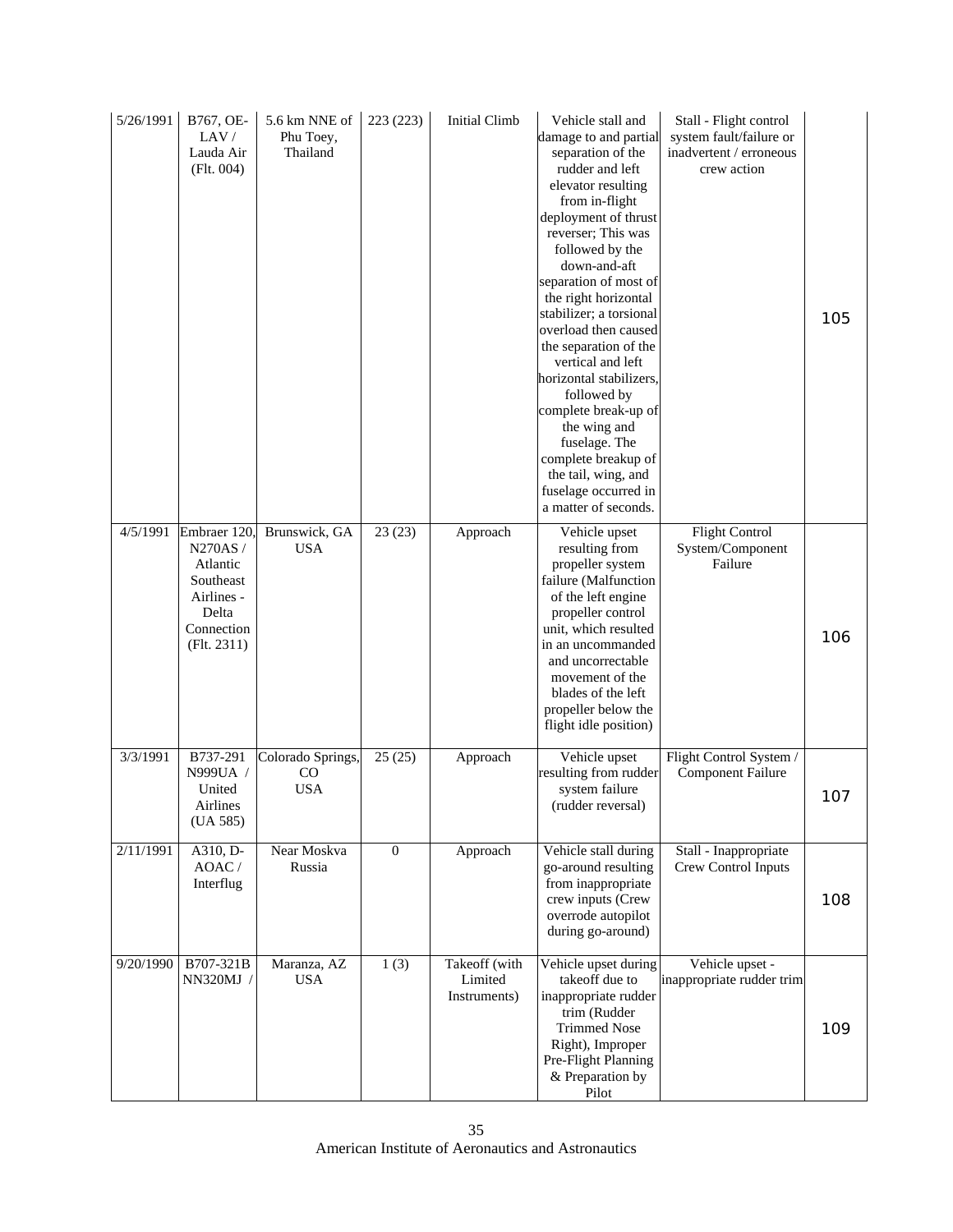| 5/26/1991 | B767, OE-<br>LAV/<br>Lauda Air<br>(Flt. 004)                                                        | 5.6 km NNE of<br>Phu Toey,<br>Thailand      | 223 (223)        | Initial Climb                            | Vehicle stall and<br>damage to and partial<br>separation of the<br>rudder and left<br>elevator resulting<br>from in-flight<br>deployment of thrust<br>reverser; This was<br>followed by the<br>down-and-aft<br>separation of most of<br>the right horizontal<br>stabilizer; a torsional<br>overload then caused<br>the separation of the<br>vertical and left<br>horizontal stabilizers,<br>followed by<br>complete break-up of<br>the wing and<br>fuselage. The<br>complete breakup of<br>the tail, wing, and<br>fuselage occurred in<br>a matter of seconds. | Stall - Flight control<br>system fault/failure or<br>inadvertent / erroneous<br>crew action | 105 |
|-----------|-----------------------------------------------------------------------------------------------------|---------------------------------------------|------------------|------------------------------------------|----------------------------------------------------------------------------------------------------------------------------------------------------------------------------------------------------------------------------------------------------------------------------------------------------------------------------------------------------------------------------------------------------------------------------------------------------------------------------------------------------------------------------------------------------------------|---------------------------------------------------------------------------------------------|-----|
| 4/5/1991  | Embraer 120<br>N270AS/<br>Atlantic<br>Southeast<br>Airlines -<br>Delta<br>Connection<br>(Flt. 2311) | Brunswick, GA<br><b>USA</b>                 | 23(23)           | Approach                                 | Vehicle upset<br>resulting from<br>propeller system<br>failure (Malfunction<br>of the left engine<br>propeller control<br>unit, which resulted<br>in an uncommanded<br>and uncorrectable<br>movement of the<br>blades of the left<br>propeller below the<br>flight idle position)                                                                                                                                                                                                                                                                              | <b>Flight Control</b><br>System/Component<br>Failure                                        | 106 |
| 3/3/1991  | B737-291<br>N999UA /<br>United<br>Airlines<br>(UA 585)                                              | Colorado Springs,<br>$\rm CO$<br><b>USA</b> | 25(25)           | Approach                                 | Vehicle upset<br>resulting from rudder<br>system failure<br>(rudder reversal)                                                                                                                                                                                                                                                                                                                                                                                                                                                                                  | Flight Control System /<br><b>Component Failure</b>                                         | 107 |
| 2/11/1991 | A310, D-<br>AOAC/<br>Interflug                                                                      | Near Moskva<br>Russia                       | $\boldsymbol{0}$ | Approach                                 | Vehicle stall during<br>go-around resulting<br>from inappropriate<br>crew inputs (Crew<br>overrode autopilot<br>during go-around)                                                                                                                                                                                                                                                                                                                                                                                                                              | Stall - Inappropriate<br>Crew Control Inputs                                                | 108 |
| 9/20/1990 | B707-321B<br>NN320MJ /                                                                              | Maranza, AZ<br><b>USA</b>                   | 1(3)             | Takeoff (with<br>Limited<br>Instruments) | Vehicle upset during<br>takeoff due to<br>inappropriate rudder<br>trim (Rudder<br><b>Trimmed Nose</b><br>Right), Improper<br>Pre-Flight Planning<br>& Preparation by<br>Pilot                                                                                                                                                                                                                                                                                                                                                                                  | Vehicle upset -<br>inappropriate rudder trim                                                | 109 |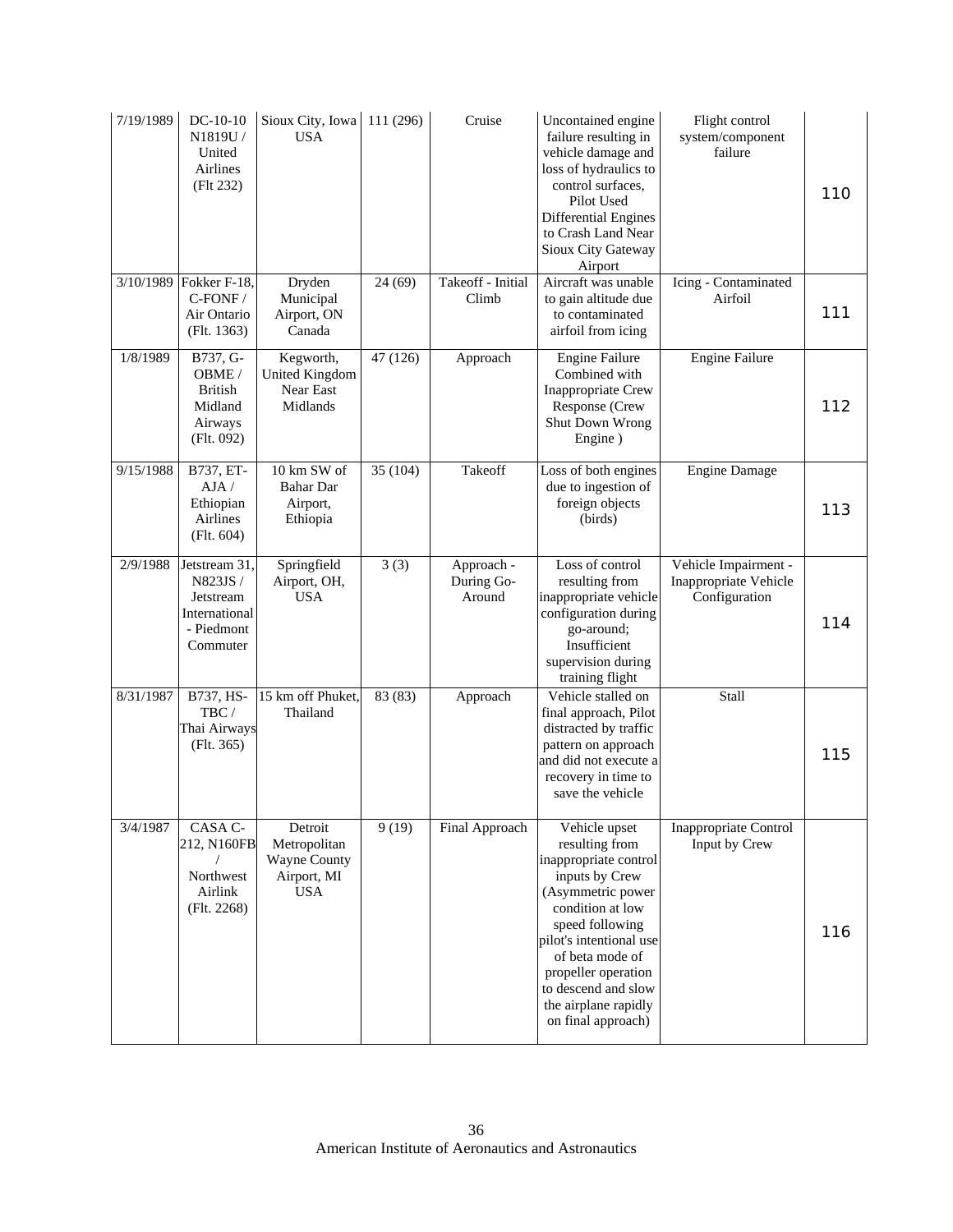| 7/19/1989 | $DC-10-10$<br>N1819U/<br>United<br>Airlines<br>(Flt 232)                          | Sioux City, Iowa<br><b>USA</b>                                       | 111 (296) | Cruise                             | Uncontained engine<br>failure resulting in<br>vehicle damage and<br>loss of hydraulics to<br>control surfaces,<br>Pilot Used<br><b>Differential Engines</b><br>to Crash Land Near<br>Sioux City Gateway<br>Airport                                                               | Flight control<br>system/component<br>failure                  | 110 |
|-----------|-----------------------------------------------------------------------------------|----------------------------------------------------------------------|-----------|------------------------------------|----------------------------------------------------------------------------------------------------------------------------------------------------------------------------------------------------------------------------------------------------------------------------------|----------------------------------------------------------------|-----|
|           | 3/10/1989 Fokker F-18,<br>C-FONF/<br>Air Ontario<br>(Flt. 1363)                   | Dryden<br>Municipal<br>Airport, ON<br>Canada                         | 24(69)    | Takeoff - Initial<br>Climb         | Aircraft was unable<br>to gain altitude due<br>to contaminated<br>airfoil from icing                                                                                                                                                                                             | Icing - Contaminated<br>Airfoil                                | 111 |
| 1/8/1989  | B737, G-<br>OBME/<br><b>British</b><br>Midland<br>Airways<br>(Flt. 092)           | Kegworth,<br><b>United Kingdom</b><br>Near East<br>Midlands          | 47 (126)  | Approach                           | <b>Engine Failure</b><br>Combined with<br><b>Inappropriate Crew</b><br>Response (Crew<br>Shut Down Wrong<br>Engine)                                                                                                                                                              | <b>Engine Failure</b>                                          | 112 |
| 9/15/1988 | B737, ET-<br>AJA/<br>Ethiopian<br>Airlines<br>(Flt. 604)                          | 10 km SW of<br><b>Bahar</b> Dar<br>Airport,<br>Ethiopia              | 35 (104)  | Takeoff                            | Loss of both engines<br>due to ingestion of<br>foreign objects<br>(birds)                                                                                                                                                                                                        | <b>Engine Damage</b>                                           | 113 |
| 2/9/1988  | Jetstream 31,<br>N823JS /<br>Jetstream<br>International<br>- Piedmont<br>Commuter | Springfield<br>Airport, OH,<br><b>USA</b>                            | 3(3)      | Approach -<br>During Go-<br>Around | Loss of control<br>resulting from<br>inappropriate vehicle<br>configuration during<br>go-around;<br>Insufficient<br>supervision during<br>training flight                                                                                                                        | Vehicle Impairment -<br>Inappropriate Vehicle<br>Configuration | 114 |
| 8/31/1987 | B737, HS-<br>TBC/<br>Thai Airways<br>(Flt. 365)                                   | 15 km off Phuket,<br>Thailand                                        | 83 (83)   | Approach                           | Vehicle stalled on<br>final approach, Pilot<br>distracted by traffic<br>pattern on approach<br>and did not execute a<br>recovery in time to<br>save the vehicle                                                                                                                  | Stall                                                          | 115 |
| 3/4/1987  | CASA C-<br>212, N160FB<br>Northwest<br>Airlink<br>(Flt. 2268)                     | Detroit<br>Metropolitan<br>Wayne County<br>Airport, MI<br><b>USA</b> | 9(19)     | Final Approach                     | Vehicle upset<br>resulting from<br>inappropriate control<br>inputs by Crew<br>(Asymmetric power<br>condition at low<br>speed following<br>pilot's intentional use<br>of beta mode of<br>propeller operation<br>to descend and slow<br>the airplane rapidly<br>on final approach) | Inappropriate Control<br>Input by Crew                         | 116 |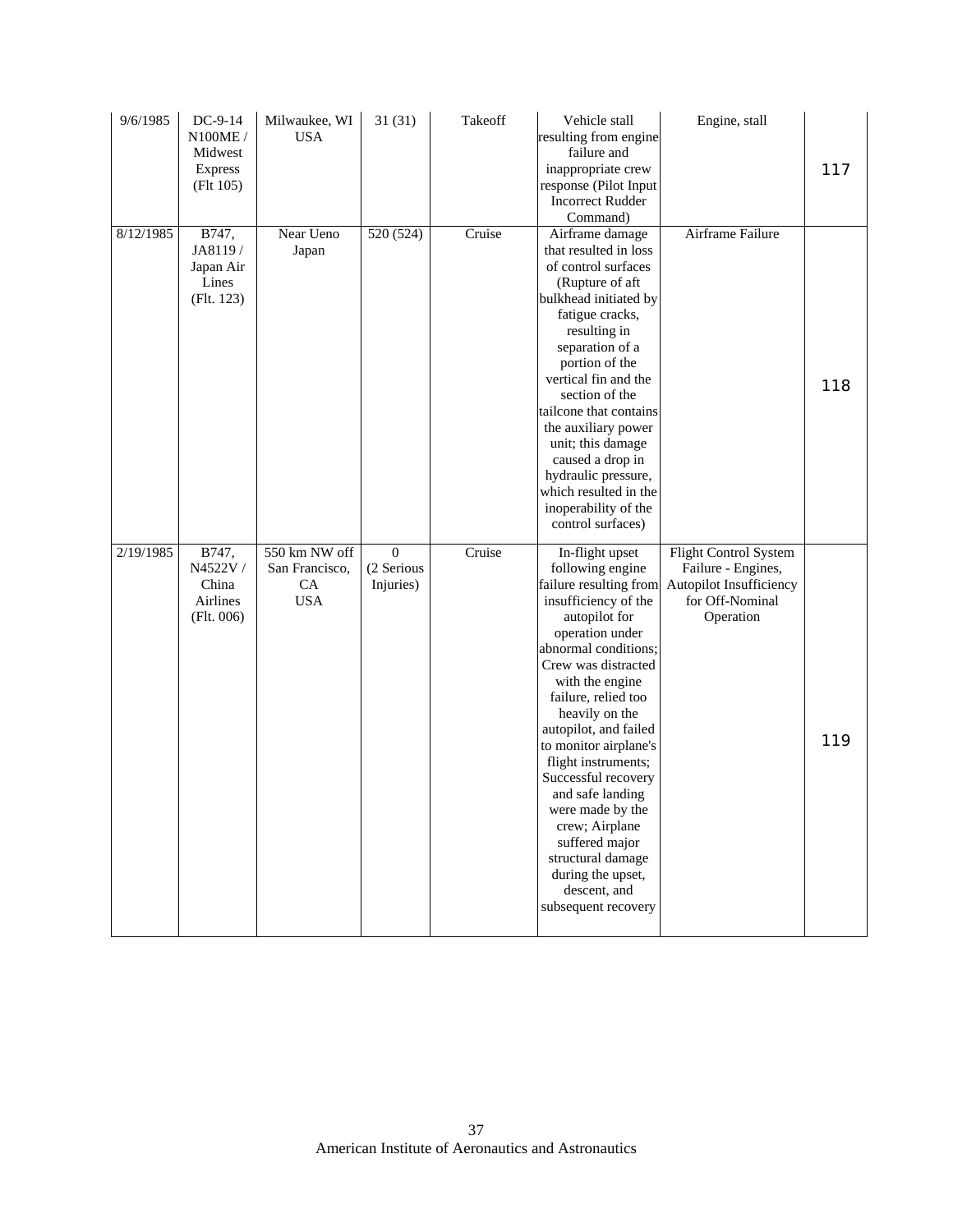| 9/6/1985  | DC-9-14<br>N100ME /<br>Midwest<br><b>Express</b><br>(Flt 105) | Milwaukee, WI<br><b>USA</b>                         | 31(31)                                  | Takeoff | Vehicle stall<br>resulting from engine<br>failure and<br>inappropriate crew<br>response (Pilot Input<br><b>Incorrect Rudder</b><br>Command)                                                                                                                                                                                                                                                                                                                                                       | Engine, stall                                                                                          | 117 |
|-----------|---------------------------------------------------------------|-----------------------------------------------------|-----------------------------------------|---------|---------------------------------------------------------------------------------------------------------------------------------------------------------------------------------------------------------------------------------------------------------------------------------------------------------------------------------------------------------------------------------------------------------------------------------------------------------------------------------------------------|--------------------------------------------------------------------------------------------------------|-----|
| 8/12/1985 | B747,<br>JA8119/<br>Japan Air<br>Lines<br>(Flt. 123)          | Near Ueno<br>Japan                                  | 520 (524)                               | Cruise  | Airframe damage<br>that resulted in loss<br>of control surfaces<br>(Rupture of aft<br>bulkhead initiated by<br>fatigue cracks,<br>resulting in<br>separation of a<br>portion of the<br>vertical fin and the<br>section of the<br>tailcone that contains<br>the auxiliary power<br>unit; this damage<br>caused a drop in<br>hydraulic pressure,<br>which resulted in the<br>inoperability of the<br>control surfaces)                                                                              | Airframe Failure                                                                                       | 118 |
| 2/19/1985 | B747,<br>N4522V /<br>China<br>Airlines<br>(Flt. 006)          | 550 km NW off<br>San Francisco,<br>CA<br><b>USA</b> | $\mathbf{0}$<br>(2 Serious<br>Injuries) | Cruise  | In-flight upset<br>following engine<br>failure resulting from<br>insufficiency of the<br>autopilot for<br>operation under<br>abnormal conditions;<br>Crew was distracted<br>with the engine<br>failure, relied too<br>heavily on the<br>autopilot, and failed<br>to monitor airplane's<br>flight instruments;<br>Successful recovery<br>and safe landing<br>were made by the<br>crew; Airplane<br>suffered major<br>structural damage<br>during the upset,<br>descent, and<br>subsequent recovery | Flight Control System<br>Failure - Engines,<br>Autopilot Insufficiency<br>for Off-Nominal<br>Operation | 119 |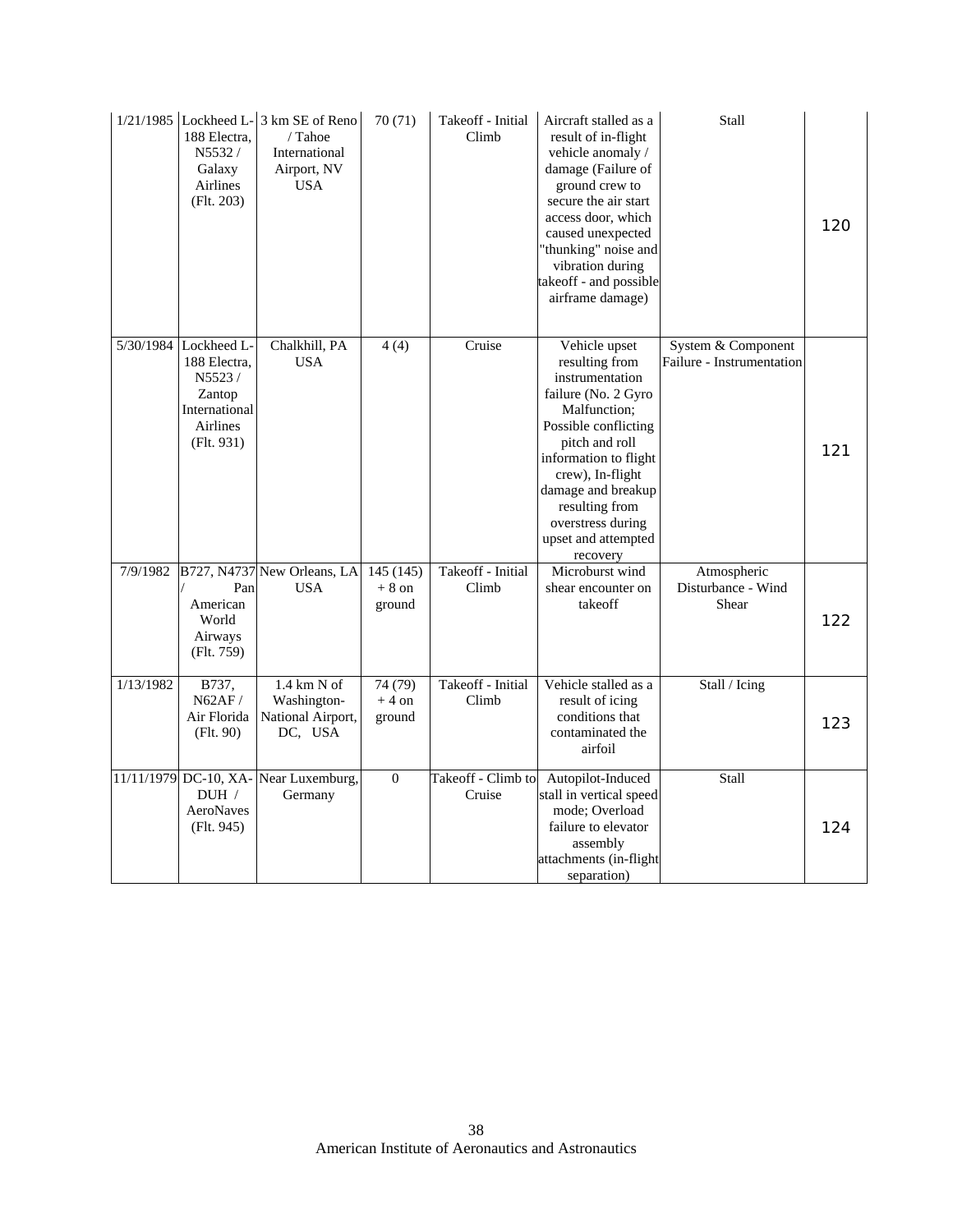|           | 188 Electra.<br>N5532/<br>Galaxy<br>Airlines<br>(Flt. 203)                                                  | $1/21/1985$ Lockheed L- $3 \text{ km SE of Reno}$<br>/ Tahoe<br>International<br>Airport, NV<br><b>USA</b> | 70(71)                        | Takeoff - Initial<br>Climb   | Aircraft stalled as a<br>result of in-flight<br>vehicle anomaly /<br>damage (Failure of<br>ground crew to<br>secure the air start<br>access door, which<br>caused unexpected<br>'thunking" noise and<br>vibration during<br>takeoff - and possible<br>airframe damage)           | Stall                                           | 120 |
|-----------|-------------------------------------------------------------------------------------------------------------|------------------------------------------------------------------------------------------------------------|-------------------------------|------------------------------|----------------------------------------------------------------------------------------------------------------------------------------------------------------------------------------------------------------------------------------------------------------------------------|-------------------------------------------------|-----|
|           | 5/30/1984 Lockheed L-<br>188 Electra,<br>N5523/<br>Zantop<br>International<br><b>Airlines</b><br>(Flt. 931) | Chalkhill, PA<br><b>USA</b>                                                                                | 4(4)                          | Cruise                       | Vehicle upset<br>resulting from<br>instrumentation<br>failure (No. 2 Gyro<br>Malfunction;<br>Possible conflicting<br>pitch and roll<br>information to flight<br>crew), In-flight<br>damage and breakup<br>resulting from<br>overstress during<br>upset and attempted<br>recovery | System & Component<br>Failure - Instrumentation | 121 |
| 7/9/1982  | Pan<br>American<br>World<br>Airways<br>(Flt. 759)                                                           | B727, N4737 New Orleans, LA<br><b>USA</b>                                                                  | 145(145)<br>$+8$ on<br>ground | Takeoff - Initial<br>Climb   | Microburst wind<br>shear encounter on<br>takeoff                                                                                                                                                                                                                                 | Atmospheric<br>Disturbance - Wind<br>Shear      | 122 |
| 1/13/1982 | B737,<br>N62AF/<br>Air Florida<br>(Flt. 90)                                                                 | $1.4$ km N of<br>Washington-<br>National Airport,<br>DC, USA                                               | 74 (79)<br>$+4$ on<br>ground  | Takeoff - Initial<br>Climb   | Vehicle stalled as a<br>result of icing<br>conditions that<br>contaminated the<br>airfoil                                                                                                                                                                                        | Stall / Icing                                   | 123 |
|           | 11/11/1979 DC-10, XA-<br>DUH /<br>AeroNaves<br>(Flt. 945)                                                   | Near Luxemburg,<br>Germany                                                                                 | $\theta$                      | Takeoff - Climb to<br>Cruise | Autopilot-Induced<br>stall in vertical speed<br>mode; Overload<br>failure to elevator<br>assembly<br>attachments (in-flight<br>separation)                                                                                                                                       | Stall                                           | 124 |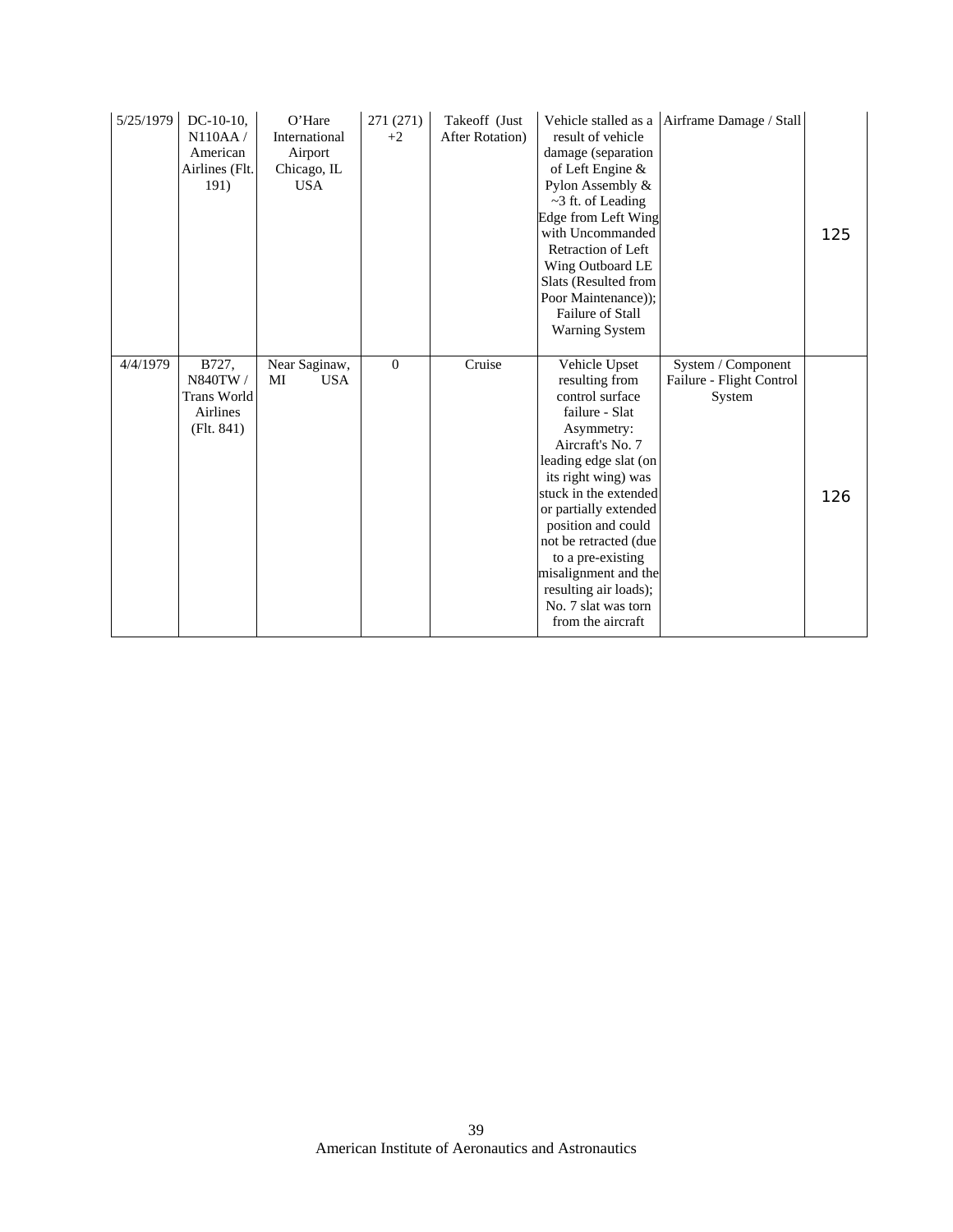| 5/25/1979 | $DC-10-10$ ,<br>N110AA/<br>American<br>Airlines (Flt.<br>191)    | O'Hare<br>International<br>Airport<br>Chicago, IL<br><b>USA</b> | 271 (271)<br>$+2$ | Takeoff (Just<br><b>After Rotation</b> ) | result of vehicle<br>damage (separation<br>of Left Engine $\&$<br>Pylon Assembly &<br>$\sim$ 3 ft. of Leading<br>Edge from Left Wing<br>with Uncommanded<br>Retraction of Left<br>Wing Outboard LE<br>Slats (Resulted from<br>Poor Maintenance));<br>Failure of Stall<br><b>Warning System</b>                                                                            | Vehicle stalled as a Airframe Damage / Stall             | 125 |
|-----------|------------------------------------------------------------------|-----------------------------------------------------------------|-------------------|------------------------------------------|---------------------------------------------------------------------------------------------------------------------------------------------------------------------------------------------------------------------------------------------------------------------------------------------------------------------------------------------------------------------------|----------------------------------------------------------|-----|
| 4/4/1979  | B727,<br>N840TW/<br><b>Trans World</b><br>Airlines<br>(Flt. 841) | Near Saginaw,<br><b>USA</b><br>MI                               | $\mathbf{0}$      | Cruise                                   | Vehicle Upset<br>resulting from<br>control surface<br>failure - Slat<br>Asymmetry:<br>Aircraft's No. 7<br>leading edge slat (on<br>its right wing) was<br>stuck in the extended<br>or partially extended<br>position and could<br>not be retracted (due<br>to a pre-existing<br>misalignment and the<br>resulting air loads);<br>No. 7 slat was torn<br>from the aircraft | System / Component<br>Failure - Flight Control<br>System | 126 |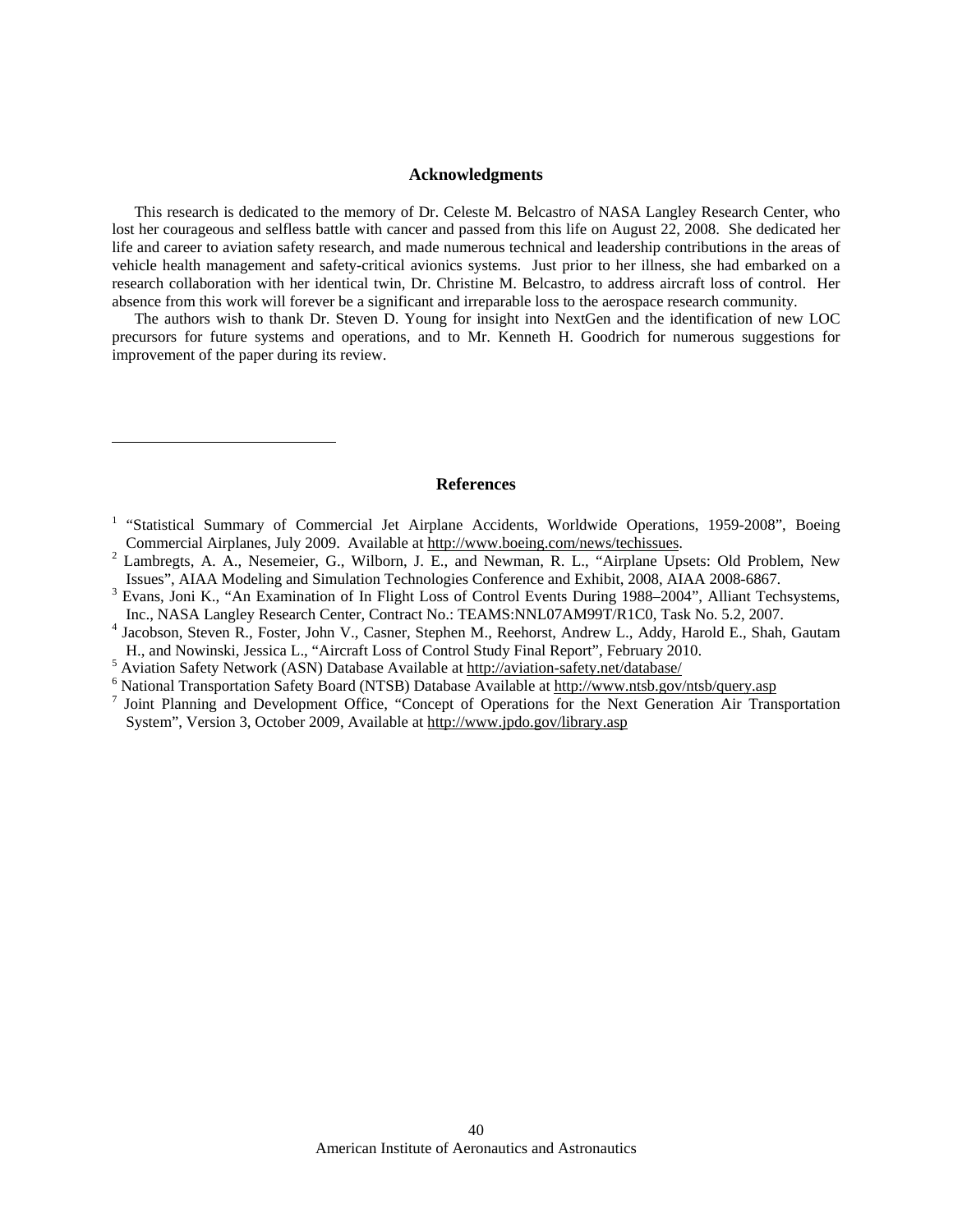### **Acknowledgments**

This research is dedicated to the memory of Dr. Celeste M. Belcastro of NASA Langley Research Center, who lost her courageous and selfless battle with cancer and passed from this life on August 22, 2008. She dedicated her life and career to aviation safety research, and made numerous technical and leadership contributions in the areas of vehicle health management and safety-critical avionics systems. Just prior to her illness, she had embarked on a research collaboration with her identical twin, Dr. Christine M. Belcastro, to address aircraft loss of control. Her absence from this work will forever be a significant and irreparable loss to the aerospace research community.

The authors wish to thank Dr. Steven D. Young for insight into NextGen and the identification of new LOC precursors for future systems and operations, and to Mr. Kenneth H. Goodrich for numerous suggestions for improvement of the paper during its review.

#### **References**

- <sup>3</sup> Evans, Joni K., "An Examination of In Flight Loss of Control Events During 1988–2004", Alliant Techsystems, Inc., NASA Langley Research Center, Contract No.: TEAMS:NNL07AM99T/R1C0, Task No. 5.2, 2007. 4
- <sup>4</sup> Jacobson, Steven R., Foster, John V., Casner, Stephen M., Reehorst, Andrew L., Addy, Harold E., Shah, Gautam H., and Nowinski, Jessica L., "Aircraft Loss of Control Study Final Report", February 2010.
- <sup>5</sup> Aviation Safety Network (ASN) Database Available at http://aviation-safety.net/database/

 $\overline{a}$ 

- <sup>6</sup> National Transportation Safety Board (NTSB) Database Available at http://www.ntsb.gov/ntsb/query.asp
- <sup>7</sup> Joint Planning and Development Office, "Concept of Operations for the Next Generation Air Transportation System", Version 3, October 2009, Available at http://www.jpdo.gov/library.asp

<sup>&</sup>lt;sup>1</sup> "Statistical Summary of Commercial Jet Airplane Accidents, Worldwide Operations, 1959-2008", Boeing Commercial Airplanes, July 2009. Available at http://www.boeing.com/news/techissues. 2

<sup>&</sup>lt;sup>2</sup> Lambregts, A. A., Nesemeier, G., Wilborn, J. E., and Newman, R. L., "Airplane Upsets: Old Problem, New Issues", AIAA Modeling and Simulation Technologies Conference and Exhibit, 2008, AIAA 2008-6867. 3